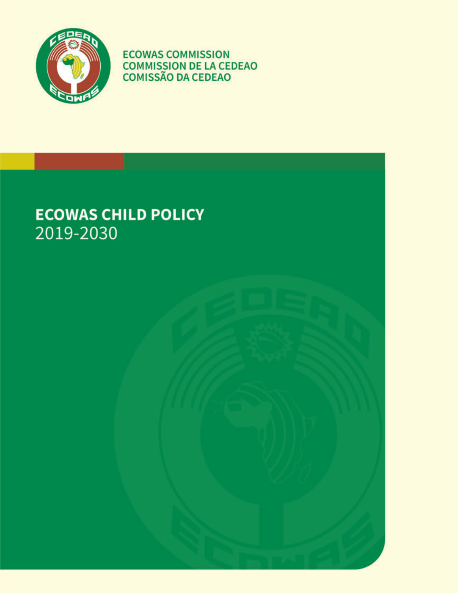

**ECOWAS COMMISSION COMMISSION DE LA CEDEAO<br>COMISSÃO DA CEDEAO** 

# **ECOWAS CHILD POLICY** 2019-2030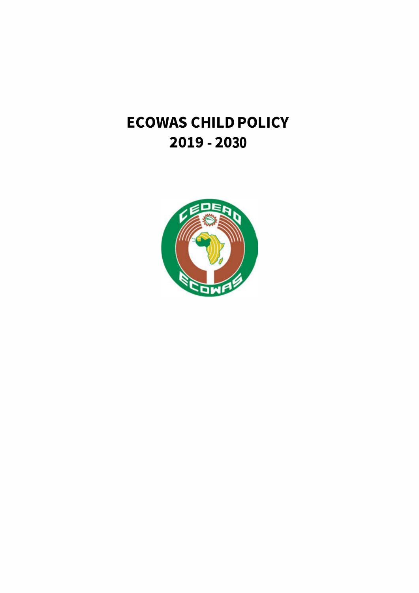# **ECOWAS CHILD POLICY 2019 - 2030**

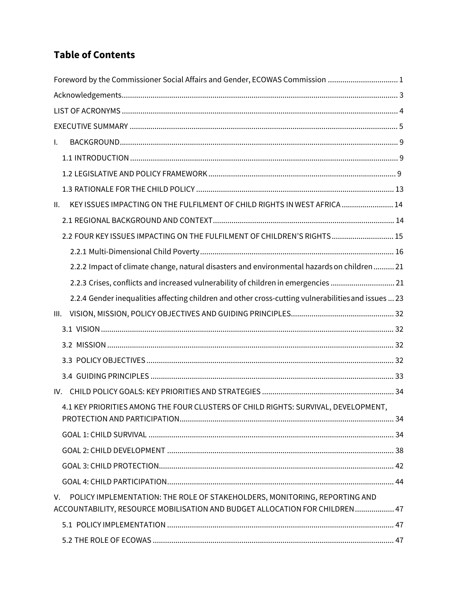# **Table of Contents**

| Foreword by the Commissioner Social Affairs and Gender, ECOWAS Commission 1                                                                                              |  |
|--------------------------------------------------------------------------------------------------------------------------------------------------------------------------|--|
|                                                                                                                                                                          |  |
|                                                                                                                                                                          |  |
|                                                                                                                                                                          |  |
| $\mathsf{L}$                                                                                                                                                             |  |
|                                                                                                                                                                          |  |
|                                                                                                                                                                          |  |
|                                                                                                                                                                          |  |
| KEY ISSUES IMPACTING ON THE FULFILMENT OF CHILD RIGHTS IN WEST AFRICA  14<br>II.                                                                                         |  |
|                                                                                                                                                                          |  |
| 2.2 FOUR KEY ISSUES IMPACTING ON THE FULFILMENT OF CHILDREN'S RIGHTS 15                                                                                                  |  |
|                                                                                                                                                                          |  |
| 2.2.2 Impact of climate change, natural disasters and environmental hazards on children 21                                                                               |  |
| 2.2.3 Crises, conflicts and increased vulnerability of children in emergencies  21                                                                                       |  |
| 2.2.4 Gender inequalities affecting children and other cross-cutting vulnerabilities and issues  23                                                                      |  |
| III.                                                                                                                                                                     |  |
|                                                                                                                                                                          |  |
|                                                                                                                                                                          |  |
|                                                                                                                                                                          |  |
|                                                                                                                                                                          |  |
| IV.                                                                                                                                                                      |  |
| 4.1 KEY PRIORITIES AMONG THE FOUR CLUSTERS OF CHILD RIGHTS: SURVIVAL, DEVELOPMENT,                                                                                       |  |
|                                                                                                                                                                          |  |
|                                                                                                                                                                          |  |
|                                                                                                                                                                          |  |
|                                                                                                                                                                          |  |
| POLICY IMPLEMENTATION: THE ROLE OF STAKEHOLDERS, MONITORING, REPORTING AND<br>$V_{\odot}$<br>ACCOUNTABILITY, RESOURCE MOBILISATION AND BUDGET ALLOCATION FOR CHILDREN 47 |  |
|                                                                                                                                                                          |  |
|                                                                                                                                                                          |  |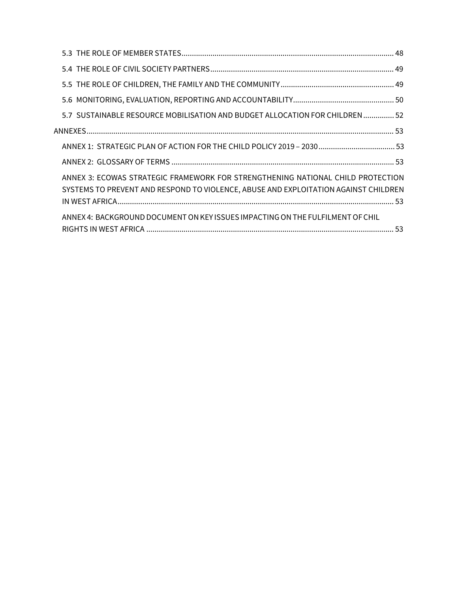| 5.2 SUSTAINABLE RESOURCE MOBILISATION AND BUDGET ALLOCATION FOR CHILDREN  52                                                                                           |
|------------------------------------------------------------------------------------------------------------------------------------------------------------------------|
|                                                                                                                                                                        |
|                                                                                                                                                                        |
|                                                                                                                                                                        |
| ANNEX 3: ECOWAS STRATEGIC FRAMEWORK FOR STRENGTHENING NATIONAL CHILD PROTECTION<br>SYSTEMS TO PREVENT AND RESPOND TO VIOLENCE, ABUSE AND EXPLOITATION AGAINST CHILDREN |
| ANNEX 4: BACKGROUND DOCUMENT ON KEY ISSUES IMPACTING ON THE FULFILMENT OF CHIL                                                                                         |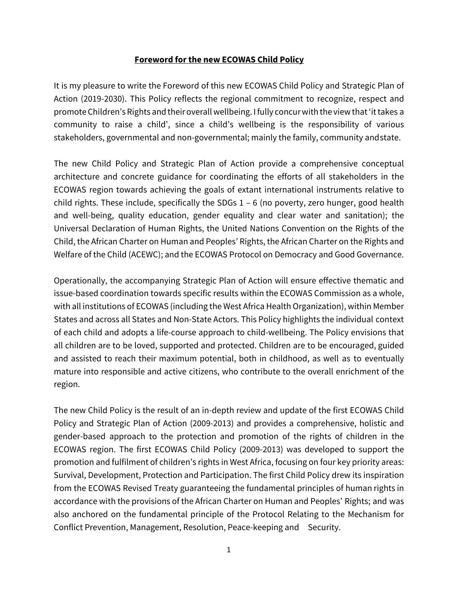# **Foreword for the new ECOWAS Child Policy**

It is my pleasure to write the Foreword of this new ECOWAS Child Policy and Strategic Plan of Action (2019-2030). This Policy reflects the regional commitment to recognize, respect and promoteChildren's Rights and theiroverall wellbeing. I fully concurwith the view that'ittakes a community to raise a child', since a child's wellbeing is the responsibility of various stakeholders, governmental and non-governmental; mainly the family, community andstate.

The new Child Policy and Strategic Plan of Action provide a comprehensive conceptual architecture and concrete guidance for coordinating the efforts of all stakeholders in the ECOWAS region towards achieving the goals of extant international instruments relative to child rights. These include, specifically the SDGs 1 – 6 (no poverty, zero hunger, good health and well-being, quality education, gender equality and clear water and sanitation); the Universal Declaration of Human Rights, the United Nations Convention on the Rights of the Child, the African Charter on Human and Peoples' Rights, the African Charter on the Rights and Welfare of the Child (ACEWC); and the ECOWAS Protocol on Democracy and Good Governance.

Operationally, the accompanying Strategic Plan of Action will ensure effective thematic and issue-based coordination towards specific results within the ECOWAS Commission as a whole, with all institutions of ECOWAS (including the West Africa Health Organization), within Member States and across all States and Non-State Actors. This Policy highlights the individual context of each child and adopts a life-course approach to child-wellbeing. The Policy envisions that all children are to be loved, supported and protected. Children are to be encouraged, guided and assisted to reach their maximum potential, both in childhood, as well as to eventually mature into responsible and active citizens, who contribute to the overall enrichment of the region.

The new Child Policy is the result of an in-depth review and update of the first ECOWAS Child Policy and Strategic Plan of Action (2009-2013) and provides a comprehensive, holistic and gender-based approach to the protection and promotion of the rights of children in the ECOWAS region. The first ECOWAS Child Policy (2009-2013) was developed to support the promotion and fulfilment of children's rights in West Africa, focusing on four key priority areas: Survival, Development, Protection and Participation. The first Child Policy drew its inspiration from the ECOWAS Revised Treaty guaranteeing the fundamental principles of human rights in accordance with the provisions of the African Charter on Human and Peoples' Rights; and was also anchored on the fundamental principle of the Protocol Relating to the Mechanism for Conflict Prevention, Management, Resolution, Peace-keeping and Security.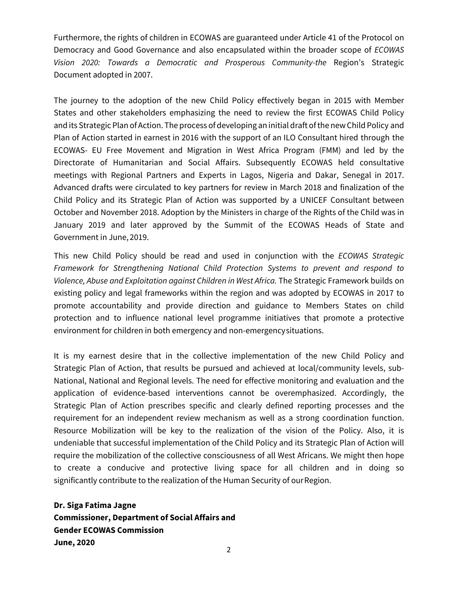Furthermore, the rights of children in ECOWAS are guaranteed under Article 41 of the Protocol on Democracy and Good Governance and also encapsulated within the broader scope of *ECOWAS Vision 2020: Towards a Democratic and Prosperous Community-the* Region's Strategic Document adopted in 2007.

The journey to the adoption of the new Child Policy effectively began in 2015 with Member States and other stakeholders emphasizing the need to review the first ECOWAS Child Policy and its Strategic Plan of Action. The process of developing an initial draft of the new Child Policy and Plan of Action started in earnest in 2016 with the support of an ILO Consultant hired through the ECOWAS- EU Free Movement and Migration in West Africa Program (FMM) and led by the Directorate of Humanitarian and Social Affairs. Subsequently ECOWAS held consultative meetings with Regional Partners and Experts in Lagos, Nigeria and Dakar, Senegal in 2017. Advanced drafts were circulated to key partners for review in March 2018 and finalization of the Child Policy and its Strategic Plan of Action was supported by a UNICEF Consultant between October and November 2018. Adoption by the Ministers in charge of the Rights of the Child was in January 2019 and later approved by the Summit of the ECOWAS Heads of State and Government in June, 2019.

This new Child Policy should be read and used in conjunction with the *ECOWAS Strategic Framework for Strengthening National Child Protection Systems to prevent and respond to Violence, Abuse and Exploitation against Children in West Africa.* The Strategic Framework builds on existing policy and legal frameworks within the region and was adopted by ECOWAS in 2017 to promote accountability and provide direction and guidance to Members States on child protection and to influence national level programme initiatives that promote a protective environment for children in both emergency and non-emergencysituations.

It is my earnest desire that in the collective implementation of the new Child Policy and Strategic Plan of Action, that results be pursued and achieved at local/community levels, sub-National, National and Regional levels. The need for effective monitoring and evaluation and the application of evidence-based interventions cannot be overemphasized. Accordingly, the Strategic Plan of Action prescribes specific and clearly defined reporting processes and the requirement for an independent review mechanism as well as a strong coordination function. Resource Mobilization will be key to the realization of the vision of the Policy. Also, it is undeniable that successful implementation of the Child Policy and its Strategic Plan of Action will require the mobilization of the collective consciousness of all West Africans. We might then hope to create a conducive and protective living space for all children and in doing so significantly contribute to the realization of the Human Security of ourRegion.

**Dr. Siga Fatima Jagne Commissioner, Department of Social Affairs and Gender ECOWAS Commission June, 2020**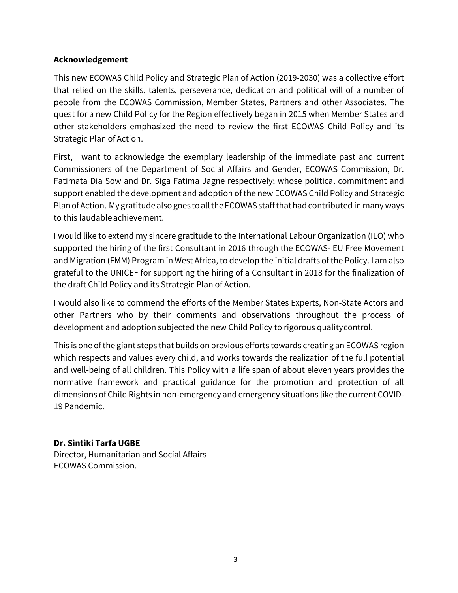# **Acknowledgement**

This new ECOWAS Child Policy and Strategic Plan of Action (2019-2030) was a collective effort that relied on the skills, talents, perseverance, dedication and political will of a number of people from the ECOWAS Commission, Member States, Partners and other Associates. The quest for a new Child Policy for the Region effectively began in 2015 when Member States and other stakeholders emphasized the need to review the first ECOWAS Child Policy and its Strategic Plan of Action.

First, I want to acknowledge the exemplary leadership of the immediate past and current Commissioners of the Department of Social Affairs and Gender, ECOWAS Commission, Dr. Fatimata Dia Sow and Dr. Siga Fatima Jagne respectively; whose political commitment and support enabled the development and adoption of the new ECOWAS Child Policy and Strategic Plan of Action. My gratitude also goes to all the ECOWAS staff that had contributed in many ways to this laudableachievement.

I would like to extend my sincere gratitude to the International Labour Organization (ILO) who supported the hiring of the first Consultant in 2016 through the ECOWAS- EU Free Movement and Migration (FMM) Program in West Africa, to develop the initial drafts of the Policy. I am also grateful to the UNICEF for supporting the hiring of a Consultant in 2018 for the finalization of the draft Child Policy and its Strategic Plan of Action.

I would also like to commend the efforts of the Member States Experts, Non-State Actors and other Partners who by their comments and observations throughout the process of development and adoption subjected the new Child Policy to rigorous qualitycontrol.

This is one of the giant steps that builds on previous efforts towards creating an ECOWAS region which respects and values every child, and works towards the realization of the full potential and well-being of all children. This Policy with a life span of about eleven years provides the normative framework and practical guidance for the promotion and protection of all dimensions of Child Rights in non-emergency and emergency situations like the current COVID-19 Pandemic.

# **Dr. Sintiki Tarfa UGBE**

Director, Humanitarian and Social Affairs ECOWAS Commission.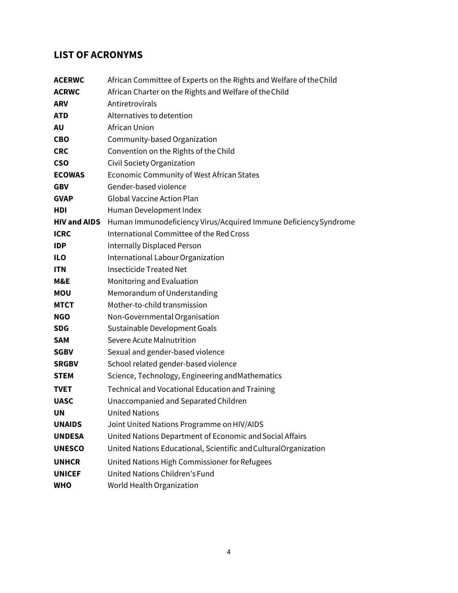# <span id="page-7-0"></span>**LIST OF ACRONYMS**

| African Committee of Experts on the Rights and Welfare of the Child |
|---------------------------------------------------------------------|
| African Charter on the Rights and Welfare of the Child              |
| Antiretrovirals                                                     |
| Alternatives to detention                                           |
| <b>African Union</b>                                                |
| Community-based Organization                                        |
| Convention on the Rights of the Child                               |
| Civil Society Organization                                          |
| Economic Community of West African States                           |
| Gender-based violence                                               |
| <b>Global Vaccine Action Plan</b>                                   |
| Human Development Index                                             |
| Human Immunodeficiency Virus/Acquired Immune Deficiency Syndrome    |
| International Committee of the Red Cross                            |
| <b>Internally Displaced Person</b>                                  |
| International Labour Organization                                   |
| <b>Insecticide Treated Net</b>                                      |
| Monitoring and Evaluation                                           |
| Memorandum of Understanding                                         |
| Mother-to-child transmission                                        |
| Non-Governmental Organisation                                       |
| Sustainable Development Goals                                       |
| Severe Acute Malnutrition                                           |
| Sexual and gender-based violence                                    |
| School related gender-based violence                                |
| Science, Technology, Engineering and Mathematics                    |
| <b>Technical and Vocational Education and Training</b>              |
| Unaccompanied and Separated Children                                |
| <b>United Nations</b>                                               |
| Joint United Nations Programme on HIV/AIDS                          |
| United Nations Department of Economic and Social Affairs            |
| United Nations Educational, Scientific and Cultural Organization    |
| United Nations High Commissioner for Refugees                       |
| United Nations Children's Fund                                      |
| World Health Organization                                           |
|                                                                     |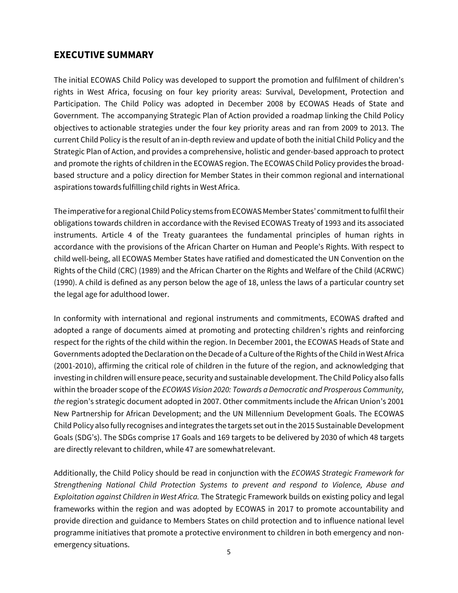# <span id="page-8-0"></span>**EXECUTIVE SUMMARY**

The initial ECOWAS Child Policy was developed to support the promotion and fulfilment of children's rights in West Africa, focusing on four key priority areas: Survival, Development, Protection and Participation. The Child Policy was adopted in December 2008 by ECOWAS Heads of State and Government. The accompanying Strategic Plan of Action provided a roadmap linking the Child Policy objectives to actionable strategies under the four key priority areas and ran from 2009 to 2013. The current Child Policy is the result of an in-depth review and update of both the initial Child Policy and the Strategic Plan of Action, and provides a comprehensive, holistic and gender-based approach to protect and promote the rights of children in the ECOWAS region. The ECOWAS Child Policy provides the broadbased structure and a policy direction for Member States in their common regional and international aspirations towards fulfilling child rights in West Africa.

The imperative for a regional Child Policy stems from ECOWAS Member States' commitment to fulfil their obligations towards children in accordance with the Revised ECOWAS Treaty of 1993 and its associated instruments. Article 4 of the Treaty guarantees the fundamental principles of human rights in accordance with the provisions of the African Charter on Human and People's Rights. With respect to child well-being, all ECOWAS Member States have ratified and domesticated the UN Convention on the Rights of the Child (CRC) (1989) and the African Charter on the Rights and Welfare of the Child (ACRWC) (1990). A child is defined as any person below the age of 18, unless the laws of a particular country set the legal age for adulthood lower.

In conformity with international and regional instruments and commitments, ECOWAS drafted and adopted a range of documents aimed at promoting and protecting children's rights and reinforcing respect for the rights of the child within the region. In December 2001, the ECOWAS Heads of State and Governments adopted the Declaration on the Decade of a Culture of the Rights of the Child in West Africa (2001-2010), affirming the critical role of children in the future of the region, and acknowledging that investing in children will ensure peace, security and sustainable development. The Child Policy also falls within the broader scope of the *ECOWAS Vision 2020: Towards a Democratic and Prosperous Community, the* region's strategic document adopted in 2007. Other commitments include the African Union's 2001 New Partnership for African Development; and the UN Millennium Development Goals. The ECOWAS Child Policy also fully recognises and integrates the targets set out in the 2015 Sustainable Development Goals (SDG's). The SDGs comprise 17 Goals and 169 targets to be delivered by 2030 of which 48 targets are directly relevant to children, while 47 are somewhatrelevant.

Additionally, the Child Policy should be read in conjunction with the *ECOWAS Strategic Framework for Strengthening National Child Protection Systems to prevent and respond to Violence, Abuse and Exploitation against Children in West Africa.* The Strategic Framework builds on existing policy and legal frameworks within the region and was adopted by ECOWAS in 2017 to promote accountability and provide direction and guidance to Members States on child protection and to influence national level programme initiatives that promote a protective environment to children in both emergency and nonemergency situations.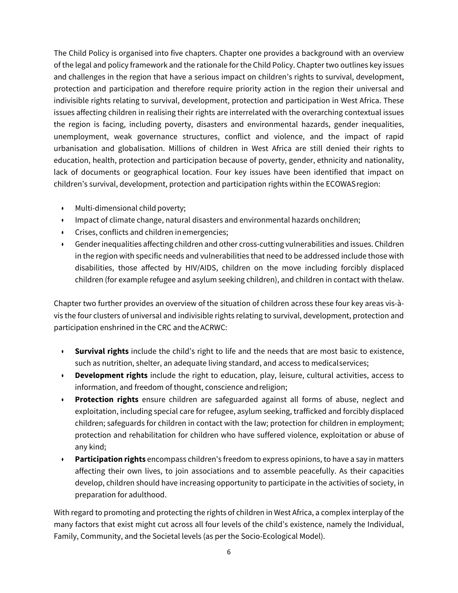The Child Policy is organised into five chapters. Chapter one provides a background with an overview of the legal and policy framework and the rationale forthe Child Policy. Chapter two outlines key issues and challenges in the region that have a serious impact on children's rights to survival, development, protection and participation and therefore require priority action in the region their universal and indivisible rights relating to survival, development, protection and participation in West Africa. These issues affecting children in realising their rights are interrelated with the overarching contextual issues the region is facing, including poverty, disasters and environmental hazards, gender inequalities, unemployment, weak governance structures, conflict and violence, and the impact of rapid urbanisation and globalisation. Millions of children in West Africa are still denied their rights to education, health, protection and participation because of poverty, gender, ethnicity and nationality, lack of documents or geographical location. Four key issues have been identified that impact on children's survival, development, protection and participation rights within the ECOWASregion:

- Multi-dimensional child poverty;
- Impact of climate change, natural disasters and environmental hazards on children;
- Crises, conflicts and children inemergencies;
- Gender inequalities affecting children and other cross-cutting vulnerabilities and issues. Children in the region with specific needs and vulnerabilities that need to be addressed include those with disabilities, those affected by HIV/AIDS, children on the move including forcibly displaced children (for example refugee and asylum seeking children), and children in contact with thelaw.

Chapter two further provides an overview of the situation of children across these four key areas vis-àvis the four clusters of universal and indivisible rights relating to survival, development, protection and participation enshrined in the CRC and theACRWC:

- **Survival rights** include the child's right to life and the needs that are most basic to existence, such as nutrition, shelter, an adequate living standard, and access to medicalservices;
- **Development rights** include the right to education, play, leisure, cultural activities, access to information, and freedom of thought, conscience and religion;
- **Protection rights** ensure children are safeguarded against all forms of abuse, neglect and exploitation, including special care for refugee, asylum seeking, trafficked and forcibly displaced children; safeguards for children in contact with the law; protection for children in employment; protection and rehabilitation for children who have suffered violence, exploitation or abuse of any kind;
- **Participation rights** encompass children's freedom to express opinions, to have a say in matters affecting their own lives, to join associations and to assemble peacefully. As their capacities develop, children should have increasing opportunity to participate in the activities of society, in preparation for adulthood.

With regard to promoting and protecting the rights of children in West Africa, a complex interplay of the many factors that exist might cut across all four levels of the child's existence, namely the Individual, Family, Community, and the Societal levels (as per the Socio-Ecological Model).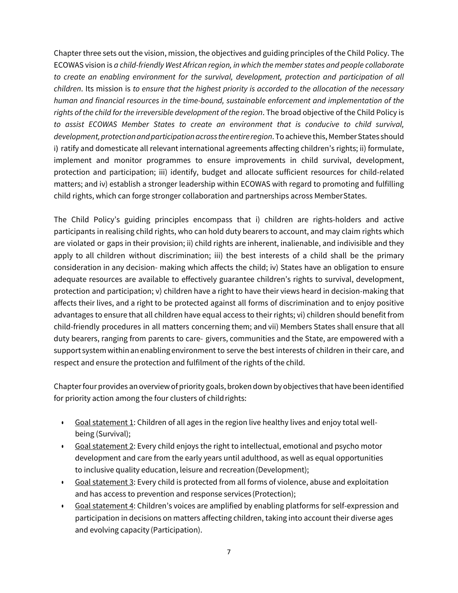Chapter three sets out the vision, mission, the objectives and guiding principles of the Child Policy. The ECOWAS vision is *a child-friendly West African region, in which the member states and people collaborate to create an enabling environment for the survival, development, protection and participation of all children*. Its mission is *to ensure that the highest priority is accorded to the allocation of the necessary human and financial resources in the time-bound, sustainable enforcement and implementation of the rights of the child for the irreversible development of the region*. The broad objective of the Child Policy is *to assist ECOWAS Member States to create an environment that is conducive to child survival, development, protection and participationacross the entire region*. To achieve this, MemberStates should i) ratify and domesticate all relevant international agreements affecting children's rights; ii) formulate, implement and monitor programmes to ensure improvements in child survival, development, protection and participation; iii) identify, budget and allocate sufficient resources for child-related matters; and iv) establish a stronger leadership within ECOWAS with regard to promoting and fulfilling child rights, which can forge stronger collaboration and partnerships across MemberStates.

The Child Policy's guiding principles encompass that i) children are rights-holders and active participants in realising child rights, who can hold duty bearers to account, and may claim rights which are violated or gaps in their provision; ii) child rights are inherent, inalienable, and indivisible and they apply to all children without discrimination; iii) the best interests of a child shall be the primary consideration in any decision- making which affects the child; iv) States have an obligation to ensure adequate resources are available to effectively guarantee children's rights to survival, development, protection and participation; v) children have a right to have their views heard in decision-making that affects their lives, and a right to be protected against all forms of discrimination and to enjoy positive advantages to ensure that all children have equal access to their rights; vi) children should benefit from child-friendly procedures in all matters concerning them; and vii) Members States shall ensure that all duty bearers, ranging from parents to care- givers, communities and the State, are empowered with a support system within an enabling environment to serve the best interests of children in their care, and respect and ensure the protection and fulfilment of the rights of the child.

Chapterfour provides an overviewof priority goals, broken down by objectives that have been identified for priority action among the four clusters of child rights:

- Goal statement 1: Children of all ages in the region live healthy lives and enjoy total wellbeing (Survival);
- Goal statement 2: Every child enjoys the right to intellectual, emotional and psycho motor development and care from the early years until adulthood, as well as equal opportunities to inclusive quality education, leisure and recreation(Development);
- Goal statement 3: Every child is protected from all forms of violence, abuse and exploitation and has access to prevention and response services (Protection);
- Goal statement 4: Children's voices are amplified by enabling platforms for self-expression and participation in decisions on matters affecting children, taking into account their diverse ages and evolving capacity (Participation).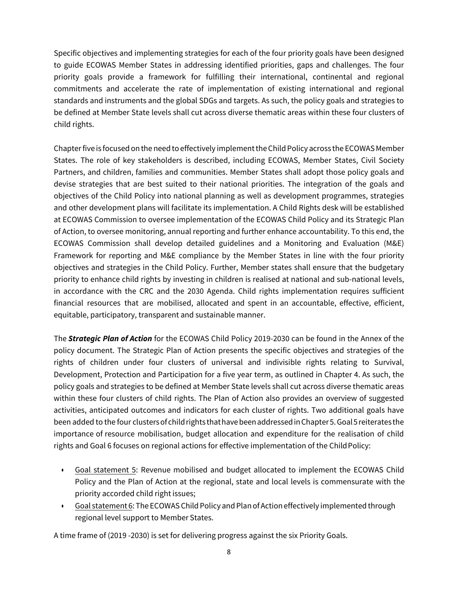Specific objectives and implementing strategies for each of the four priority goals have been designed to guide ECOWAS Member States in addressing identified priorities, gaps and challenges. The four priority goals provide a framework for fulfilling their international, continental and regional commitments and accelerate the rate of implementation of existing international and regional standards and instruments and the global SDGs and targets. As such, the policy goals and strategies to be defined at Member State levels shall cut across diverse thematic areas within these four clusters of child rights.

Chapter five is focused on the need to effectively implement the Child Policy across the ECOWAS Member States. The role of key stakeholders is described, including ECOWAS, Member States, Civil Society Partners, and children, families and communities. Member States shall adopt those policy goals and devise strategies that are best suited to their national priorities. The integration of the goals and objectives of the Child Policy into national planning as well as development programmes, strategies and other development plans will facilitate its implementation. A Child Rights desk will be established at ECOWAS Commission to oversee implementation of the ECOWAS Child Policy and its Strategic Plan of Action, to oversee monitoring, annual reporting and further enhance accountability. To this end, the ECOWAS Commission shall develop detailed guidelines and a Monitoring and Evaluation (M&E) Framework for reporting and M&E compliance by the Member States in line with the four priority objectives and strategies in the Child Policy. Further, Member states shall ensure that the budgetary priority to enhance child rights by investing in children is realised at national and sub-national levels, in accordance with the CRC and the 2030 Agenda. Child rights implementation requires sufficient financial resources that are mobilised, allocated and spent in an accountable, effective, efficient, equitable, participatory, transparent and sustainable manner.

The *Strategic Plan of Action* for the ECOWAS Child Policy 2019-2030 can be found in the Annex of the policy document. The Strategic Plan of Action presents the specific objectives and strategies of the rights of children under four clusters of universal and indivisible rights relating to Survival, Development, Protection and Participation for a five year term, as outlined in Chapter 4. As such, the policy goals and strategies to be defined at Member State levels shall cut across diverse thematic areas within these four clusters of child rights. The Plan of Action also provides an overview of suggested activities, anticipated outcomes and indicators for each cluster of rights. Two additional goals have been added to the four clusters of child rights that have been addressed in Chapter 5. Goal 5 reiterates the importance of resource mobilisation, budget allocation and expenditure for the realisation of child rights and Goal 6 focuses on regional actions for effective implementation of the Child Policy:

- Goal statement 5: Revenue mobilised and budget allocated to implement the ECOWAS Child Policy and the Plan of Action at the regional, state and local levels is commensurate with the priority accorded child right issues;
- Goal statement 6: The ECOWAS Child Policy and Plan of Action effectively implemented through regional level support to Member States.

A time frame of (2019 -2030) is set for delivering progress against the six Priority Goals.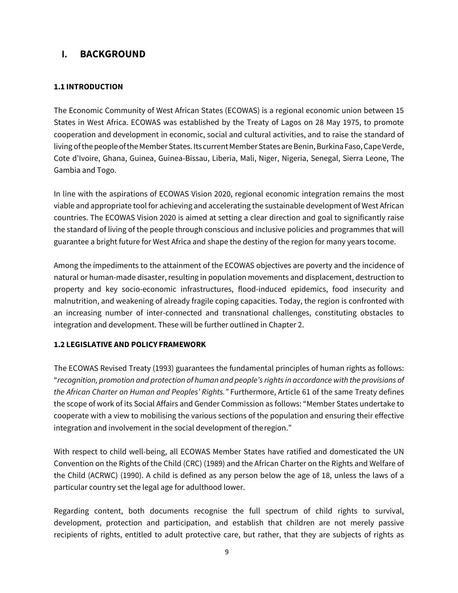# <span id="page-12-0"></span>**I. BACKGROUND**

# <span id="page-12-1"></span>**1.1 INTRODUCTION**

The Economic Community of West African States (ECOWAS) is a regional economic union between 15 States in West Africa. ECOWAS was established by the Treaty of Lagos on 28 May 1975, to promote cooperation and development in economic, social and cultural activities, and to raise the standard of living of the people of the Member States. Its current Member States are Benin, Burkina Faso, Cape Verde, Cote d'Ivoire, Ghana, Guinea, Guinea-Bissau, Liberia, Mali, Niger, Nigeria, Senegal, Sierra Leone, The Gambia and Togo.

In line with the aspirations of ECOWAS Vision 2020, regional economic integration remains the most viable and appropriate tool for achieving and accelerating the sustainable development of West African countries. The ECOWAS Vision 2020 is aimed at setting a clear direction and goal to significantly raise the standard of living of the people through conscious and inclusive policies and programmes that will guarantee a bright future for West Africa and shape the destiny of the region for many years tocome.

Among the impediments to the attainment of the ECOWAS objectives are poverty and the incidence of natural or human-made disaster, resulting in population movements and displacement, destruction to property and key socio-economic infrastructures, flood-induced epidemics, food insecurity and malnutrition, and weakening of already fragile coping capacities. Today, the region is confronted with an increasing number of inter-connected and transnational challenges, constituting obstacles to integration and development. These will be further outlined in Chapter 2.

# <span id="page-12-2"></span>**1.2 LEGISLATIVE AND POLICY FRAMEWORK**

The ECOWAS Revised Treaty (1993) guarantees the fundamental principles of human rights as follows: "*recognition, promotion and protection of human and people's rights in accordance with the provisions of the African Charter on Human and Peoples' Rights."* Furthermore, Article 61 of the same Treaty defines the scope of work of its Social Affairs and Gender Commission as follows: "Member States undertake to cooperate with a view to mobilising the various sections of the population and ensuring their effective integration and involvement in the social development of the region."

With respect to child well-being, all ECOWAS Member States have ratified and domesticated the UN Convention on the Rights of the Child (CRC) (1989) and the African Charter on the Rights and Welfare of the Child (ACRWC) (1990). A child is defined as any person below the age of 18, unless the laws of a particular country set the legal age for adulthood lower.

Regarding content, both documents recognise the full spectrum of child rights to survival, development, protection and participation, and establish that children are not merely passive recipients of rights, entitled to adult protective care, but rather, that they are subjects of rights as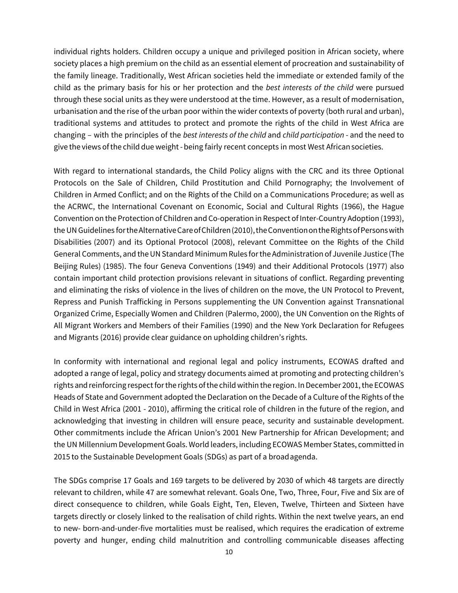individual rights holders. Children occupy a unique and privileged position in African society, where society places a high premium on the child as an essential element of procreation and sustainability of the family lineage. Traditionally, West African societies held the immediate or extended family of the child as the primary basis for his or her protection and the *best interests of the child* were pursued through these social units as they were understood at the time. However, as a result of modernisation, urbanisation and the rise of the urban poor within the wider contexts of poverty (both rural and urban), traditional systems and attitudes to protect and promote the rights of the child in West Africa are changing – with the principles of the *best interests of the child* and *child participation* - and the need to give the views ofthe child due weight - being fairly recent concepts in most West Africansocieties.

With regard to international standards, the Child Policy aligns with the CRC and its three Optional Protocols on the Sale of Children, Child Prostitution and Child Pornography; the Involvement of Children in Armed Conflict; and on the Rights of the Child on a Communications Procedure; as well as the ACRWC, the International Covenant on Economic, Social and Cultural Rights (1966), the Hague Convention on the Protection of Children and Co-operation in Respect of Inter-Country Adoption (1993), the UN Guidelines for the Alternative Care of Children (2010), the Convention on the Rights of Persons with Disabilities (2007) and its Optional Protocol (2008), relevant Committee on the Rights of the Child General Comments, and the UN Standard MinimumRules forthe Administration of Juvenile Justice (The Beijing Rules) (1985). The four Geneva Conventions (1949) and their Additional Protocols (1977) also contain important child protection provisions relevant in situations of conflict. Regarding preventing and eliminating the risks of violence in the lives of children on the move, the UN Protocol to Prevent, Repress and Punish Trafficking in Persons supplementing the UN Convention against Transnational Organized Crime, Especially Women and Children (Palermo, 2000), the UN Convention on the Rights of All Migrant Workers and Members of their Families (1990) and the New York Declaration for Refugees and Migrants (2016) provide clear guidance on upholding children's rights.

In conformity with international and regional legal and policy instruments, ECOWAS drafted and adopted a range of legal, policy and strategy documents aimed at promoting and protecting children's rights and reinforcing respect for the rights of the child within the region. In December 2001, the ECOWAS Heads of State and Government adopted the Declaration on the Decade of a Culture of the Rights of the Child in West Africa (2001 - 2010), affirming the critical role of children in the future of the region, and acknowledging that investing in children will ensure peace, security and sustainable development. Other commitments include the African Union's 2001 New Partnership for African Development; and the UN Millennium Development Goals. World leaders, including ECOWAS Member States, committed in 2015 to the Sustainable Development Goals (SDGs) as part of a broad agenda.

The SDGs comprise 17 Goals and 169 targets to be delivered by 2030 of which 48 targets are directly relevant to children, while 47 are somewhat relevant. Goals One, Two, Three, Four, Five and Six are of direct consequence to children, while Goals Eight, Ten, Eleven, Twelve, Thirteen and Sixteen have targets directly or closely linked to the realisation of child rights. Within the next twelve years, an end to new- born-and-under-five mortalities must be realised, which requires the eradication of extreme poverty and hunger, ending child malnutrition and controlling communicable diseases affecting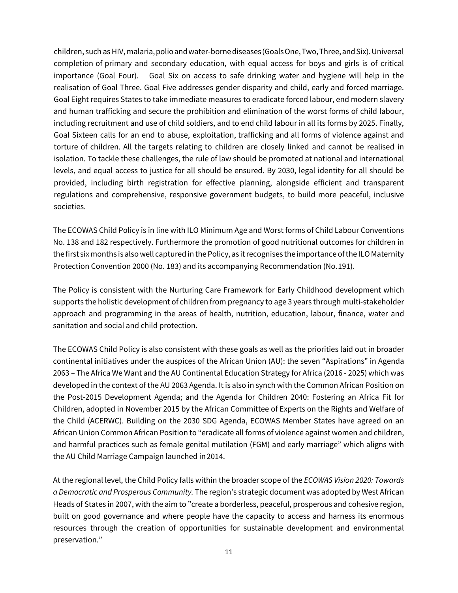children, such as HIV, malaria,polioandwater-bornediseases (Goals One, Two,Three,andSix). Universal completion of primary and secondary education, with equal access for boys and girls is of critical importance (Goal Four). Goal Six on access to safe drinking water and hygiene will help in the realisation of Goal Three. Goal Five addresses gender disparity and child, early and forced marriage. Goal Eight requires States to take immediate measures to eradicate forced labour, end modern slavery and human trafficking and secure the prohibition and elimination of the worst forms of child labour, including recruitment and use of child soldiers, and to end child labour in all its forms by 2025. Finally, Goal Sixteen calls for an end to abuse, exploitation, trafficking and all forms of violence against and torture of children. All the targets relating to children are closely linked and cannot be realised in isolation. To tackle these challenges, the rule of law should be promoted at national and international levels, and equal access to justice for all should be ensured. By 2030, legal identity for all should be provided, including birth registration for effective planning, alongside efficient and transparent regulations and comprehensive, responsive government budgets, to build more peaceful, inclusive societies.

The ECOWAS Child Policy is in line with ILO Minimum Age and Worst forms of Child Labour Conventions No. 138 and 182 respectively. Furthermore the promotion of good nutritional outcomes for children in the first six months is alsowell captured in thePolicy, as it recognises the importance ofthe ILO Maternity Protection Convention 2000 (No. 183) and its accompanying Recommendation (No. 191).

The Policy is consistent with the Nurturing Care Framework for Early Childhood development which supports the holistic development of children from pregnancy to age 3 years through multi-stakeholder approach and programming in the areas of health, nutrition, education, labour, finance, water and sanitation and social and child protection.

The ECOWAS Child Policy is also consistent with these goals as well as the priorities laid out in broader continental initiatives under the auspices of the African Union (AU): the seven "Aspirations" in Agenda 2063 – The Africa We Want and the AU Continental Education Strategy for Africa (2016 - 2025) which was developed in the context of the AU 2063 Agenda. It is also in synch with the Common African Position on the Post-2015 Development Agenda; and the Agenda for Children 2040: Fostering an Africa Fit for Children, adopted in November 2015 by the African Committee of Experts on the Rights and Welfare of the Child (ACERWC). Building on the 2030 SDG Agenda, ECOWAS Member States have agreed on an African Union Common African Position to "eradicate all forms of violence against women and children, and harmful practices such as female genital mutilation (FGM) and early marriage" which aligns with the AU Child Marriage Campaign launched in 2014.

At the regional level, the Child Policy falls within the broader scope of the *ECOWAS Vision 2020: Towards a Democratic and Prosperous Community.* The region's strategic document was adopted by West African Heads of States in 2007, with the aim to "create a borderless, peaceful, prosperous and cohesive region, built on good governance and where people have the capacity to access and harness its enormous resources through the creation of opportunities for sustainable development and environmental preservation."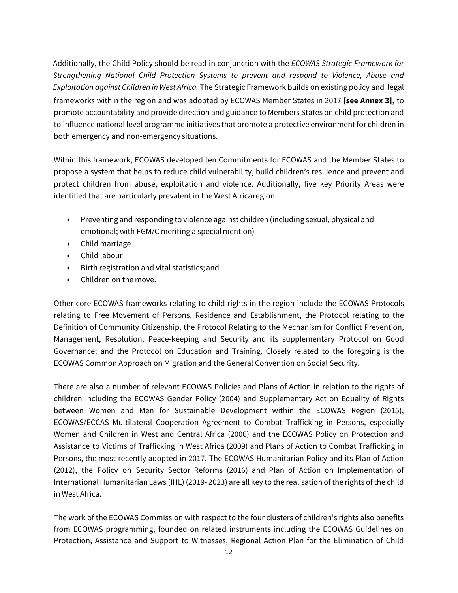Additionally, the Child Policy should be read in conjunction with the *ECOWAS Strategic Framework for Strengthening National Child Protection Systems to prevent and respond to Violence, Abuse and Exploitation against Children in West Africa.* The Strategic Framework builds on existing policy and legal frameworks within the region and was adopted by ECOWAS Member States in 2017 **[see Annex 3],** to promote accountability and provide direction and guidance to Members States on child protection and to influence national level programme initiatives that promote a protective environment for children in both emergency and non-emergency situations.

Within this framework, ECOWAS developed ten Commitments for ECOWAS and the Member States to propose a system that helps to reduce child vulnerability, build children's resilience and prevent and protect children from abuse, exploitation and violence. Additionally, five key Priority Areas were identified that are particularly prevalent in the West Africa region:

- Preventing and responding to violence against children (including sexual, physical and emotional; with FGM/C meriting a special mention)
- Child marriage
- Child labour
- Birth registration and vital statistics;and
- Children on the move.

Other core ECOWAS frameworks relating to child rights in the region include the ECOWAS Protocols relating to Free Movement of Persons, Residence and Establishment, the Protocol relating to the Definition of Community Citizenship, the Protocol Relating to the Mechanism for Conflict Prevention, Management, Resolution, Peace-keeping and Security and its supplementary Protocol on Good Governance; and the Protocol on Education and Training. Closely related to the foregoing is the ECOWAS Common Approach on Migration and the General Convention on Social Security.

There are also a number of relevant ECOWAS Policies and Plans of Action in relation to the rights of children including the ECOWAS Gender Policy (2004) and Supplementary Act on Equality of Rights between Women and Men for Sustainable Development within the ECOWAS Region (2015), ECOWAS/ECCAS Multilateral Cooperation Agreement to Combat Trafficking in Persons, especially Women and Children in West and Central Africa (2006) and the ECOWAS Policy on Protection and Assistance to Victims of Trafficking in West Africa (2009) and Plans of Action to Combat Trafficking in Persons, the most recently adopted in 2017. The ECOWAS Humanitarian Policy and its Plan of Action (2012), the Policy on Security Sector Reforms (2016) and Plan of Action on Implementation of International Humanitarian Laws (IHL) (2019- 2023) are all key to the realisation of the rights ofthe child in West Africa.

The work of the ECOWAS Commission with respect to the four clusters of children's rights also benefits from ECOWAS programming, founded on related instruments including the ECOWAS Guidelines on Protection, Assistance and Support to Witnesses, Regional Action Plan for the Elimination of Child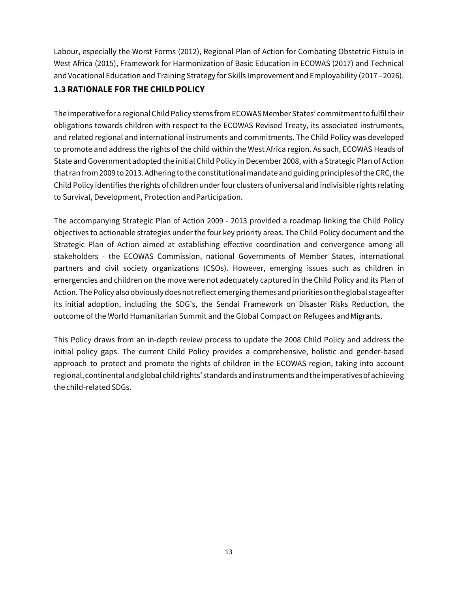Labour, especially the Worst Forms (2012), Regional Plan of Action for Combating Obstetric Fistula in West Africa (2015), Framework for Harmonization of Basic Education in ECOWAS (2017) and Technical and Vocational Education and Training Strategy for Skills Improvement and Employability (2017 – 2026).

# <span id="page-16-0"></span>**1.3 RATIONALE FOR THE CHILDPOLICY**

The imperative for a regional Child Policy stems from ECOWAS Member States' commitment to fulfil their obligations towards children with respect to the ECOWAS Revised Treaty, its associated instruments, and related regional and international instruments and commitments. The Child Policy was developed to promote and address the rights of the child within the West Africa region. As such, ECOWAS Heads of State and Government adopted the initial Child Policy in December 2008, with a Strategic Plan of Action that ran from 2009 to 2013. Adhering to the constitutional mandate and guiding principles of the CRC, the Child Policy identifies the rights of children under four clusters of universal and indivisible rights relating to Survival, Development, Protection andParticipation.

The accompanying Strategic Plan of Action 2009 - 2013 provided a roadmap linking the Child Policy objectives to actionable strategies under the four key priority areas. The Child Policy document and the Strategic Plan of Action aimed at establishing effective coordination and convergence among all stakeholders - the ECOWAS Commission, national Governments of Member States, international partners and civil society organizations (CSOs). However, emerging issues such as children in emergencies and children on the move were not adequately captured in the Child Policy and its Plan of Action. The Policy also obviously does not reflect emerging themes and priorities on the global stage after its initial adoption, including the SDG's, the Sendai Framework on Disaster Risks Reduction, the outcome of the World Humanitarian Summit and the Global Compact on Refugees and Migrants.

This Policy draws from an in-depth review process to update the 2008 Child Policy and address the initial policy gaps. The current Child Policy provides a comprehensive, holistic and gender-based approach to protect and promote the rights of children in the ECOWAS region, taking into account regional, continental and global child rights' standards and instruments and the imperatives of achieving the child-related SDGs.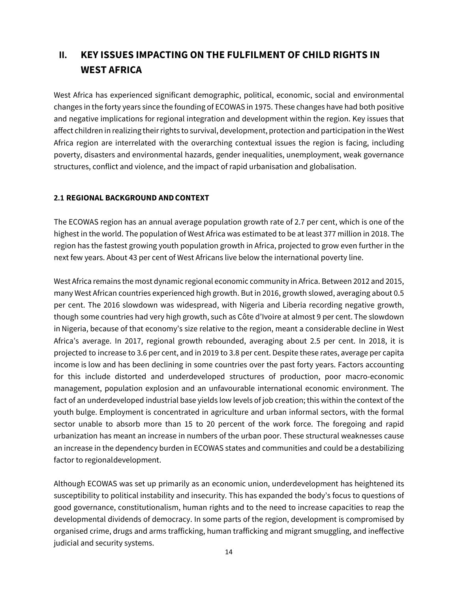# <span id="page-17-0"></span>**II. KEY ISSUES IMPACTING ON THE FULFILMENT OF CHILD RIGHTS IN WEST AFRICA**

West Africa has experienced significant demographic, political, economic, social and environmental changes in the forty years since the founding of ECOWAS in 1975. These changes have had both positive and negative implications for regional integration and development within the region. Key issues that affect children in realizing their rights to survival, development, protection and participation in the West Africa region are interrelated with the overarching contextual issues the region is facing, including poverty, disasters and environmental hazards, gender inequalities, unemployment, weak governance structures, conflict and violence, and the impact of rapid urbanisation and globalisation.

## <span id="page-17-1"></span>**2.1 REGIONAL BACKGROUND ANDCONTEXT**

The ECOWAS region has an annual average population growth rate of 2.7 per cent, which is one of the highest in the world. The population of West Africa was estimated to be at least 377 million in 2018. The region has the fastest growing youth population growth in Africa, projected to grow even further in the next few years. About 43 per cent of West Africans live below the international poverty line.

West Africa remains the most dynamic regional economic community in Africa. Between 2012 and 2015, many West African countries experienced high growth. But in 2016, growth slowed, averaging about 0.5 per cent. The 2016 slowdown was widespread, with Nigeria and Liberia recording negative growth, though some countries had very high growth, such as Côte d'Ivoire at almost 9 per cent. The slowdown in Nigeria, because of that economy's size relative to the region, meant a considerable decline in West Africa's average. In 2017, regional growth rebounded, averaging about 2.5 per cent. In 2018, it is projected to increase to 3.6 per cent, and in 2019 to 3.8 per cent. Despite these rates, average per capita income is low and has been declining in some countries over the past forty years. Factors accounting for this include distorted and underdeveloped structures of production, poor macro-economic management, population explosion and an unfavourable international economic environment. The fact of an underdeveloped industrial base yields low levels of job creation; this within the context of the youth bulge. Employment is concentrated in agriculture and urban informal sectors, with the formal sector unable to absorb more than 15 to 20 percent of the work force. The foregoing and rapid urbanization has meant an increase in numbers of the urban poor. These structural weaknesses cause an increase in the dependency burden in ECOWAS states and communities and could be a destabilizing factor to regionaldevelopment.

Although ECOWAS was set up primarily as an economic union, underdevelopment has heightened its susceptibility to political instability and insecurity. This has expanded the body's focus to questions of good governance, constitutionalism, human rights and to the need to increase capacities to reap the developmental dividends of democracy. In some parts of the region, development is compromised by organised crime, drugs and arms trafficking, human trafficking and migrant smuggling, and ineffective judicial and security systems.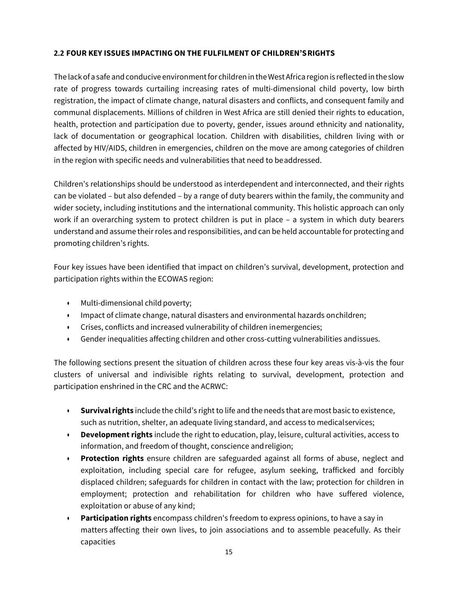# <span id="page-18-0"></span>**2.2 FOUR KEY ISSUES IMPACTING ON THE FULFILMENT OF CHILDREN'SRIGHTS**

The lackof a safe and conducive environment for children in theWest Africaregion is reflected in the slow rate of progress towards curtailing increasing rates of multi-dimensional child poverty, low birth registration, the impact of climate change, natural disasters and conflicts, and consequent family and communal displacements. Millions of children in West Africa are still denied their rights to education, health, protection and participation due to poverty, gender, issues around ethnicity and nationality, lack of documentation or geographical location. Children with disabilities, children living with or affected by HIV/AIDS, children in emergencies, children on the move are among categories of children in the region with specific needs and vulnerabilities that need to beaddressed.

Children's relationships should be understood as interdependent and interconnected, and their rights can be violated – but also defended – by a range of duty bearers within the family, the community and wider society, including institutions and the international community. This holistic approach can only work if an overarching system to protect children is put in place – a system in which duty bearers understand and assume their roles and responsibilities, and can be held accountable for protecting and promoting children's rights.

Four key issues have been identified that impact on children's survival, development, protection and participation rights within the ECOWAS region:

- Multi-dimensional child poverty;
- Impact of climate change, natural disasters and environmental hazards on children;
- Crises, conflicts and increased vulnerability of children inemergencies;
- Gender inequalities affecting children and other cross-cutting vulnerabilities andissues.

The following sections present the situation of children across these four key areas vis-à-vis the four clusters of universal and indivisible rights relating to survival, development, protection and participation enshrined in the CRC and the ACRWC:

- **Survival rights** include the child's right to life and the needs that are most basic to existence, such as nutrition, shelter, an adequate living standard, and access to medicalservices;
- **Development rights** include the right to education, play, leisure, cultural activities, access to information, and freedom of thought, conscience and religion;
- **Protection rights** ensure children are safeguarded against all forms of abuse, neglect and exploitation, including special care for refugee, asylum seeking, trafficked and forcibly displaced children; safeguards for children in contact with the law; protection for children in employment; protection and rehabilitation for children who have suffered violence, exploitation or abuse of any kind;
- **Participation rights** encompass children's freedom to express opinions, to have a say in matters affecting their own lives, to join associations and to assemble peacefully. As their capacities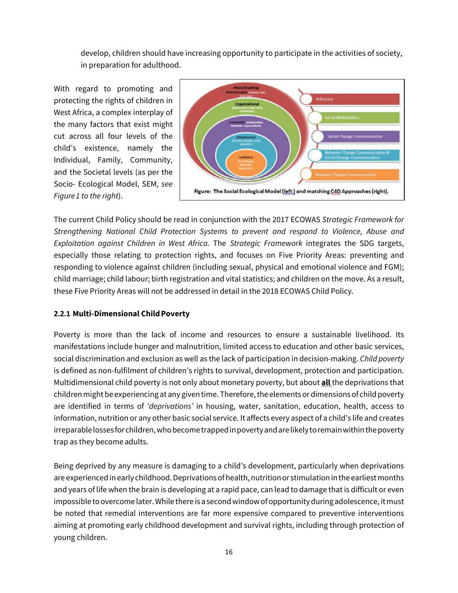develop, children should have increasing opportunity to participate in the activities of society, in preparation for adulthood.

With regard to promoting and protecting the rights of children in West Africa, a complex interplay of the many factors that exist might cut across all four levels of the child's existence, namely the Individual, Family, Community, and the Societal levels (as per the Socio- Ecological Model, SEM, *see Figure1 to the right*).



The current Child Policy should be read in conjunction with the 2017 ECOWAS *Strategic Framework for Strengthening National Child Protection Systems to prevent and respond to Violence, Abuse and Exploitation against Children in West Africa.* The *Strategic Framework* integrates the SDG targets, especially those relating to protection rights, and focuses on Five Priority Areas: preventing and responding to violence against children (including sexual, physical and emotional violence and FGM); child marriage; child labour; birth registration and vital statistics; and children on the move. As a result, these Five Priority Areas will not be addressed in detail in the 2018 ECOWAS Child Policy.

# <span id="page-19-0"></span>**2.2.1 Multi-Dimensional Child Poverty**

Poverty is more than the lack of income and resources to ensure a sustainable livelihood. Its manifestations include hunger and malnutrition, limited access to education and other basic services, social discrimination and exclusion as well as the lack of participation in decision-making. *Child poverty*  is defined as non-fulfilment of children's rights to survival, development, protection and participation. Multidimensional child poverty is not only about monetary poverty, but about **all** the deprivations that children might be experiencing at any given time. Therefore, the elements or dimensions of child poverty are identified in terms of *'deprivations'* in housing, water, sanitation, education, health, access to information, nutrition or any other basic social service. It affects every aspect of a child's life and creates irreparablelosses for children, whobecometrapped in povertyandarelikelytoremain within thepoverty trap as they become adults.

Being deprived by any measure is damaging to a child's development, particularly when deprivations are experienced in early childhood. Deprivations of health, nutrition or stimulation in the earliest months and years of life when the brain is developing at a rapid pace, can lead to damage that is difficult or even impossible to overcome later. While there is a second window of opportunity during adolescence, it must be noted that remedial interventions are far more expensive compared to preventive interventions aiming at promoting early childhood development and survival rights, including through protection of young children.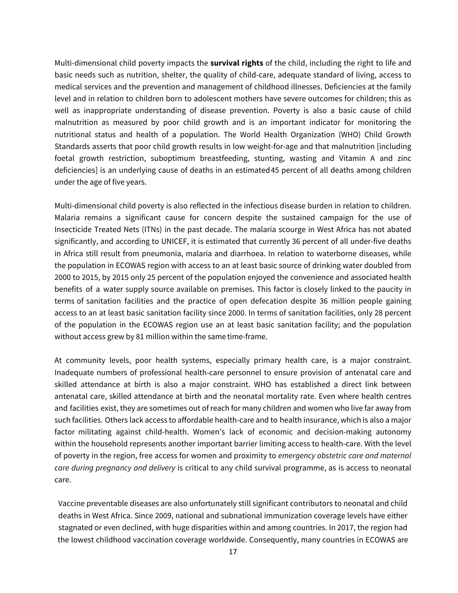Multi-dimensional child poverty impacts the **survival rights** of the child, including the right to life and basic needs such as nutrition, shelter, the quality of child-care, adequate standard of living, access to medical services and the prevention and management of childhood illnesses. Deficiencies at the family level and in relation to children born to adolescent mothers have severe outcomes for children; this as well as inappropriate understanding of disease prevention. Poverty is also a basic cause of child malnutrition as measured by poor child growth and is an important indicator for monitoring the nutritional status and health of a population. The World Health Organization (WHO) Child Growth Standards asserts that poor child growth results in low weight-for-age and that malnutrition [including foetal growth restriction, suboptimum breastfeeding, stunting, wasting and Vitamin A and zinc deficiencies] is an underlying cause of deaths in an estimated 45 percent of all deaths among children under the age of five years.

Multi-dimensional child poverty is also reflected in the infectious disease burden in relation to children. Malaria remains a significant cause for concern despite the sustained campaign for the use of Insecticide Treated Nets (ITNs) in the past decade. The malaria scourge in West Africa has not abated significantly, and according to UNICEF, it is estimated that currently 36 percent of all under-five deaths in Africa still result from pneumonia, malaria and diarrhoea. In relation to waterborne diseases, while the population in ECOWAS region with access to an at least basic source of drinking water doubled from 2000 to 2015, by 2015 only 25 percent of the population enjoyed the convenience and associated health benefits of a water supply source available on premises. This factor is closely linked to the paucity in terms of sanitation facilities and the practice of open defecation despite 36 million people gaining access to an at least basic sanitation facility since 2000. In terms of sanitation facilities, only 28 percent of the population in the ECOWAS region use an at least basic sanitation facility; and the population without access grew by 81 million within the same time-frame.

At community levels, poor health systems, especially primary health care, is a major constraint. Inadequate numbers of professional health-care personnel to ensure provision of antenatal care and skilled attendance at birth is also a major constraint. WHO has established a direct link between antenatal care, skilled attendance at birth and the neonatal mortality rate. Even where health centres and facilities exist, they are sometimes out of reach for many children and women who live far away from such facilities. Others lack access to affordable health-care and to health insurance, which is also a major factor militating against child-health. Women's lack of economic and decision-making autonomy within the household represents another important barrier limiting access to health-care. With the level of poverty in the region, free access for women and proximity to *emergency obstetric care and maternal care during pregnancy and delivery* is critical to any child survival programme, as is access to neonatal care.

Vaccine preventable diseases are also unfortunately still significant contributors to neonatal and child deaths in West Africa. Since 2009, national and subnational immunization coverage levels have either stagnated or even declined, with huge disparities within and among countries. In 2017, the region had the lowest childhood vaccination coverage worldwide. Consequently, many countries in ECOWAS are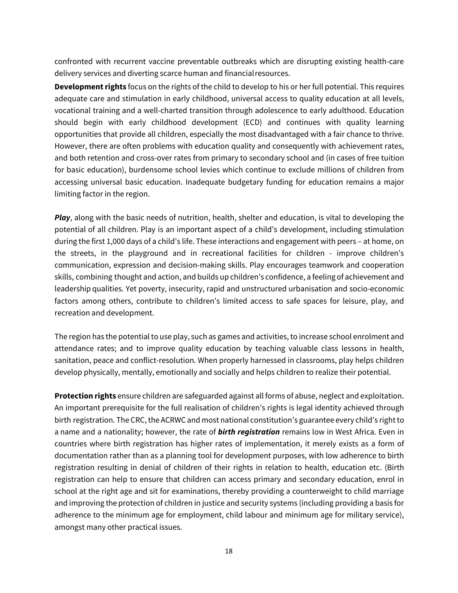confronted with recurrent vaccine preventable outbreaks which are disrupting existing health-care delivery services and diverting scarce human and financialresources.

**Development rights** focus on the rights of the child to develop to his or her full potential. This requires adequate care and stimulation in early childhood, universal access to quality education at all levels, vocational training and a well-charted transition through adolescence to early adulthood. Education should begin with early childhood development (ECD) and continues with quality learning opportunities that provide all children, especially the most disadvantaged with a fair chance to thrive. However, there are often problems with education quality and consequently with achievement rates, and both retention and cross-over rates from primary to secondary school and (in cases of free tuition for basic education), burdensome school levies which continue to exclude millions of children from accessing universal basic education. Inadequate budgetary funding for education remains a major limiting factor in the region.

*Play*, along with the basic needs of nutrition, health, shelter and education, is vital to developing the potential of all children. Play is an important aspect of a child's development, including stimulation during the first 1,000 days of a child's life. These interactions and engagement with peers – at home, on the streets, in the playground and in recreational facilities for children - improve children's communication, expression and decision-making skills. Play encourages teamwork and cooperation skills, combining thought and action, and builds up children's confidence, a feeling of achievement and leadership qualities. Yet poverty, insecurity, rapid and unstructured urbanisation and socio-economic factors among others, contribute to children's limited access to safe spaces for leisure, play, and recreation and development.

The region has the potential to use play, such as games and activities, to increase school enrolment and attendance rates; and to improve quality education by teaching valuable class lessons in health, sanitation, peace and conflict-resolution. When properly harnessed in classrooms, play helps children develop physically, mentally, emotionally and socially and helps children to realize their potential.

**Protection rights** ensure children are safeguarded against all forms of abuse, neglect and exploitation. An important prerequisite for the full realisation of children's rights is legal identity achieved through birth registration. The CRC, the ACRWC and most national constitution's guarantee every child's right to a name and a nationality; however, the rate of *birth registration* remains low in West Africa. Even in countries where birth registration has higher rates of implementation, it merely exists as a form of documentation rather than as a planning tool for development purposes, with low adherence to birth registration resulting in denial of children of their rights in relation to health, education etc. (Birth registration can help to ensure that children can access primary and secondary education, enrol in school at the right age and sit for examinations, thereby providing a counterweight to child marriage and improving the protection of children in justice and security systems (including providing a basis for adherence to the minimum age for employment, child labour and minimum age for military service), amongst many other practical issues.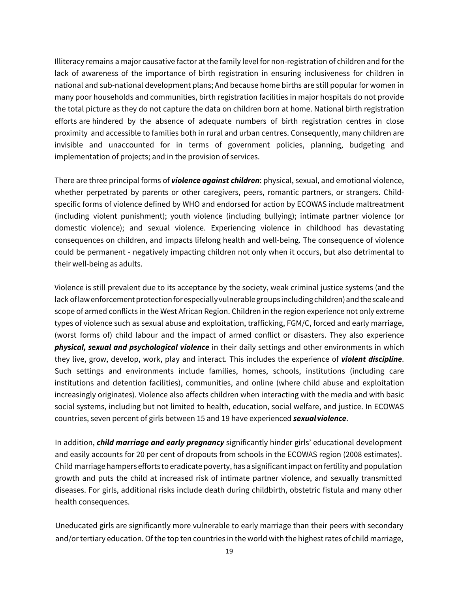Illiteracy remains a major causative factor at the family level for non-registration of children and for the lack of awareness of the importance of birth registration in ensuring inclusiveness for children in national and sub-national development plans; And because home births are still popular for women in many poor households and communities, birth registration facilities in major hospitals do not provide the total picture as they do not capture the data on children born at home. National birth registration efforts are hindered by the absence of adequate numbers of birth registration centres in close proximity and accessible to families both in rural and urban centres. Consequently, many children are invisible and unaccounted for in terms of government policies, planning, budgeting and implementation of projects; and in the provision of services.

There are three principal forms of *violence against children*: physical, sexual, and emotional violence, whether perpetrated by parents or other caregivers, peers, romantic partners, or strangers. Childspecific forms of violence defined by WHO and endorsed for action by ECOWAS include maltreatment (including violent punishment); youth violence (including bullying); intimate partner violence (or domestic violence); and sexual violence. Experiencing violence in childhood has devastating consequences on children, and impacts lifelong health and well-being. The consequence of violence could be permanent - negatively impacting children not only when it occurs, but also detrimental to their well-being as adults.

Violence is still prevalent due to its acceptance by the society, weak criminal justice systems (and the lack of law enforcement protection for especially vulnerable groups including children) and the scale and scope of armed conflicts in the West African Region. Children in the region experience not only extreme types of violence such as sexual abuse and exploitation, trafficking, FGM/C, forced and early marriage, (worst forms of) child labour and the impact of armed conflict or disasters. They also experience *physical, sexual and psychological violence* in their daily settings and other environments in which they live, grow, develop, work, play and interact. This includes the experience of *violent discipline*. Such settings and environments include families, homes, schools, institutions (including care institutions and detention facilities), communities, and online (where child abuse and exploitation increasingly originates). Violence also affects children when interacting with the media and with basic social systems, including but not limited to health, education, social welfare, and justice. In ECOWAS countries, seven percent of girls between 15 and 19 have experienced *sexualviolence*.

In addition, *child marriage and early pregnancy* significantly hinder girls' educational development and easily accounts for 20 per cent of dropouts from schools in the ECOWAS region (2008 estimates). Child marriage hampers efforts to eradicate poverty, has a significant impact onfertility and population growth and puts the child at increased risk of intimate partner violence, and sexually transmitted diseases. For girls, additional risks include death during childbirth, obstetric fistula and many other health consequences.

Uneducated girls are significantly more vulnerable to early marriage than their peers with secondary and/or tertiary education. Of the top ten countries in the world with the highest rates of child marriage,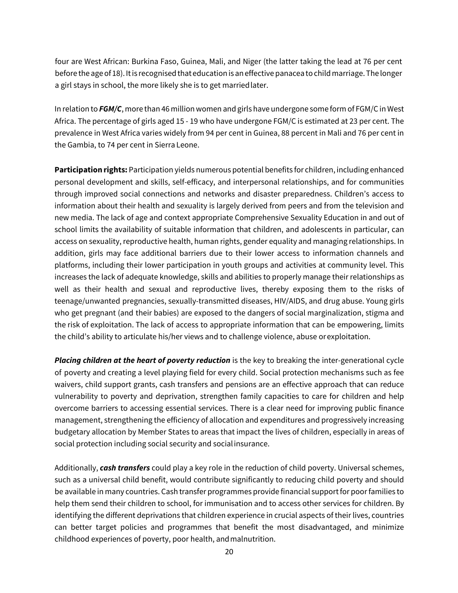four are West African: Burkina Faso, Guinea, Mali, and Niger (the latter taking the lead at 76 per cent before the age of 18). It is recognised that education is an effective panacea to child marriage. The longer a girl stays in school, the more likely she is to get marriedlater.

In relation to *FGM/C*, more than 46 million women and girls have undergone some form of FGM/C in West Africa. The percentage of girls aged 15 - 19 who have undergone FGM/C is estimated at 23 per cent. The prevalence in West Africa varies widely from 94 per cent in Guinea, 88 percent in Mali and 76 per cent in the Gambia, to 74 per cent in Sierra Leone.

**Participation rights:** Participation yields numerous potential benefits for children, including enhanced personal development and skills, self-efficacy, and interpersonal relationships, and for communities through improved social connections and networks and disaster preparedness. Children's access to information about their health and sexuality is largely derived from peers and from the television and new media. The lack of age and context appropriate Comprehensive Sexuality Education in and out of school limits the availability of suitable information that children, and adolescents in particular, can access on sexuality, reproductive health, human rights, gender equality and managing relationships. In addition, girls may face additional barriers due to their lower access to information channels and platforms, including their lower participation in youth groups and activities at community level. This increases the lack of adequate knowledge, skills and abilities to properly manage their relationships as well as their health and sexual and reproductive lives, thereby exposing them to the risks of teenage/unwanted pregnancies, sexually-transmitted diseases, HIV/AIDS, and drug abuse. Young girls who get pregnant (and their babies) are exposed to the dangers of social marginalization, stigma and the risk of exploitation. The lack of access to appropriate information that can be empowering, limits the child's ability to articulate his/her views and to challenge violence, abuse orexploitation.

**Placing children at the heart of poverty reduction** is the key to breaking the inter-generational cycle of poverty and creating a level playing field for every child. Social protection mechanisms such as fee waivers, child support grants, cash transfers and pensions are an effective approach that can reduce vulnerability to poverty and deprivation, strengthen family capacities to care for children and help overcome barriers to accessing essential services. There is a clear need for improving public finance management, strengthening the efficiency of allocation and expenditures and progressively increasing budgetary allocation by Member States to areas that impact the lives of children, especially in areas of social protection including social security and social insurance.

Additionally, *cash transfers* could play a key role in the reduction of child poverty. Universal schemes, such as a universal child benefit, would contribute significantly to reducing child poverty and should be available in many countries. Cash transfer programmes provide financial supportfor poor families to help them send their children to school, for immunisation and to access other services for children. By identifying the different deprivations that children experience in crucial aspects of their lives, countries can better target policies and programmes that benefit the most disadvantaged, and minimize childhood experiences of poverty, poor health, and malnutrition.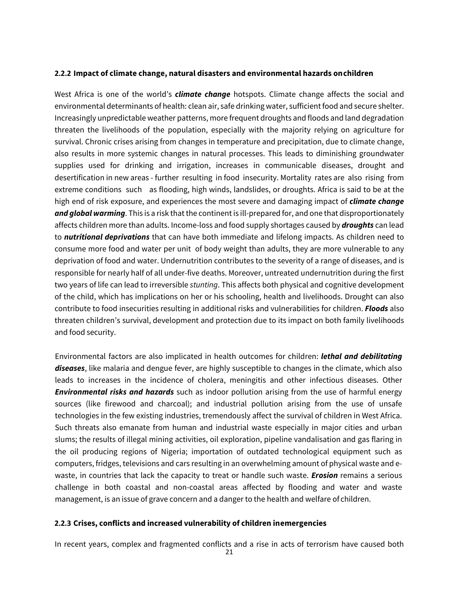#### <span id="page-24-0"></span>**2.2.2 Impact of climate change, natural disasters and environmental hazards onchildren**

West Africa is one of the world's *climate change* hotspots. Climate change affects the social and environmental determinants of health: clean air, safe drinking water, sufficient food and secure shelter. Increasingly unpredictable weather patterns, more frequent droughts and floods and land degradation threaten the livelihoods of the population, especially with the majority relying on agriculture for survival. Chronic crises arising from changes in temperature and precipitation, due to climate change, also results in more systemic changes in natural processes. This leads to diminishing groundwater supplies used for drinking and irrigation, increases in communicable diseases, drought and desertification in new areas - further resulting in food insecurity. Mortality rates are also rising from extreme conditions such as flooding, high winds, landslides, or droughts. Africa is said to be at the high end of risk exposure, and experiences the most severe and damaging impact of *climate change and global warming*. This is a risk that the continent is ill-prepared for, and one that disproportionately affects children more than adults. Income-loss and food supply shortages caused by *droughts* can lead to *nutritional deprivations* that can have both immediate and lifelong impacts. As children need to consume more food and water per unit of body weight than adults, they are more vulnerable to any deprivation of food and water. Undernutrition contributes to the severity of a range of diseases, and is responsible for nearly half of all under-five deaths. Moreover, untreated undernutrition during the first two years of life can lead to irreversible *stunting*. This affects both physical and cognitive development of the child, which has implications on her or his schooling, health and livelihoods. Drought can also contribute to food insecurities resulting in additional risks and vulnerabilities for children. *Floods* also threaten children's survival, development and protection due to its impact on both family livelihoods and food security.

Environmental factors are also implicated in health outcomes for children: *lethal and debilitating diseases*, like malaria and dengue fever, are highly susceptible to changes in the climate, which also leads to increases in the incidence of cholera, meningitis and other infectious diseases. Other *Environmental risks and hazards* such as indoor pollution arising from the use of harmful energy sources (like firewood and charcoal); and industrial pollution arising from the use of unsafe technologies in the few existing industries, tremendously affect the survival of children in West Africa. Such threats also emanate from human and industrial waste especially in major cities and urban slums; the results of illegal mining activities, oil exploration, pipeline vandalisation and gas flaring in the oil producing regions of Nigeria; importation of outdated technological equipment such as computers, fridges, televisions and cars resulting in an overwhelming amount of physical waste and ewaste, in countries that lack the capacity to treat or handle such waste. *Erosion* remains a serious challenge in both coastal and non-coastal areas affected by flooding and water and waste management, is an issue of grave concern and a danger to the health and welfare of children.

#### <span id="page-24-1"></span>**2.2.3 Crises, conflicts and increased vulnerability of children inemergencies**

In recent years, complex and fragmented conflicts and a rise in acts of terrorism have caused both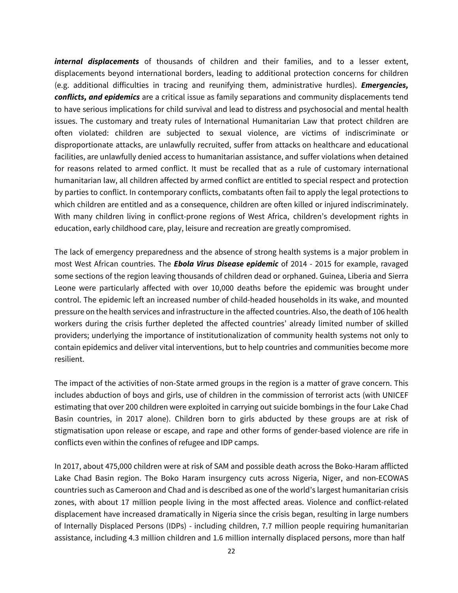*internal displacements* of thousands of children and their families, and to a lesser extent, displacements beyond international borders, leading to additional protection concerns for children (e.g. additional difficulties in tracing and reunifying them, administrative hurdles). *Emergencies, conflicts, and epidemics* are a critical issue as family separations and community displacements tend to have serious implications for child survival and lead to distress and psychosocial and mental health issues. The customary and treaty rules of International Humanitarian Law that protect children are often violated: children are subjected to sexual violence, are victims of indiscriminate or disproportionate attacks, are unlawfully recruited, suffer from attacks on healthcare and educational facilities, are unlawfully denied access to humanitarian assistance, and suffer violations when detained for reasons related to armed conflict. It must be recalled that as a rule of customary international humanitarian law, all children affected by armed conflict are entitled to special respect and protection by parties to conflict. In contemporary conflicts, combatants often fail to apply the legal protections to which children are entitled and as a consequence, children are often killed or injured indiscriminately. With many children living in conflict-prone regions of West Africa, children's development rights in education, early childhood care, play, leisure and recreation are greatly compromised.

The lack of emergency preparedness and the absence of strong health systems is a major problem in most West African countries. The *Ebola Virus Disease epidemic* of 2014 - 2015 for example, ravaged some sections of the region leaving thousands of children dead or orphaned. Guinea, Liberia and Sierra Leone were particularly affected with over 10,000 deaths before the epidemic was brought under control. The epidemic left an increased number of child-headed households in its wake, and mounted pressure on the health services and infrastructure in the affected countries. Also, the death of 106 health workers during the crisis further depleted the affected countries' already limited number of skilled providers; underlying the importance of institutionalization of community health systems not only to contain epidemics and deliver vital interventions, but to help countries and communities become more resilient.

The impact of the activities of non-State armed groups in the region is a matter of grave concern. This includes abduction of boys and girls, use of children in the commission of terrorist acts (with UNICEF estimating that over 200 children were exploited in carrying out suicide bombings in the four Lake Chad Basin countries, in 2017 alone). Children born to girls abducted by these groups are at risk of stigmatisation upon release or escape, and rape and other forms of gender-based violence are rife in conflicts even within the confines of refugee and IDP camps.

In 2017, about 475,000 children were at risk of SAM and possible death across the Boko-Haram afflicted Lake Chad Basin region. The Boko Haram insurgency cuts across Nigeria, Niger, and non-ECOWAS countries such as Cameroon and Chad and is described as one of the world's largest humanitarian crisis zones, with about 17 million people living in the most affected areas. Violence and conflict-related displacement have increased dramatically in Nigeria since the crisis began, resulting in large numbers of Internally Displaced Persons (IDPs) - including children, 7.7 million people requiring humanitarian assistance, including 4.3 million children and 1.6 million internally displaced persons, more than half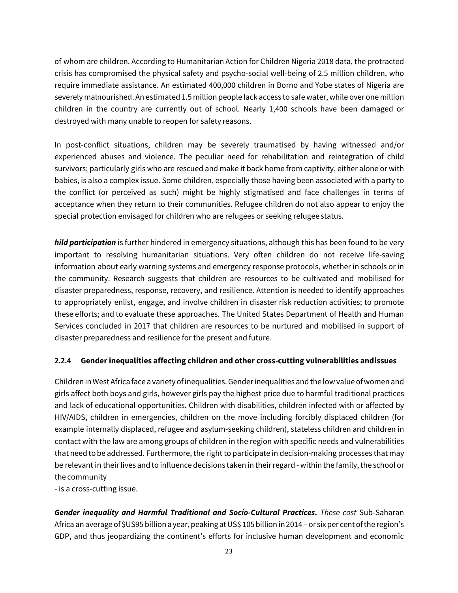of whom are children. According to Humanitarian Action for Children Nigeria 2018 data, the protracted crisis has compromised the physical safety and psycho-social well-being of 2.5 million children, who require immediate assistance. An estimated 400,000 children in Borno and Yobe states of Nigeria are severely malnourished. An estimated 1.5 million people lack access to safe water, while over one million children in the country are currently out of school. Nearly 1,400 schools have been damaged or destroyed with many unable to reopen for safety reasons.

In post-conflict situations, children may be severely traumatised by having witnessed and/or experienced abuses and violence. The peculiar need for rehabilitation and reintegration of child survivors; particularly girls who are rescued and make it back home from captivity, either alone or with babies, is also a complex issue. Some children, especially those having been associated with a party to the conflict (or perceived as such) might be highly stigmatised and face challenges in terms of acceptance when they return to their communities. Refugee children do not also appear to enjoy the special protection envisaged for children who are refugees or seeking refugee status.

*hild participation* is further hindered in emergency situations, although this has been found to be very important to resolving humanitarian situations. Very often children do not receive life-saving information about early warning systems and emergency response protocols, whether in schools or in the community. Research suggests that children are resources to be cultivated and mobilised for disaster preparedness, response, recovery, and resilience. Attention is needed to identify approaches to appropriately enlist, engage, and involve children in disaster risk reduction activities; to promote these efforts; and to evaluate these approaches. The United States Department of Health and Human Services concluded in 2017 that children are resources to be nurtured and mobilised in support of disaster preparedness and resilience for the present and future.

# <span id="page-26-0"></span>**2.2.4 Gender inequalities affecting children and other cross-cutting vulnerabilities and issues**

Children in West Africa face a varietyof inequalities. Gender inequalities and the lowvalue ofwomen and girls affect both boys and girls, however girls pay the highest price due to harmful traditional practices and lack of educational opportunities. Children with disabilities, children infected with or affected by HIV/AIDS, children in emergencies, children on the move including forcibly displaced children (for example internally displaced, refugee and asylum-seeking children), stateless children and children in contact with the law are among groups of children in the region with specific needs and vulnerabilities that need to be addressed. Furthermore, the right to participate in decision-making processes that may be relevant in their lives and to influence decisions taken in their regard - within the family, the school or the community

- is a cross-cutting issue.

*Gender inequality and Harmful Traditional and Socio-Cultural Practices. These cost* Sub-Saharan Africa an average of \$US95 billion a year, peaking atUS\$ 105 billion in 2014 – or six per centofthe region's GDP, and thus jeopardizing the continent's efforts for inclusive human development and economic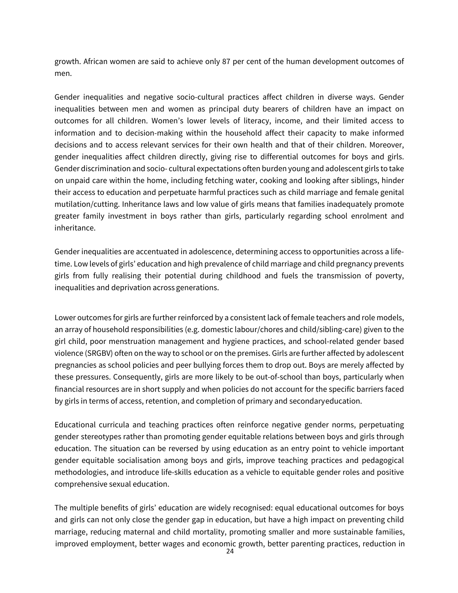growth. African women are said to achieve only 87 per cent of the human development outcomes of men.

Gender inequalities and negative socio-cultural practices affect children in diverse ways. Gender inequalities between men and women as principal duty bearers of children have an impact on outcomes for all children. Women's lower levels of literacy, income, and their limited access to information and to decision-making within the household affect their capacity to make informed decisions and to access relevant services for their own health and that of their children. Moreover, gender inequalities affect children directly, giving rise to differential outcomes for boys and girls. Gender discrimination and socio- cultural expectations often burden young and adolescent girls to take on unpaid care within the home, including fetching water, cooking and looking after siblings, hinder their access to education and perpetuate harmful practices such as child marriage and female genital mutilation/cutting. Inheritance laws and low value of girls means that families inadequately promote greater family investment in boys rather than girls, particularly regarding school enrolment and inheritance.

Gender inequalities are accentuated in adolescence, determining access to opportunities across a lifetime. Low levels of girls' education and high prevalence of child marriage and child pregnancy prevents girls from fully realising their potential during childhood and fuels the transmission of poverty, inequalities and deprivation across generations.

Lower outcomes for girls are further reinforced by a consistent lack of female teachers and role models, an array of household responsibilities (e.g. domestic labour/chores and child/sibling-care) given to the girl child, poor menstruation management and hygiene practices, and school-related gender based violence (SRGBV) often on the way to school or on the premises. Girls are further affected by adolescent pregnancies as school policies and peer bullying forces them to drop out. Boys are merely affected by these pressures. Consequently, girls are more likely to be out-of-school than boys, particularly when financial resources are in short supply and when policies do not account for the specific barriers faced by girls in terms of access, retention, and completion of primary and secondaryeducation.

Educational curricula and teaching practices often reinforce negative gender norms, perpetuating gender stereotypes rather than promoting gender equitable relations between boys and girls through education. The situation can be reversed by using education as an entry point to vehicle important gender equitable socialisation among boys and girls, improve teaching practices and pedagogical methodologies, and introduce life-skills education as a vehicle to equitable gender roles and positive comprehensive sexual education.

The multiple benefits of girls' education are widely recognised: equal educational outcomes for boys and girls can not only close the gender gap in education, but have a high impact on preventing child marriage, reducing maternal and child mortality, promoting smaller and more sustainable families, improved employment, better wages and economic growth, better parenting practices, reduction in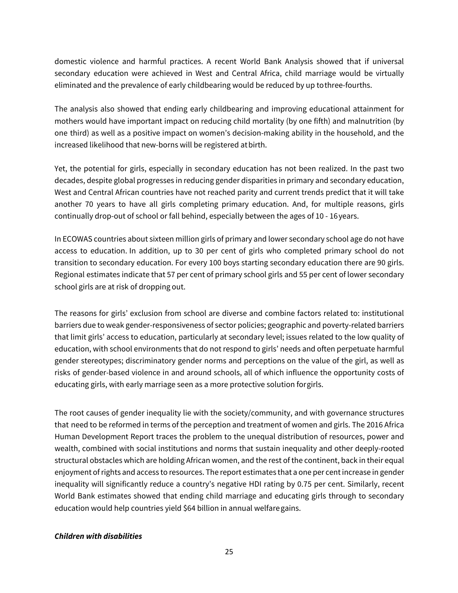domestic violence and harmful practices. A recent World Bank Analysis showed that if universal secondary education were achieved in West and Central Africa, child marriage would be virtually eliminated and the prevalence of early childbearing would be reduced by up tothree-fourths.

The analysis also showed that ending early childbearing and improving educational attainment for mothers would have important impact on reducing child mortality (by one fifth) and malnutrition (by one third) as well as a positive impact on women's decision-making ability in the household, and the increased likelihood that new-borns will be registered atbirth.

Yet, the potential for girls, especially in secondary education has not been realized. In the past two decades, despite global progresses in reducing gender disparities in primary and secondary education, West and Central African countries have not reached parity and current trends predict that it will take another 70 years to have all girls completing primary education. And, for multiple reasons, girls continually drop-out of school or fall behind, especially between the ages of 10 - 16 years.

In ECOWAS countries about sixteen million girls of primary and lower secondary school age do not have access to education. In addition, up to 30 per cent of girls who completed primary school do not transition to secondary education. For every 100 boys starting secondary education there are 90 girls. Regional estimates indicate that 57 per cent of primary school girls and 55 per cent of lower secondary school girls are at risk of dropping out.

The reasons for girls' exclusion from school are diverse and combine factors related to: institutional barriers due to weak gender-responsiveness of sector policies; geographic and poverty-related barriers that limit girls' access to education, particularly at secondary level; issues related to the low quality of education, with school environments that do not respond to girls' needs and often perpetuate harmful gender stereotypes; discriminatory gender norms and perceptions on the value of the girl, as well as risks of gender-based violence in and around schools, all of which influence the opportunity costs of educating girls, with early marriage seen as a more protective solution forgirls.

The root causes of gender inequality lie with the society/community, and with governance structures that need to be reformed in terms of the perception and treatment of women and girls. The 2016 Africa Human Development Report traces the problem to the unequal distribution of resources, power and wealth, combined with social institutions and norms that sustain inequality and other deeply-rooted structural obstacles which are holding African women, and the rest of the continent, back in their equal enjoyment of rights and access to resources. The report estimates that a one per cent increase in gender inequality will significantly reduce a country's negative HDI rating by 0.75 per cent. Similarly, recent World Bank estimates showed that ending child marriage and educating girls through to secondary education would help countries yield \$64 billion in annual welfaregains.

# *Children with disabilities*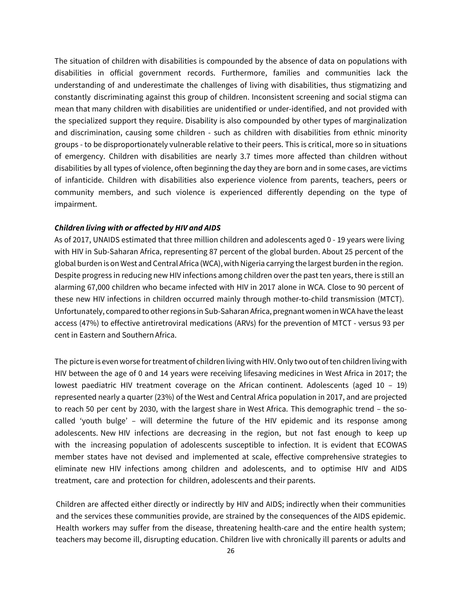The situation of children with disabilities is compounded by the absence of data on populations with disabilities in official government records. Furthermore, families and communities lack the understanding of and underestimate the challenges of living with disabilities, thus stigmatizing and constantly discriminating against this group of children. Inconsistent screening and social stigma can mean that many children with disabilities are unidentified or under-identified, and not provided with the specialized support they require. Disability is also compounded by other types of marginalization and discrimination, causing some children - such as children with disabilities from ethnic minority groups - to be disproportionately vulnerable relative to their peers. This is critical, more so in situations of emergency. Children with disabilities are nearly 3.7 times more affected than children without disabilities by all types of violence, often beginning the day they are born and in some cases, are victims of infanticide. Children with disabilities also experience violence from parents, teachers, peers or community members, and such violence is experienced differently depending on the type of impairment.

#### *Children living with or affected by HIV and AIDS*

As of 2017, UNAIDS estimated that three million children and adolescents aged 0 - 19 years were living with HIV in Sub-Saharan Africa, representing 87 percent of the global burden. About 25 percent of the global burden is on West and Central Africa (WCA), with Nigeria carrying the largest burden in the region. Despite progress in reducing new HIV infections among children over the past ten years, there is still an alarming 67,000 children who became infected with HIV in 2017 alone in WCA. Close to 90 percent of these new HIV infections in children occurred mainly through mother-to-child transmission (MTCT). Unfortunately, compared to other regions in Sub-Saharan Africa, pregnant women in WCA have the least access (47%) to effective antiretroviral medications (ARVs) for the prevention of MTCT - versus 93 per cent in Eastern and Southern Africa.

The picture is even worse for treatment of children living with HIV. Only two out of ten children living with HIV between the age of 0 and 14 years were receiving lifesaving medicines in West Africa in 2017; the lowest paediatric HIV treatment coverage on the African continent. Adolescents (aged 10 – 19) represented nearly a quarter (23%) of the West and Central Africa population in 2017, and are projected to reach 50 per cent by 2030, with the largest share in West Africa. This demographic trend – the socalled 'youth bulge' – will determine the future of the HIV epidemic and its response among adolescents. New HIV infections are decreasing in the region, but not fast enough to keep up with the increasing population of adolescents susceptible to infection. It is evident that ECOWAS member states have not devised and implemented at scale, effective comprehensive strategies to eliminate new HIV infections among children and adolescents, and to optimise HIV and AIDS treatment, care and protection for children, adolescents and their parents.

Children are affected either directly or indirectly by HIV and AIDS; indirectly when their communities and the services these communities provide, are strained by the consequences of the AIDS epidemic. Health workers may suffer from the disease, threatening health-care and the entire health system; teachers may become ill, disrupting education. Children live with chronically ill parents or adults and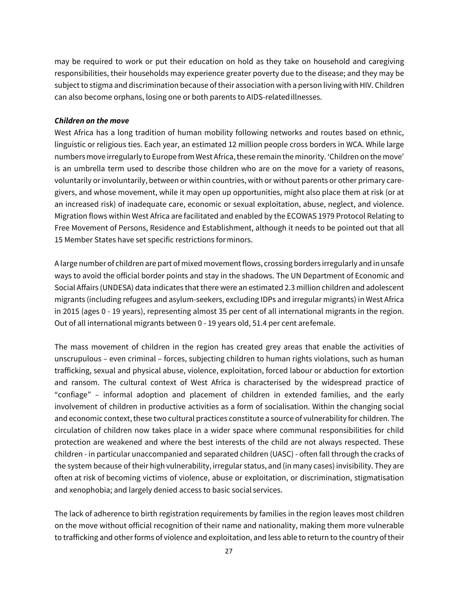may be required to work or put their education on hold as they take on household and caregiving responsibilities, their households may experience greater poverty due to the disease; and they may be subject to stigma and discrimination because of their association with a person living with HIV. Children can also become orphans, losing one or both parents to AIDS-relatedillnesses.

## *Children on the move*

West Africa has a long tradition of human mobility following networks and routes based on ethnic, linguistic or religious ties. Each year, an estimated 12 million people cross borders in WCA. While large numbers move irregularly to Europe from West Africa, these remain the minority. 'Children on the move' is an umbrella term used to describe those children who are on the move for a variety of reasons, voluntarily or involuntarily, between or within countries, with or without parents or other primary caregivers, and whose movement, while it may open up opportunities, might also place them at risk (or at an increased risk) of inadequate care, economic or sexual exploitation, abuse, neglect, and violence. Migration flows within West Africa are facilitated and enabled by the ECOWAS 1979 Protocol Relating to Free Movement of Persons, Residence and Establishment, although it needs to be pointed out that all 15 Member States have set specific restrictions for minors.

A large number of children are part of mixed movement flows, crossing borders irregularly and in unsafe ways to avoid the official border points and stay in the shadows. The UN Department of Economic and Social Affairs (UNDESA) data indicates that there were an estimated 2.3 million children and adolescent migrants (including refugees and asylum-seekers, excluding IDPs and irregular migrants) in West Africa in 2015 (ages 0 - 19 years), representing almost 35 per cent of all international migrants in the region. Out of all international migrants between 0 - 19 years old, 51.4 per cent arefemale.

The mass movement of children in the region has created grey areas that enable the activities of unscrupulous – even criminal – forces, subjecting children to human rights violations, such as human trafficking, sexual and physical abuse, violence, exploitation, forced labour or abduction for extortion and ransom. The cultural context of West Africa is characterised by the widespread practice of "confiage" – informal adoption and placement of children in extended families, and the early involvement of children in productive activities as a form of socialisation. Within the changing social and economic context, these two cultural practices constitute a source of vulnerability for children. The circulation of children now takes place in a wider space where communal responsibilities for child protection are weakened and where the best interests of the child are not always respected. These children - in particular unaccompanied and separated children (UASC) - often fall through the cracks of the system because of their high vulnerability, irregular status, and (in many cases) invisibility. They are often at risk of becoming victims of violence, abuse or exploitation, or discrimination, stigmatisation and xenophobia; and largely denied access to basic social services.

The lack of adherence to birth registration requirements by families in the region leaves most children on the move without official recognition of their name and nationality, making them more vulnerable to trafficking and other forms of violence and exploitation, and less able to return to the country of their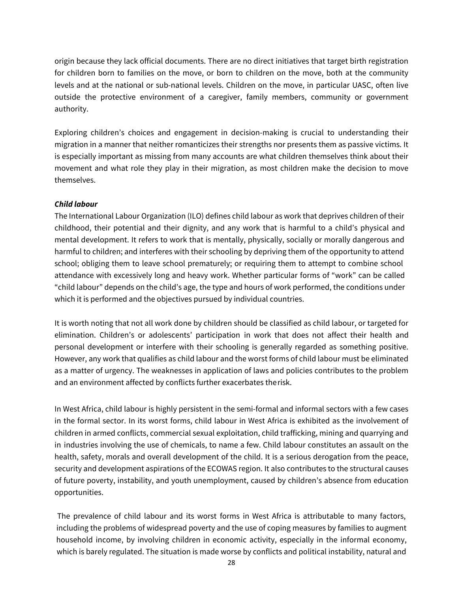origin because they lack official documents. There are no direct initiatives that target birth registration for children born to families on the move, or born to children on the move, both at the community levels and at the national or sub-national levels. Children on the move, in particular UASC, often live outside the protective environment of a caregiver, family members, community or government authority.

Exploring children's choices and engagement in decision-making is crucial to understanding their migration in a manner that neither romanticizes their strengths nor presents them as passive victims. It is especially important as missing from many accounts are what children themselves think about their movement and what role they play in their migration, as most children make the decision to move themselves.

## *Child labour*

The International Labour Organization (ILO) defines child labour as work that deprives children of their childhood, their potential and their dignity, and any work that is harmful to a child's physical and mental development. It refers to work that is mentally, physically, socially or morally dangerous and harmful to children; and interferes with their schooling by depriving them of the opportunity to attend school; obliging them to leave school prematurely; or requiring them to attempt to combine school attendance with excessively long and heavy work. Whether particular forms of "work" can be called "child labour" depends on the child's age, the type and hours of work performed, the conditions under which it is performed and the objectives pursued by individual countries.

It is worth noting that not all work done by children should be classified as child labour, or targeted for elimination. Children's or adolescents' participation in work that does not affect their health and personal development or interfere with their schooling is generally regarded as something positive. However, any work that qualifies as child labour and the worst forms of child labour must be eliminated as a matter of urgency. The weaknesses in application of laws and policies contributes to the problem and an environment affected by conflicts further exacerbates therisk.

In West Africa, child labour is highly persistent in the semi-formal and informal sectors with a few cases in the formal sector. In its worst forms, child labour in West Africa is exhibited as the involvement of children in armed conflicts, commercial sexual exploitation, child trafficking, mining and quarrying and in industries involving the use of chemicals, to name a few. Child labour constitutes an assault on the health, safety, morals and overall development of the child. It is a serious derogation from the peace, security and development aspirations of the ECOWAS region. It also contributes to the structural causes of future poverty, instability, and youth unemployment, caused by children's absence from education opportunities.

The prevalence of child labour and its worst forms in West Africa is attributable to many factors, including the problems of widespread poverty and the use of coping measures by families to augment household income, by involving children in economic activity, especially in the informal economy, which is barely regulated. The situation is made worse by conflicts and political instability, natural and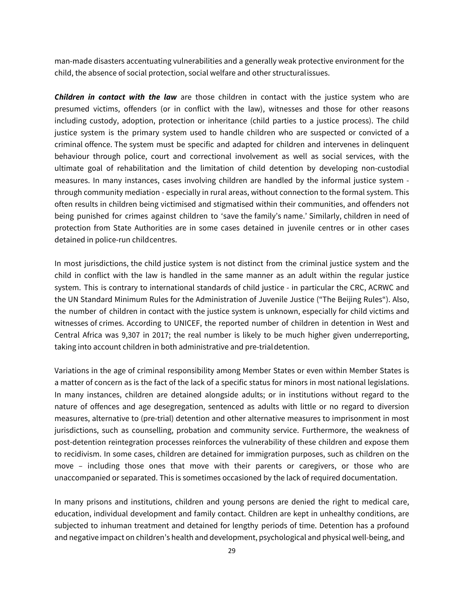man-made disasters accentuating vulnerabilities and a generally weak protective environment for the child, the absence of social protection, social welfare and other structuralissues.

*Children in contact with the law* are those children in contact with the justice system who are presumed victims, offenders (or in conflict with the law), witnesses and those for other reasons including custody, adoption, protection or inheritance (child parties to a justice process). The child justice system is the primary system used to handle children who are suspected or convicted of a criminal offence. The system must be specific and adapted for children and intervenes in delinquent behaviour through police, court and correctional involvement as well as social services, with the ultimate goal of rehabilitation and the limitation of child detention by developing non-custodial measures. In many instances, cases involving children are handled by the informal justice system through community mediation - especially in rural areas, without connection to the formal system. This often results in children being victimised and stigmatised within their communities, and offenders not being punished for crimes against children to 'save the family's name.' Similarly, children in need of protection from State Authorities are in some cases detained in juvenile centres or in other cases detained in police-run childcentres.

In most jurisdictions, the child justice system is not distinct from the criminal justice system and the child in conflict with the law is handled in the same manner as an adult within the regular justice system. This is contrary to international standards of child justice - in particular the CRC, ACRWC and the UN Standard Minimum Rules for the Administration of Juvenile Justice ("The Beijing Rules"). Also, the number of children in contact with the justice system is unknown, especially for child victims and witnesses of crimes. According to UNICEF, the reported number of children in detention in West and Central Africa was 9,307 in 2017; the real number is likely to be much higher given underreporting, taking into account children in both administrative and pre-trialdetention.

Variations in the age of criminal responsibility among Member States or even within Member States is a matter of concern as is the fact of the lack of a specific status for minors in most national legislations. In many instances, children are detained alongside adults; or in institutions without regard to the nature of offences and age desegregation, sentenced as adults with little or no regard to diversion measures, alternative to (pre-trial) detention and other alternative measures to imprisonment in most jurisdictions, such as counselling, probation and community service. Furthermore, the weakness of post-detention reintegration processes reinforces the vulnerability of these children and expose them to recidivism. In some cases, children are detained for immigration purposes, such as children on the move – including those ones that move with their parents or caregivers, or those who are unaccompanied or separated. This is sometimes occasioned by the lack of required documentation.

In many prisons and institutions, children and young persons are denied the right to medical care, education, individual development and family contact. Children are kept in unhealthy conditions, are subjected to inhuman treatment and detained for lengthy periods of time. Detention has a profound and negative impact on children's health and development, psychological and physical well-being, and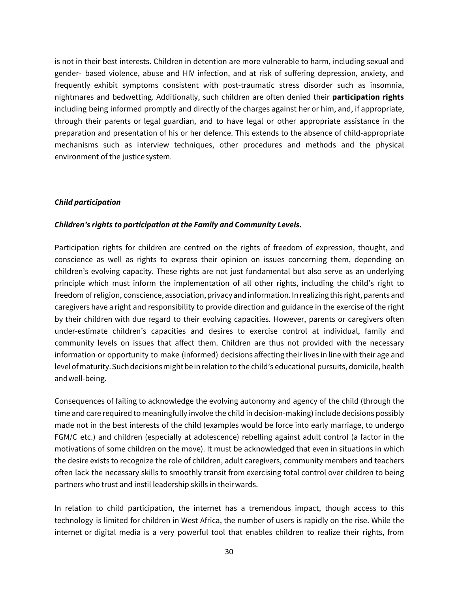is not in their best interests. Children in detention are more vulnerable to harm, including sexual and gender- based violence, abuse and HIV infection, and at risk of suffering depression, anxiety, and frequently exhibit symptoms consistent with post-traumatic stress disorder such as insomnia, nightmares and bedwetting. Additionally, such children are often denied their **participation rights**  including being informed promptly and directly of the charges against her or him, and, if appropriate, through their parents or legal guardian, and to have legal or other appropriate assistance in the preparation and presentation of his or her defence. This extends to the absence of child-appropriate mechanisms such as interview techniques, other procedures and methods and the physical environment of the justicesystem.

#### *Child participation*

#### *Children's rights to participation at the Family and Community Levels.*

Participation rights for children are centred on the rights of freedom of expression, thought, and conscience as well as rights to express their opinion on issues concerning them, depending on children's evolving capacity. These rights are not just fundamental but also serve as an underlying principle which must inform the implementation of all other rights, including the child's right to freedom of religion, conscience, association, privacy and information. In realizing this right, parents and caregivers have a right and responsibility to provide direction and guidance in the exercise of the right by their children with due regard to their evolving capacities. However, parents or caregivers often under-estimate children's capacities and desires to exercise control at individual, family and community levels on issues that affect them. Children are thus not provided with the necessary information or opportunity to make (informed) decisions affecting their lives in line with their age and level of maturity. Such decisions might be in relation to the child's educational pursuits, domicile, health andwell-being.

Consequences of failing to acknowledge the evolving autonomy and agency of the child (through the time and care required to meaningfully involve the child in decision-making) include decisions possibly made not in the best interests of the child (examples would be force into early marriage, to undergo FGM/C etc.) and children (especially at adolescence) rebelling against adult control (a factor in the motivations of some children on the move). It must be acknowledged that even in situations in which the desire exists to recognize the role of children, adult caregivers, community members and teachers often lack the necessary skills to smoothly transit from exercising total control over children to being partners who trust and instil leadership skills in theirwards.

In relation to child participation, the internet has a tremendous impact, though access to this technology is limited for children in West Africa, the number of users is rapidly on the rise. While the internet or digital media is a very powerful tool that enables children to realize their rights, from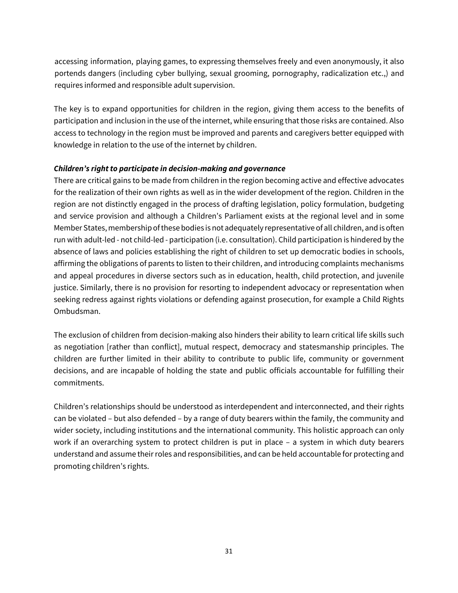accessing information, playing games, to expressing themselves freely and even anonymously, it also portends dangers (including cyber bullying, sexual grooming, pornography, radicalization etc.,) and requires informed and responsible adult supervision.

The key is to expand opportunities for children in the region, giving them access to the benefits of participation and inclusion in the use of the internet, while ensuring that those risks are contained. Also access to technology in the region must be improved and parents and caregivers better equipped with knowledge in relation to the use of the internet by children.

## *Children's right to participate in decision-making and governance*

There are critical gains to be made from children in the region becoming active and effective advocates for the realization of their own rights as well as in the wider development of the region. Children in the region are not distinctly engaged in the process of drafting legislation, policy formulation, budgeting and service provision and although a Children's Parliament exists at the regional level and in some Member States, membership of these bodies is not adequately representative of all children, and is often run with adult-led - not child-led - participation (i.e. consultation). Child participation is hindered by the absence of laws and policies establishing the right of children to set up democratic bodies in schools, affirming the obligations of parents to listen to their children, and introducing complaints mechanisms and appeal procedures in diverse sectors such as in education, health, child protection, and juvenile justice. Similarly, there is no provision for resorting to independent advocacy or representation when seeking redress against rights violations or defending against prosecution, for example a Child Rights Ombudsman.

The exclusion of children from decision-making also hinders their ability to learn critical life skills such as negotiation [rather than conflict], mutual respect, democracy and statesmanship principles. The children are further limited in their ability to contribute to public life, community or government decisions, and are incapable of holding the state and public officials accountable for fulfilling their commitments.

Children's relationships should be understood as interdependent and interconnected, and their rights can be violated – but also defended – by a range of duty bearers within the family, the community and wider society, including institutions and the international community. This holistic approach can only work if an overarching system to protect children is put in place – a system in which duty bearers understand and assume their roles and responsibilities, and can be held accountable for protecting and promoting children's rights.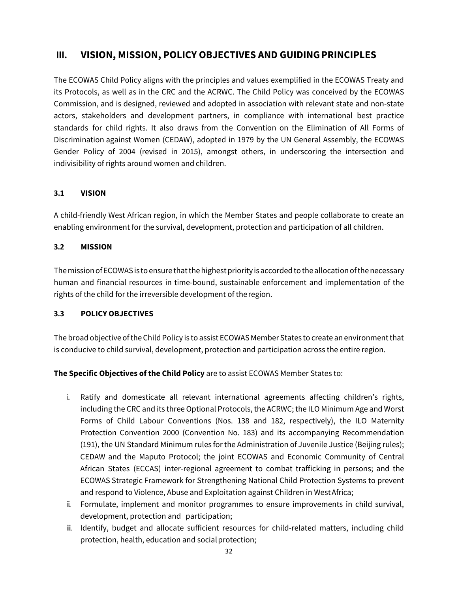# <span id="page-35-0"></span>**III. VISION, MISSION, POLICY OBJECTIVES AND GUIDINGPRINCIPLES**

The ECOWAS Child Policy aligns with the principles and values exemplified in the ECOWAS Treaty and its Protocols, as well as in the CRC and the ACRWC. The Child Policy was conceived by the ECOWAS Commission, and is designed, reviewed and adopted in association with relevant state and non-state actors, stakeholders and development partners, in compliance with international best practice standards for child rights. It also draws from the Convention on the Elimination of All Forms of Discrimination against Women (CEDAW), adopted in 1979 by the UN General Assembly, the ECOWAS Gender Policy of 2004 (revised in 2015), amongst others, in underscoring the intersection and indivisibility of rights around women and children.

# <span id="page-35-1"></span>**3.1 VISION**

A child-friendly West African region, in which the Member States and people collaborate to create an enabling environment for the survival, development, protection and participation of all children.

# <span id="page-35-2"></span>**3.2 MISSION**

The mission of ECOWAS is to ensure that the highest priority is accorded to the allocation of the necessary human and financial resources in time-bound, sustainable enforcement and implementation of the rights of the child for the irreversible development of theregion.

# <span id="page-35-3"></span>**3.3 POLICY OBJECTIVES**

The broad objective of the Child Policy is to assist ECOWAS Member States to create an environment that is conducive to child survival, development, protection and participation across the entire region.

# **The Specific Objectives of the Child Policy** are to assist ECOWAS Member States to:

- i. Ratify and domesticate all relevant international agreements affecting children's rights, including the CRC and its three Optional Protocols, the ACRWC; the ILO Minimum Age and Worst Forms of Child Labour Conventions (Nos. 138 and 182, respectively), the ILO Maternity Protection Convention 2000 (Convention No. 183) and its accompanying Recommendation (191), the UN Standard Minimum rules for the Administration of Juvenile Justice (Beijing rules); CEDAW and the Maputo Protocol; the joint ECOWAS and Economic Community of Central African States (ECCAS) inter-regional agreement to combat trafficking in persons; and the ECOWAS Strategic Framework for Strengthening National Child Protection Systems to prevent and respond to Violence, Abuse and Exploitation against Children in WestAfrica;
- ii. Formulate, implement and monitor programmes to ensure improvements in child survival, development, protection and participation;
- iii. Identify, budget and allocate sufficient resources for child-related matters, including child protection, health, education and socialprotection;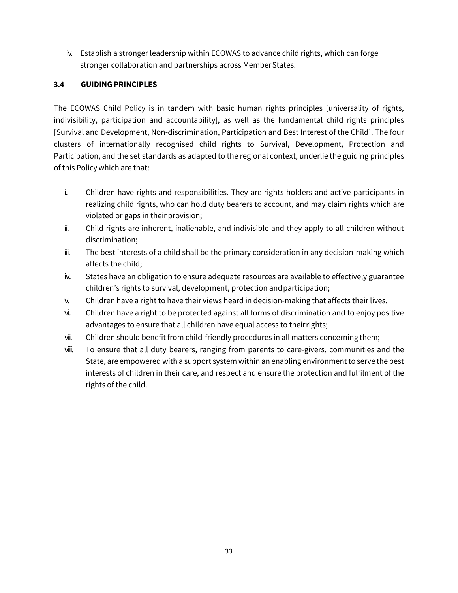iv. Establish a stronger leadership within ECOWAS to advance child rights, which can forge stronger collaboration and partnerships across MemberStates.

#### **3.4 GUIDING PRINCIPLES**

The ECOWAS Child Policy is in tandem with basic human rights principles [universality of rights, indivisibility, participation and accountability], as well as the fundamental child rights principles [Survival and Development, Non-discrimination, Participation and Best Interest of the Child]. The four clusters of internationally recognised child rights to Survival, Development, Protection and Participation, and the set standards as adapted to the regional context, underlie the guiding principles of this Policy which are that:

- i. Children have rights and responsibilities. They are rights-holders and active participants in realizing child rights, who can hold duty bearers to account, and may claim rights which are violated or gaps in their provision;
- ii. Child rights are inherent, inalienable, and indivisible and they apply to all children without discrimination;
- iii. The best interests of a child shall be the primary consideration in any decision-making which affects the child;
- iv. States have an obligation to ensure adequate resources are available to effectively guarantee children's rights to survival, development, protection andparticipation;
- v. Children have a right to have their views heard in decision-making that affects their lives.
- vi. Children have a right to be protected against all forms of discrimination and to enjoy positive advantages to ensure that all children have equal access to theirrights;
- vii. Children should benefit from child-friendly procedures in all matters concerning them;
- viii. To ensure that all duty bearers, ranging from parents to care-givers, communities and the State, are empowered with a support system within an enabling environment to serve the best interests of children in their care, and respect and ensure the protection and fulfilment of the rights of the child.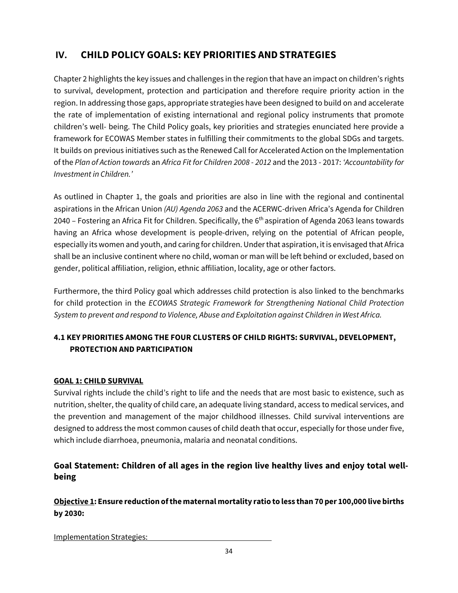# **IV. CHILD POLICY GOALS: KEY PRIORITIES ANDSTRATEGIES**

Chapter 2 highlights the key issues and challenges in the region that have an impact on children's rights to survival, development, protection and participation and therefore require priority action in the region. In addressing those gaps, appropriate strategies have been designed to build on and accelerate the rate of implementation of existing international and regional policy instruments that promote children's well- being. The Child Policy goals, key priorities and strategies enunciated here provide a framework for ECOWAS Member states in fulfilling their commitments to the global SDGs and targets. It builds on previous initiatives such as the Renewed Call for Accelerated Action on the Implementation of the *Plan of Action towards* an *Africa Fit for Children 2008 - 2012* and the 2013 - 2017: *'Accountability for Investment in Children.'* 

As outlined in Chapter 1, the goals and priorities are also in line with the regional and continental aspirations in the African Union *(AU) Agenda 2063* and the ACERWC-driven Africa's Agenda for Children 2040 – Fostering an Africa Fit for Children. Specifically, the  $6<sup>th</sup>$  aspiration of Agenda 2063 leans towards having an Africa whose development is people-driven, relying on the potential of African people, especially its women and youth, and caring for children. Under that aspiration, it is envisaged that Africa shall be an inclusive continent where no child, woman or man will be left behind or excluded, based on gender, political affiliation, religion, ethnic affiliation, locality, age or other factors.

Furthermore, the third Policy goal which addresses child protection is also linked to the benchmarks for child protection in the *ECOWAS Strategic Framework for Strengthening National Child Protection System to prevent and respond to Violence, Abuse and Exploitation against Children in West Africa.*

### **4.1 KEY PRIORITIES AMONG THE FOUR CLUSTERS OF CHILD RIGHTS: SURVIVAL, DEVELOPMENT, PROTECTION AND PARTICIPATION**

#### **GOAL 1: CHILD SURVIVAL**

Survival rights include the child's right to life and the needs that are most basic to existence, such as nutrition, shelter, the quality of child care, an adequate living standard, access to medical services, and the prevention and management of the major childhood illnesses. Child survival interventions are designed to address the most common causes of child death that occur, especially for those under five, which include diarrhoea, pneumonia, malaria and neonatal conditions.

### **Goal Statement: Children of all ages in the region live healthy lives and enjoy total wellbeing**

### **Objective 1: Ensure reduction of the maternal mortality ratio to less than 70 per 100,000 live births by 2030:**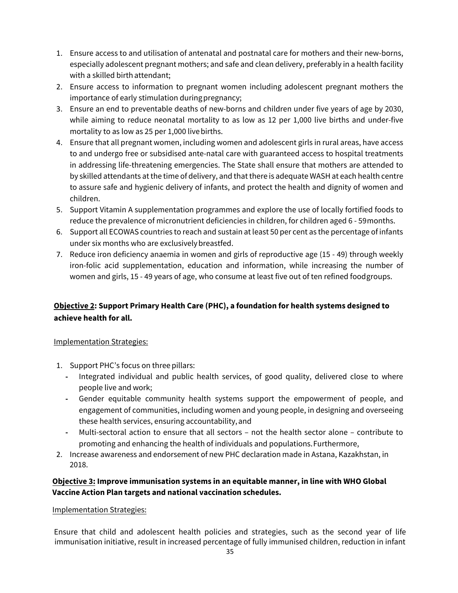- 1. Ensure access to and utilisation of antenatal and postnatal care for mothers and their new-borns, especially adolescent pregnant mothers; and safe and clean delivery, preferably in a health facility with a skilled birth attendant;
- 2. Ensure access to information to pregnant women including adolescent pregnant mothers the importance of early stimulation duringpregnancy;
- 3. Ensure an end to preventable deaths of new-borns and children under five years of age by 2030, while aiming to reduce neonatal mortality to as low as 12 per 1,000 live births and under-five mortality to as low as 25 per 1,000 livebirths.
- 4. Ensure that all pregnant women, including women and adolescent girls in rural areas, have access to and undergo free or subsidised ante-natal care with guaranteed access to hospital treatments in addressing life-threatening emergencies. The State shall ensure that mothers are attended to by skilled attendants at the time of delivery, and that there is adequate WASH at each health centre to assure safe and hygienic delivery of infants, and protect the health and dignity of women and children.
- 5. Support Vitamin A supplementation programmes and explore the use of locally fortified foods to reduce the prevalence of micronutrient deficiencies in children, for children aged 6 - 59 months.
- 6. Support all ECOWAS countries to reach and sustain at least 50 per cent as the percentage of infants under six months who are exclusively breastfed.
- 7. Reduce iron deficiency anaemia in women and girls of reproductive age (15 49) through weekly iron-folic acid supplementation, education and information, while increasing the number of women and girls, 15 - 49 years of age, who consume at least five out of ten refined foodgroups.

### **Objective 2: Support Primary Health Care (PHC), a foundation for health systems designed to achieve health for all.**

#### Implementation Strategies:

- 1. Support PHC's focus on three pillars:
	- **-** Integrated individual and public health services, of good quality, delivered close to where people live and work;
	- **-** Gender equitable community health systems support the empowerment of people, and engagement of communities, including women and young people, in designing and overseeing these health services, ensuring accountability,and
	- **-** Multi-sectoral action to ensure that all sectors not the health sector alone contribute to promoting and enhancing the health of individuals and populations.Furthermore,
- 2. Increase awareness and endorsement of new PHC declaration made in Astana, Kazakhstan, in 2018.

### **Objective 3: Improve immunisation systems in an equitable manner, in line with WHO Global Vaccine Action Plan targets and national vaccination schedules.**

#### Implementation Strategies:

Ensure that child and adolescent health policies and strategies, such as the second year of life immunisation initiative, result in increased percentage of fully immunised children, reduction in infant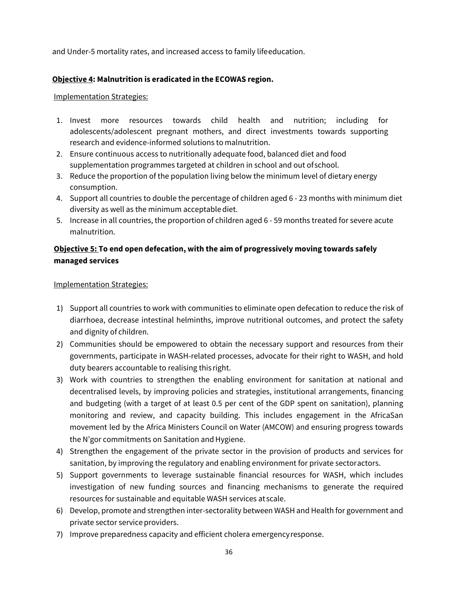and Under-5 mortality rates, and increased access to family lifeeducation.

#### **Objective 4: Malnutrition is eradicated in the ECOWAS region.**

#### Implementation Strategies:

- 1. Invest more resources towards child health and nutrition; including for adolescents/adolescent pregnant mothers, and direct investments towards supporting research and evidence-informed solutions to malnutrition.
- 2. Ensure continuous access to nutritionally adequate food, balanced diet and food supplementation programmes targeted at children in school and out ofschool.
- 3. Reduce the proportion of the population living below the minimum level of dietary energy consumption.
- 4. Support all countries to double the percentage of children aged 6 23 months with minimum diet diversity as well as the minimum acceptablediet.
- 5. Increase in all countries, the proportion of children aged 6 59 months treated for severe acute malnutrition.

#### **Objective 5: To end open defecation, with the aim of progressively moving towards safely managed services**

- 1) Support all countries to work with communities to eliminate open defecation to reduce the risk of diarrhoea, decrease intestinal helminths, improve nutritional outcomes, and protect the safety and dignity of children.
- 2) Communities should be empowered to obtain the necessary support and resources from their governments, participate in WASH-related processes, advocate for their right to WASH, and hold duty bearers accountable to realising this right.
- 3) Work with countries to strengthen the enabling environment for sanitation at national and decentralised levels, by improving policies and strategies, institutional arrangements, financing and budgeting (with a target of at least 0.5 per cent of the GDP spent on sanitation), planning monitoring and review, and capacity building. This includes engagement in the AfricaSan movement led by the Africa Ministers Council on Water (AMCOW) and ensuring progress towards the N'gor commitments on Sanitation and Hygiene.
- 4) Strengthen the engagement of the private sector in the provision of products and services for sanitation, by improving the regulatory and enabling environment for private sectoractors.
- 5) Support governments to leverage sustainable financial resources for WASH, which includes investigation of new funding sources and financing mechanisms to generate the required resources for sustainable and equitable WASH services at scale.
- 6) Develop, promote and strengthen inter-sectorality between WASH and Health for government and private sector service providers.
- 7) Improve preparedness capacity and efficient cholera emergencyresponse.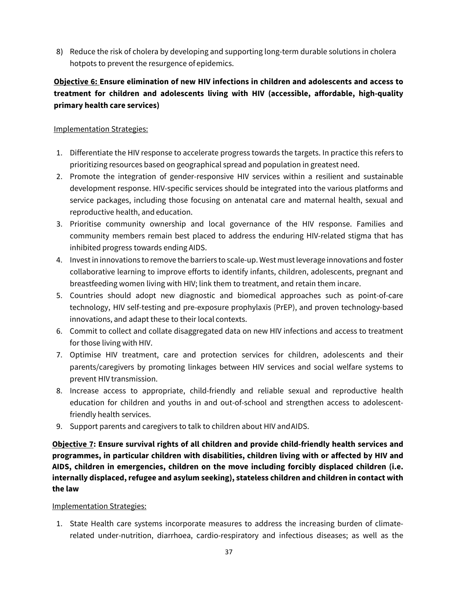8) Reduce the risk of cholera by developing and supporting long-term durable solutions in cholera hotpots to prevent the resurgence of epidemics.

### **Objective 6: Ensure elimination of new HIV infections in children and adolescents and access to treatment for children and adolescents living with HIV (accessible, affordable, high-quality primary health care services)**

#### Implementation Strategies:

- 1. Differentiate the HIV response to accelerate progress towards the targets. In practice this refers to prioritizing resources based on geographical spread and population in greatest need.
- 2. Promote the integration of gender-responsive HIV services within a resilient and sustainable development response. HIV-specific services should be integrated into the various platforms and service packages, including those focusing on antenatal care and maternal health, sexual and reproductive health, and education.
- 3. Prioritise community ownership and local governance of the HIV response. Families and community members remain best placed to address the enduring HIV-related stigma that has inhibited progress towards ending AIDS.
- 4. Invest in innovations to remove the barriers to scale-up. West must leverage innovations and foster collaborative learning to improve efforts to identify infants, children, adolescents, pregnant and breastfeeding women living with HIV; link them to treatment, and retain them incare.
- 5. Countries should adopt new diagnostic and biomedical approaches such as point-of-care technology, HIV self-testing and pre-exposure prophylaxis (PrEP), and proven technology-based innovations, and adapt these to their local contexts.
- 6. Commit to collect and collate disaggregated data on new HIV infections and access to treatment for those living with HIV.
- 7. Optimise HIV treatment, care and protection services for children, adolescents and their parents/caregivers by promoting linkages between HIV services and social welfare systems to prevent HIV transmission.
- 8. Increase access to appropriate, child-friendly and reliable sexual and reproductive health education for children and youths in and out-of-school and strengthen access to adolescentfriendly health services.
- 9. Support parents and caregivers to talk to children about HIV andAIDS.

**Objective 7: Ensure survival rights of all children and provide child-friendly health services and programmes, in particular children with disabilities, children living with or affected by HIV and AIDS, children in emergencies, children on the move including forcibly displaced children (i.e. internally displaced, refugee and asylum seeking), stateless children and children in contact with the law**

#### Implementation Strategies:

1. State Health care systems incorporate measures to address the increasing burden of climaterelated under-nutrition, diarrhoea, cardio-respiratory and infectious diseases; as well as the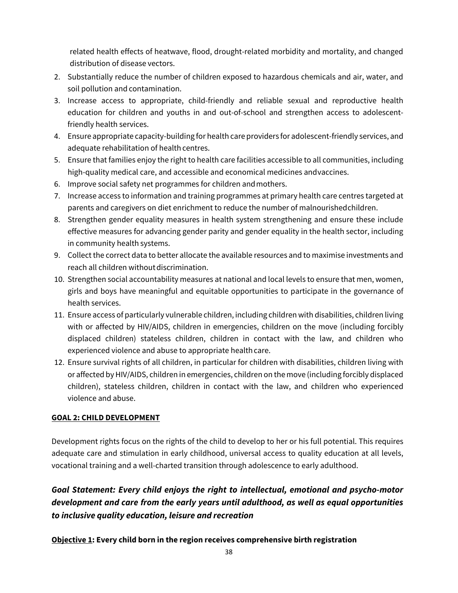related health effects of heatwave, flood, drought-related morbidity and mortality, and changed distribution of disease vectors.

- 2. Substantially reduce the number of children exposed to hazardous chemicals and air, water, and soil pollution and contamination.
- 3. Increase access to appropriate, child-friendly and reliable sexual and reproductive health education for children and youths in and out-of-school and strengthen access to adolescentfriendly health services.
- 4. Ensure appropriate capacity-building for health care providers for adolescent-friendly services, and adequate rehabilitation of health centres.
- 5. Ensure that families enjoy the right to health care facilities accessible to all communities, including high-quality medical care, and accessible and economical medicines andvaccines.
- 6. Improve social safety net programmes for children andmothers.
- 7. Increase access to information and training programmes at primary health care centres targeted at parents and caregivers on diet enrichment to reduce the number of malnourished children.
- 8. Strengthen gender equality measures in health system strengthening and ensure these include effective measures for advancing gender parity and gender equality in the health sector, including in community health systems.
- 9. Collect the correct data to better allocate the available resources and to maximise investments and reach all children without discrimination.
- 10. Strengthen social accountability measures at national and local levels to ensure that men, women, girls and boys have meaningful and equitable opportunities to participate in the governance of health services.
- 11. Ensure access of particularly vulnerable children, including children with disabilities, children living with or affected by HIV/AIDS, children in emergencies, children on the move (including forcibly displaced children) stateless children, children in contact with the law, and children who experienced violence and abuse to appropriate health care.
- 12. Ensure survival rights of all children, in particular for children with disabilities, children living with or affected by HIV/AIDS, children in emergencies, children on the move (including forcibly displaced children), stateless children, children in contact with the law, and children who experienced violence and abuse.

### **GOAL 2: CHILD DEVELOPMENT**

Development rights focus on the rights of the child to develop to her or his full potential. This requires adequate care and stimulation in early childhood, universal access to quality education at all levels, vocational training and a well-charted transition through adolescence to early adulthood.

# *Goal Statement: Every child enjoys the right to intellectual, emotional and psycho-motor development and care from the early years until adulthood, as well as equal opportunities to inclusive quality education, leisure and recreation*

### **Objective 1: Every child born in the region receives comprehensive birth registration**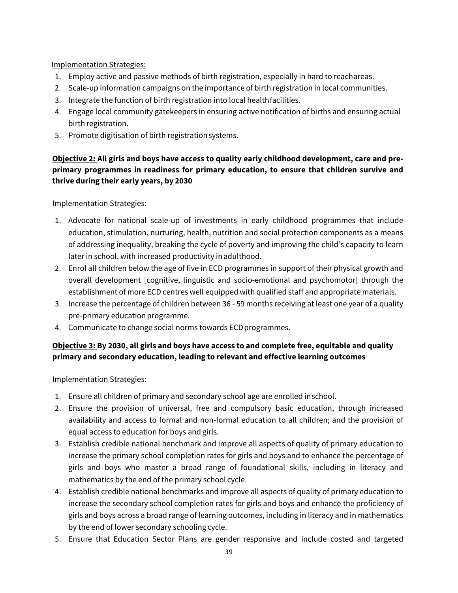#### Implementation Strategies:

- 1. Employ active and passive methods of birth registration, especially in hard to reachareas.
- 2. Scale-up information campaigns on the importance of birth registration in local communities.
- 3. Integrate the function of birth registration into local healthfacilities.
- 4. Engage local community gatekeepers in ensuring active notification of births and ensuring actual birth registration.
- 5. Promote digitisation of birth registration systems.

### **Objective 2: All girls and boys have access to quality early childhood development, care and preprimary programmes in readiness for primary education, to ensure that children survive and thrive during their early years, by 2030**

#### Implementation Strategies:

- 1. Advocate for national scale-up of investments in early childhood programmes that include education, stimulation, nurturing, health, nutrition and social protection components as a means of addressing inequality, breaking the cycle of poverty and improving the child's capacity to learn later in school, with increased productivity in adulthood.
- 2. Enrol all children below the age of five in ECD programmes in support of their physical growth and overall development [cognitive, linguistic and socio-emotional and psychomotor] through the establishment of more ECD centres well equipped with qualified staff and appropriate materials.
- 3. Increase the percentage of children between 36 59 months receiving at least one year of a quality pre-primary education programme.
- 4. Communicate to change social norms towards ECDprogrammes.

### **Objective 3: By 2030, all girls and boys have access to and complete free, equitable and quality primary and secondary education, leading to relevant and effective learning outcomes**

- 1. Ensure all children of primary and secondary school age are enrolled inschool.
- 2. Ensure the provision of universal, free and compulsory basic education, through increased availability and access to formal and non-formal education to all children; and the provision of equal access to education for boys and girls.
- 3. Establish credible national benchmark and improve all aspects of quality of primary education to increase the primary school completion rates for girls and boys and to enhance the percentage of girls and boys who master a broad range of foundational skills, including in literacy and mathematics by the end of the primary school cycle.
- 4. Establish credible national benchmarks and improve all aspects of quality of primary education to increase the secondary school completion rates for girls and boys and enhance the proficiency of girls and boys across a broad range of learning outcomes, including in literacy and in mathematics by the end of lower secondary schooling cycle.
- 5. Ensure that Education Sector Plans are gender responsive and include costed and targeted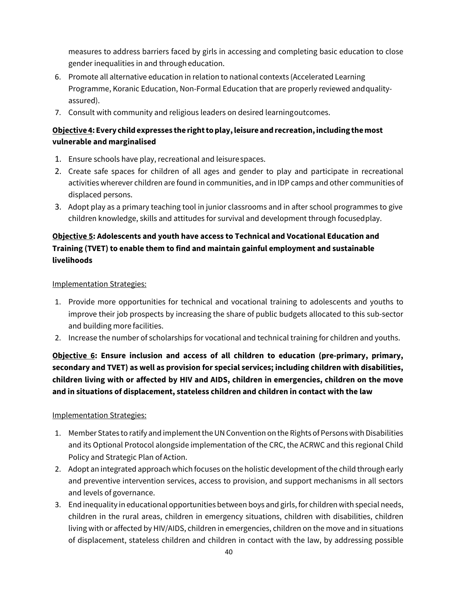measures to address barriers faced by girls in accessing and completing basic education to close gender inequalities in and through education.

- 6. Promote all alternative education in relation to national contexts (Accelerated Learning Programme, Koranic Education, Non-Formal Education that are properly reviewed andqualityassured).
- 7. Consult with community and religious leaders on desired learningoutcomes.

### **Objective 4: Every childexpresses the right to play, leisure andrecreation,including the most vulnerable and marginalised**

- 1. Ensure schools have play, recreational and leisurespaces.
- 2. Create safe spaces for children of all ages and gender to play and participate in recreational activities wherever children are found in communities, and in IDP camps and other communities of displaced persons.
- 3. Adopt play as a primary teaching tool in junior classrooms and in after school programmes to give children knowledge, skills and attitudes for survival and development through focusedplay.

### **Objective 5: Adolescents and youth have access to Technical and Vocational Education and Training (TVET) to enable them to find and maintain gainful employment and sustainable livelihoods**

Implementation Strategies:

- 1. Provide more opportunities for technical and vocational training to adolescents and youths to improve their job prospects by increasing the share of public budgets allocated to this sub-sector and building more facilities.
- 2. Increase the number of scholarships for vocational and technical training for children and youths.

**Objective 6: Ensure inclusion and access of all children to education (pre-primary, primary, secondary and TVET) as well as provision for special services; including children with disabilities, children living with or affected by HIV and AIDS, children in emergencies, children on the move and in situations of displacement, stateless children and children in contact with the law**

- 1. Member States to ratify and implement the UN Convention on the Rights of Persons with Disabilities and its Optional Protocol alongside implementation of the CRC, the ACRWC and this regional Child Policy and Strategic Plan of Action.
- 2. Adopt an integrated approach which focuses on the holistic development of the child through early and preventive intervention services, access to provision, and support mechanisms in all sectors and levels of governance.
- 3. End inequality in educational opportunities between boys and girls, for children with special needs, children in the rural areas, children in emergency situations, children with disabilities, children living with or affected by HIV/AIDS, children in emergencies, children on the move and in situations of displacement, stateless children and children in contact with the law, by addressing possible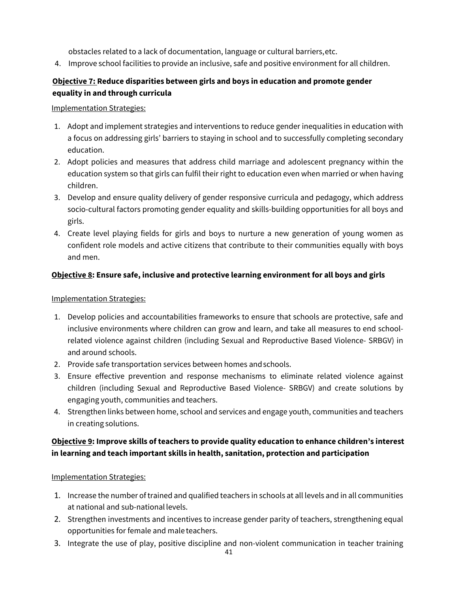obstacles related to a lack of documentation, language or cultural barriers,etc.

4. Improve school facilities to provide an inclusive, safe and positive environment for all children.

### **Objective 7: Reduce disparities between girls and boys in education and promote gender equality in and through curricula**

#### Implementation Strategies:

- 1. Adopt and implement strategies and interventions to reduce gender inequalities in education with a focus on addressing girls' barriers to staying in school and to successfully completing secondary education.
- 2. Adopt policies and measures that address child marriage and adolescent pregnancy within the education system so that girls can fulfil their right to education even when married or when having children.
- 3. Develop and ensure quality delivery of gender responsive curricula and pedagogy, which address socio-cultural factors promoting gender equality and skills-building opportunities for all boys and girls.
- 4. Create level playing fields for girls and boys to nurture a new generation of young women as confident role models and active citizens that contribute to their communities equally with boys and men.

#### **Objective 8: Ensure safe, inclusive and protective learning environment for all boys and girls**

#### Implementation Strategies:

- 1. Develop policies and accountabilities frameworks to ensure that schools are protective, safe and inclusive environments where children can grow and learn, and take all measures to end schoolrelated violence against children (including Sexual and Reproductive Based Violence- SRBGV) in and around schools.
- 2. Provide safe transportation services between homes andschools.
- 3. Ensure effective prevention and response mechanisms to eliminate related violence against children (including Sexual and Reproductive Based Violence- SRBGV) and create solutions by engaging youth, communities and teachers.
- 4. Strengthen links between home, school and services and engage youth, communities and teachers in creating solutions.

### **Objective 9: Improve skills of teachers to provide quality education to enhance children's interest in learning and teach important skills in health, sanitation, protection and participation**

- 1. Increase the number of trained and qualified teachers in schools at all levels and in all communities at national and sub-national levels.
- 2. Strengthen investments and incentives to increase gender parity of teachers, strengthening equal opportunities for female and male teachers.
- 3. Integrate the use of play, positive discipline and non-violent communication in teacher training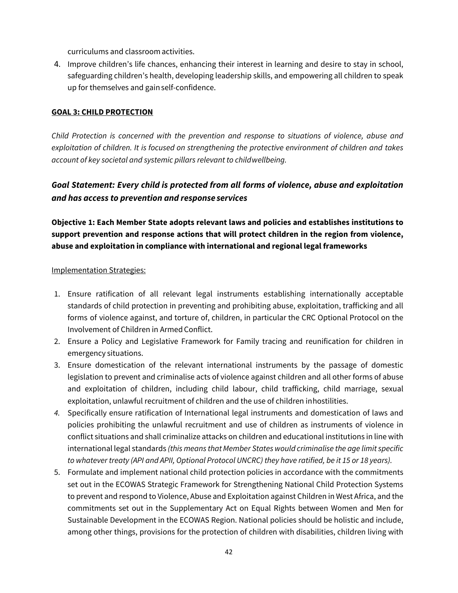curriculums and classroom activities.

4. Improve children's life chances, enhancing their interest in learning and desire to stay in school, safeguarding children's health, developing leadership skills, and empowering all children to speak up for themselves and gainself-confidence.

#### **GOAL 3: CHILD PROTECTION**

*Child Protection is concerned with the prevention and response to situations of violence, abuse and exploitation of children. It is focused on strengthening the protective environment of children and takes account of key societal and systemic pillars relevant to child wellbeing.* 

### *Goal Statement: Every child is protected from all forms of violence, abuse and exploitation and has access to prevention and response services*

**Objective 1: Each Member State adopts relevant laws and policies and establishes institutions to support prevention and response actions that will protect children in the region from violence, abuse and exploitation in compliance with international and regional legal frameworks**

- 1. Ensure ratification of all relevant legal instruments establishing internationally acceptable standards of child protection in preventing and prohibiting abuse, exploitation, trafficking and all forms of violence against, and torture of, children, in particular the CRC Optional Protocol on the Involvement of Children in Armed Conflict.
- 2. Ensure a Policy and Legislative Framework for Family tracing and reunification for children in emergency situations.
- 3. Ensure domestication of the relevant international instruments by the passage of domestic legislation to prevent and criminalise acts of violence against children and all other forms of abuse and exploitation of children, including child labour, child trafficking, child marriage, sexual exploitation, unlawful recruitment of children and the use of children in hostilities.
- *4.* Specifically ensure ratification of International legal instruments and domestication of laws and policies prohibiting the unlawful recruitment and use of children as instruments of violence in conflict situations and shall criminalize attacks on children and educational institutions in line with international legal standards *(this means that Member States would criminalise the age limit specific to whatever treaty (API and APII, Optional Protocol UNCRC) they have ratified, be it 15 or 18 years).*
- 5. Formulate and implement national child protection policies in accordance with the commitments set out in the ECOWAS Strategic Framework for Strengthening National Child Protection Systems to prevent and respond to Violence, Abuse and Exploitation against Children in West Africa, and the commitments set out in the Supplementary Act on Equal Rights between Women and Men for Sustainable Development in the ECOWAS Region. National policies should be holistic and include, among other things, provisions for the protection of children with disabilities, children living with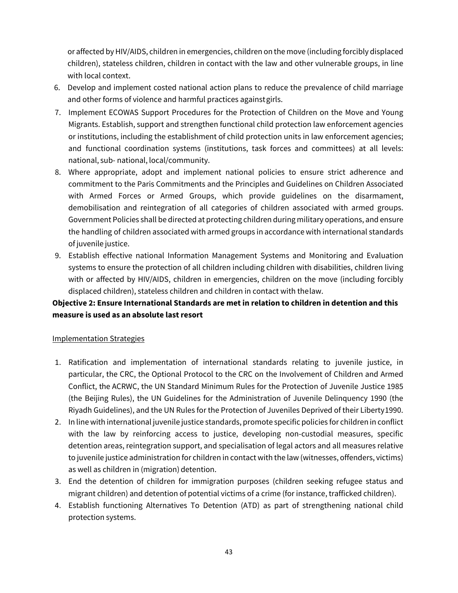or affected by HIV/AIDS, children in emergencies, children on the move (including forcibly displaced children), stateless children, children in contact with the law and other vulnerable groups, in line with local context.

- 6. Develop and implement costed national action plans to reduce the prevalence of child marriage and other forms of violence and harmful practices againstgirls.
- 7. Implement ECOWAS Support Procedures for the Protection of Children on the Move and Young Migrants. Establish, support and strengthen functional child protection law enforcement agencies or institutions, including the establishment of child protection units in law enforcement agencies; and functional coordination systems (institutions, task forces and committees) at all levels: national, sub- national, local/community.
- 8. Where appropriate, adopt and implement national policies to ensure strict adherence and commitment to the Paris Commitments and the Principles and Guidelines on Children Associated with Armed Forces or Armed Groups, which provide guidelines on the disarmament, demobilisation and reintegration of all categories of children associated with armed groups. Government Policies shall be directed at protecting children during military operations, and ensure the handling of children associated with armed groups in accordance with international standards of juvenile justice.
- 9. Establish effective national Information Management Systems and Monitoring and Evaluation systems to ensure the protection of all children including children with disabilities, children living with or affected by HIV/AIDS, children in emergencies, children on the move (including forcibly displaced children), stateless children and children in contact with thelaw.

### **Objective 2: Ensure International Standards are met in relation to children in detention and this measure is used as an absolute last resort**

- 1. Ratification and implementation of international standards relating to juvenile justice, in particular, the CRC, the Optional Protocol to the CRC on the Involvement of Children and Armed Conflict, the ACRWC, the UN Standard Minimum Rules for the Protection of Juvenile Justice 1985 (the Beijing Rules), the UN Guidelines for the Administration of Juvenile Delinquency 1990 (the Riyadh Guidelines), and the UN Rules for the Protection of Juveniles Deprived of their Liberty 1990.
- 2. In line with international juvenile justice standards, promote specific policies for children in conflict with the law by reinforcing access to justice, developing non-custodial measures, specific detention areas, reintegration support, and specialisation of legal actors and all measures relative to juvenile justice administration for children in contact with the law (witnesses, offenders, victims) as well as children in (migration) detention.
- 3. End the detention of children for immigration purposes (children seeking refugee status and migrant children) and detention of potential victims of a crime (for instance, trafficked children).
- 4. Establish functioning Alternatives To Detention (ATD) as part of strengthening national child protection systems.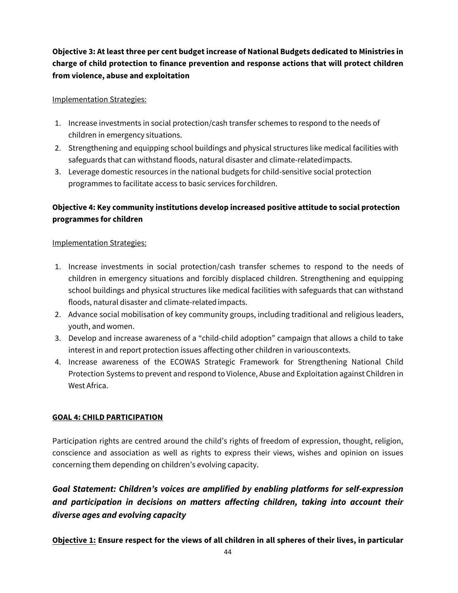### **Objective 3: At least three per cent budget increase of National Budgets dedicated to Ministries in charge of child protection to finance prevention and response actions that will protect children from violence, abuse and exploitation**

#### Implementation Strategies:

- 1. Increase investments in social protection/cash transfer schemes to respond to the needs of children in emergency situations.
- 2. Strengthening and equipping school buildings and physical structures like medical facilities with safeguards that can withstand floods, natural disaster and climate-relatedimpacts.
- 3. Leverage domestic resources in the national budgets for child-sensitive social protection programmes to facilitate access to basic services for children.

### **Objective 4: Key community institutions develop increased positive attitude to social protection programmes for children**

#### Implementation Strategies:

- 1. Increase investments in social protection/cash transfer schemes to respond to the needs of children in emergency situations and forcibly displaced children. Strengthening and equipping school buildings and physical structures like medical facilities with safeguards that can withstand floods, natural disaster and climate-relatedimpacts.
- 2. Advance social mobilisation of key community groups, including traditional and religious leaders, youth, and women.
- 3. Develop and increase awareness of a "child-child adoption" campaign that allows a child to take interest in and report protection issues affecting other children in variouscontexts.
- 4. Increase awareness of the ECOWAS Strategic Framework for Strengthening National Child Protection Systems to prevent and respond to Violence, Abuse and Exploitation against Children in West Africa.

#### **GOAL 4: CHILD PARTICIPATION**

Participation rights are centred around the child's rights of freedom of expression, thought, religion, conscience and association as well as rights to express their views, wishes and opinion on issues concerning them depending on children's evolving capacity.

## *Goal Statement: Children's voices are amplified by enabling platforms for self-expression and participation in decisions on matters affecting children, taking into account their diverse ages and evolving capacity*

**Objective 1: Ensure respect for the views of all children in all spheres of their lives, in particular**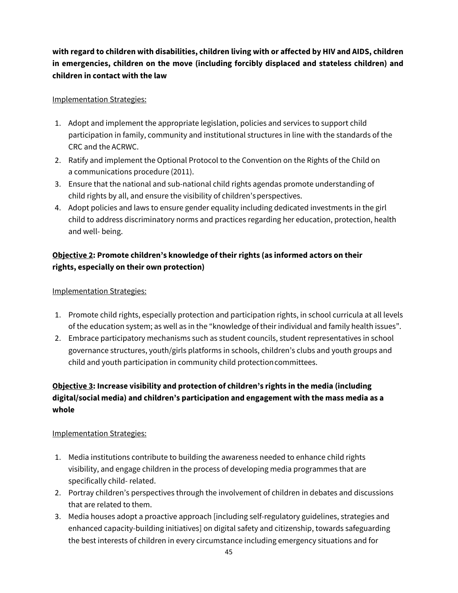### **with regard to children with disabilities, children living with or affected by HIV and AIDS, children in emergencies, children on the move (including forcibly displaced and stateless children) and children in contact with the law**

#### Implementation Strategies:

- 1. Adopt and implement the appropriate legislation, policies and services to support child participation in family, community and institutional structures in line with the standards of the CRC and the ACRWC.
- 2. Ratify and implement the Optional Protocol to the Convention on the Rights of the Child on a communications procedure (2011).
- 3. Ensure that the national and sub-national child rights agendas promote understanding of child rights by all, and ensure the visibility of children'sperspectives.
- 4. Adopt policies and laws to ensure gender equality including dedicated investments in the girl child to address discriminatory norms and practices regarding her education, protection, health and well- being.

### **Objective 2: Promote children's knowledge of their rights (as informed actors on their rights, especially on their own protection)**

#### Implementation Strategies:

- 1. Promote child rights, especially protection and participation rights, in school curricula at all levels of the education system; as well as in the "knowledge oftheir individual and family health issues".
- 2. Embrace participatory mechanisms such as student councils, student representatives in school governance structures, youth/girls platforms in schools, children's clubs and youth groups and child and youth participation in community child protectioncommittees.

### **Objective 3: Increase visibility and protection of children's rights in the media (including digital/social media) and children's participation and engagement with the mass media as a whole**

- 1. Media institutions contribute to building the awareness needed to enhance child rights visibility, and engage children in the process of developing media programmes that are specifically child- related.
- 2. Portray children's perspectives through the involvement of children in debates and discussions that are related to them.
- 3. Media houses adopt a proactive approach [including self-regulatory guidelines, strategies and enhanced capacity-building initiatives] on digital safety and citizenship, towards safeguarding the best interests of children in every circumstance including emergency situations and for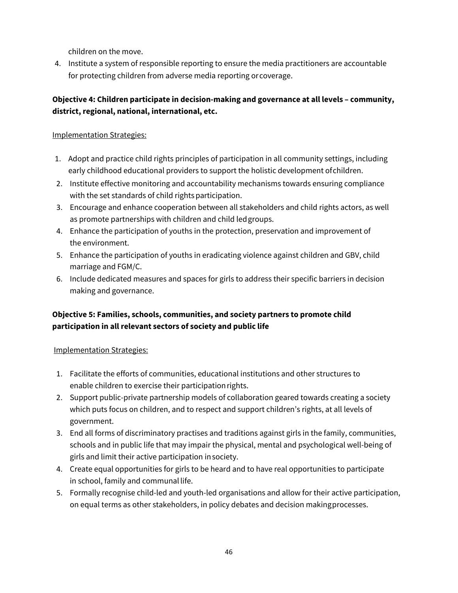children on the move.

4. Institute a system of responsible reporting to ensure the media practitioners are accountable for protecting children from adverse media reporting orcoverage.

### **Objective 4: Children participate in decision-making and governance at all levels – community, district, regional, national, international, etc.**

#### Implementation Strategies:

- 1. Adopt and practice child rights principles of participation in all community settings, including early childhood educational providers to support the holistic development of children.
- 2. Institute effective monitoring and accountability mechanisms towards ensuring compliance with the set standards of child rights participation.
- 3. Encourage and enhance cooperation between all stakeholders and child rights actors, as well as promote partnerships with children and child ledgroups.
- 4. Enhance the participation of youths in the protection, preservation and improvement of the environment.
- 5. Enhance the participation of youths in eradicating violence against children and GBV, child marriage and FGM/C.
- 6. Include dedicated measures and spaces for girls to address their specific barriers in decision making and governance.

### **Objective 5: Families, schools, communities, and society partners to promote child participation in all relevant sectors of society and public life**

- 1. Facilitate the efforts of communities, educational institutions and other structures to enable children to exercise their participationrights.
- 2. Support public-private partnership models of collaboration geared towards creating a society which puts focus on children, and to respect and support children's rights, at all levels of government.
- 3. End all forms of discriminatory practises and traditions against girls in the family, communities, schools and in public life that may impair the physical, mental and psychological well-being of girls and limit their active participation insociety.
- 4. Create equal opportunities for girls to be heard and to have real opportunities to participate in school, family and communal life.
- 5. Formally recognise child-led and youth-led organisations and allow for their active participation, on equal terms as other stakeholders, in policy debates and decision makingprocesses.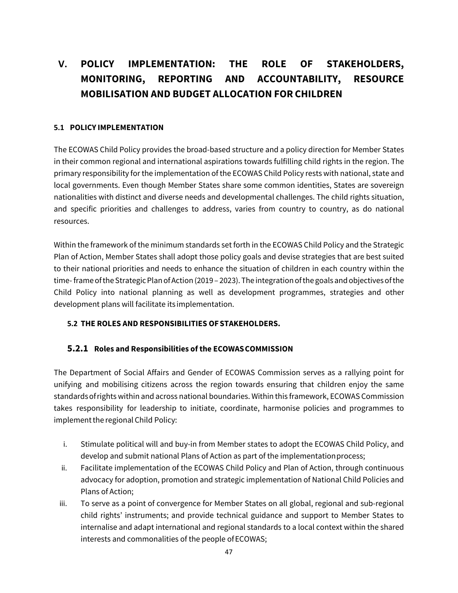# **V. POLICY IMPLEMENTATION: THE ROLE OF STAKEHOLDERS, MONITORING, REPORTING AND ACCOUNTABILITY, RESOURCE MOBILISATION AND BUDGET ALLOCATION FOR CHILDREN**

#### **5.1 POLICY IMPLEMENTATION**

The ECOWAS Child Policy provides the broad-based structure and a policy direction for Member States in their common regional and international aspirations towards fulfilling child rights in the region. The primary responsibility for the implementation of the ECOWAS Child Policy rests with national, state and local governments. Even though Member States share some common identities, States are sovereign nationalities with distinct and diverse needs and developmental challenges. The child rights situation, and specific priorities and challenges to address, varies from country to country, as do national resources.

Within the framework of the minimum standards set forth in the ECOWAS Child Policy and the Strategic Plan of Action, Member States shall adopt those policy goals and devise strategies that are best suited to their national priorities and needs to enhance the situation of children in each country within the time-frame of the Strategic Plan of Action (2019 – 2023). The integration of the goals and objectives of the Child Policy into national planning as well as development programmes, strategies and other development plans will facilitate its implementation.

#### **5.2 THE ROLES AND RESPONSIBILITIES OFSTAKEHOLDERS.**

#### **5.2.1 Roles and Responsibilities of the ECOWASCOMMISSION**

The Department of Social Affairs and Gender of ECOWAS Commission serves as a rallying point for unifying and mobilising citizens across the region towards ensuring that children enjoy the same standardsofrights within and across national boundaries. Within this framework, ECOWAS Commission takes responsibility for leadership to initiate, coordinate, harmonise policies and programmes to implement the regional Child Policy:

- i. Stimulate political will and buy-in from Member states to adopt the ECOWAS Child Policy, and develop and submit national Plans of Action as part of the implementationprocess;
- ii. Facilitate implementation of the ECOWAS Child Policy and Plan of Action, through continuous advocacy for adoption, promotion and strategic implementation of National Child Policies and Plans of Action;
- iii. To serve as a point of convergence for Member States on all global, regional and sub-regional child rights' instruments; and provide technical guidance and support to Member States to internalise and adapt international and regional standards to a local context within the shared interests and commonalities of the people of ECOWAS;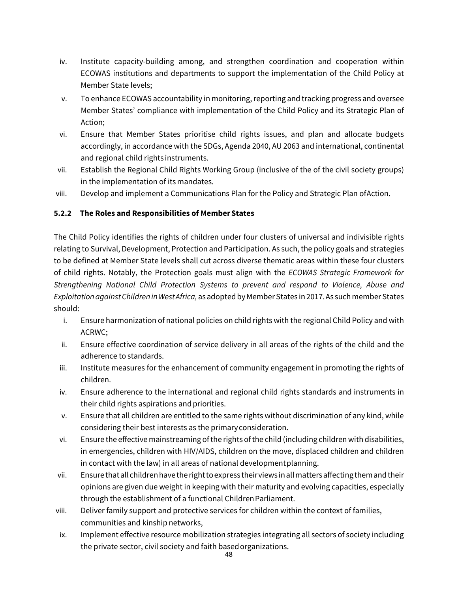- iv. Institute capacity-building among, and strengthen coordination and cooperation within ECOWAS institutions and departments to support the implementation of the Child Policy at Member State levels;
- v. To enhance ECOWAS accountability in monitoring, reporting and tracking progress and oversee Member States' compliance with implementation of the Child Policy and its Strategic Plan of Action;
- vi. Ensure that Member States prioritise child rights issues, and plan and allocate budgets accordingly, in accordance with the SDGs, Agenda 2040, AU 2063 and international, continental and regional child rights instruments.
- vii. Establish the Regional Child Rights Working Group (inclusive of the of the civil society groups) in the implementation of its mandates.
- viii. Develop and implement a Communications Plan for the Policy and Strategic Plan of Action.

#### **5.2.2 The Roles and Responsibilities of Member States**

The Child Policy identifies the rights of children under four clusters of universal and indivisible rights relating to Survival, Development, Protection and Participation. As such, the policy goals and strategies to be defined at Member State levels shall cut across diverse thematic areas within these four clusters of child rights. Notably, the Protection goals must align with the *ECOWAS Strategic Framework for Strengthening National Child Protection Systems to prevent and respond to Violence, Abuse and Exploitation against Children inWestAfrica,* as adoptedbyMember States in 2017. As suchmember States should:

- i. Ensure harmonization of national policies on child rights with the regional Child Policy and with ACRWC;
- ii. Ensure effective coordination of service delivery in all areas of the rights of the child and the adherence to standards.
- iii. Institute measures for the enhancement of community engagement in promoting the rights of children.
- iv. Ensure adherence to the international and regional child rights standards and instruments in their child rights aspirations and priorities.
- v. Ensure that all children are entitled to the same rights without discrimination of any kind, while considering their best interests as the primaryconsideration.
- vi. Ensure the effective mainstreaming of the rights of the child (including children with disabilities, in emergencies, children with HIV/AIDS, children on the move, displaced children and children in contact with the law) in all areas of national development planning.
- vii. Ensurethatallchildrenhavetherighttoexpress theirviews in allmattersaffectingthemandtheir opinions are given due weight in keeping with their maturity and evolving capacities, especially through the establishment of a functional Children Parliament.
- viii. Deliver family support and protective services for children within the context of families, communities and kinship networks,
- ix. Implement effective resource mobilization strategies integrating all sectors of society including the private sector, civil society and faith basedorganizations.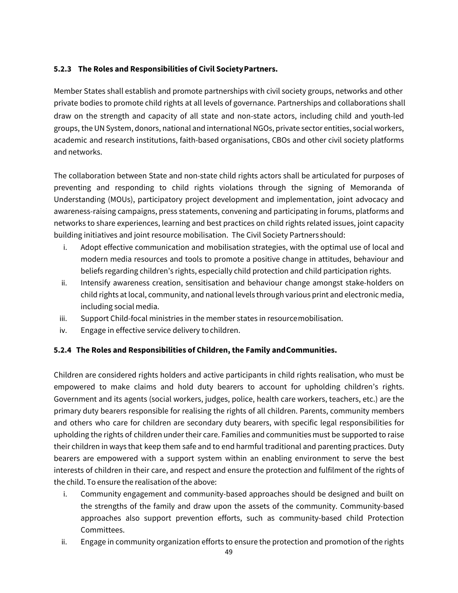#### **5.2.3 The Roles and Responsibilities of Civil SocietyPartners.**

Member States shall establish and promote partnerships with civil society groups, networks and other private bodies to promote child rights at all levels of governance. Partnerships and collaborations shall draw on the strength and capacity of all state and non-state actors, including child and youth-led groups, the UNSystem, donors, national and international NGOs, private sector entities, social workers, academic and research institutions, faith-based organisations, CBOs and other civil society platforms and networks.

The collaboration between State and non-state child rights actors shall be articulated for purposes of preventing and responding to child rights violations through the signing of Memoranda of Understanding (MOUs), participatory project development and implementation, joint advocacy and awareness-raising campaigns, press statements, convening and participating in forums, platforms and networks to share experiences, learning and best practices on child rights related issues, joint capacity building initiatives and joint resource mobilisation. The Civil Society Partners should:

- i. Adopt effective communication and mobilisation strategies, with the optimal use of local and modern media resources and tools to promote a positive change in attitudes, behaviour and beliefs regarding children's rights, especially child protection and child participation rights.
- ii. Intensify awareness creation, sensitisation and behaviour change amongst stake-holders on child rights at local, community, and national levels through various print and electronic media, including social media.
- iii. Support Child-focal ministries in the member states in resource mobilisation.
- iv. Engage in effective service delivery to children.

#### **5.2.4 The Roles and Responsibilities of Children, the Family and Communities.**

Children are considered rights holders and active participants in child rights realisation, who must be empowered to make claims and hold duty bearers to account for upholding children's rights. Government and its agents (social workers, judges, police, health care workers, teachers, etc.) are the primary duty bearers responsible for realising the rights of all children. Parents, community members and others who care for children are secondary duty bearers, with specific legal responsibilities for upholding the rights of children under their care. Families and communities must be supported to raise their children in ways that keep them safe and to end harmful traditional and parenting practices. Duty bearers are empowered with a support system within an enabling environment to serve the best interests of children in their care, and respect and ensure the protection and fulfilment of the rights of the child. To ensure the realisation of the above:

- i. Community engagement and community-based approaches should be designed and built on the strengths of the family and draw upon the assets of the community. Community-based approaches also support prevention efforts, such as community-based child Protection Committees.
- ii. Engage in community organization efforts to ensure the protection and promotion of the rights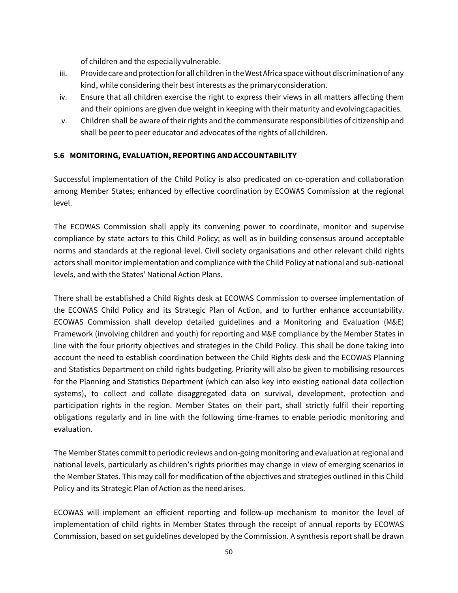of children and the especially vulnerable.

- iii. Provide care and protection for all children in the West Africa space without discrimination of any kind, while considering their best interests as the primary consideration.
- iv. Ensure that all children exercise the right to express their views in all matters affecting them and their opinions are given due weight in keeping with their maturity and evolvingcapacities.
- v. Children shall be aware of their rights and the commensurate responsibilities of citizenship and shall be peer to peer educator and advocates of the rights of all children.

#### **5.6 MONITORING, EVALUATION, REPORTING ANDACCOUNTABILITY**

Successful implementation of the Child Policy is also predicated on co-operation and collaboration among Member States; enhanced by effective coordination by ECOWAS Commission at the regional level.

The ECOWAS Commission shall apply its convening power to coordinate, monitor and supervise compliance by state actors to this Child Policy; as well as in building consensus around acceptable norms and standards at the regional level. Civil society organisations and other relevant child rights actors shall monitor implementation and compliance with the Child Policy at national and sub-national levels, and with the States' National Action Plans.

There shall be established a Child Rights desk at ECOWAS Commission to oversee implementation of the ECOWAS Child Policy and its Strategic Plan of Action, and to further enhance accountability. ECOWAS Commission shall develop detailed guidelines and a Monitoring and Evaluation (M&E) Framework (involving children and youth) for reporting and M&E compliance by the Member States in line with the four priority objectives and strategies in the Child Policy. This shall be done taking into account the need to establish coordination between the Child Rights desk and the ECOWAS Planning and Statistics Department on child rights budgeting. Priority will also be given to mobilising resources for the Planning and Statistics Department (which can also key into existing national data collection systems), to collect and collate disaggregated data on survival, development, protection and participation rights in the region. Member States on their part, shall strictly fulfil their reporting obligations regularly and in line with the following time-frames to enable periodic monitoring and evaluation.

The Member States commit to periodic reviews and on-going monitoring and evaluation at regional and national levels, particularly as children's rights priorities may change in view of emerging scenarios in the Member States. This may call for modification of the objectives and strategies outlined in this Child Policy and its Strategic Plan of Action as the needarises.

ECOWAS will implement an efficient reporting and follow-up mechanism to monitor the level of implementation of child rights in Member States through the receipt of annual reports by ECOWAS Commission, based on set guidelines developed by the Commission. A synthesis report shall be drawn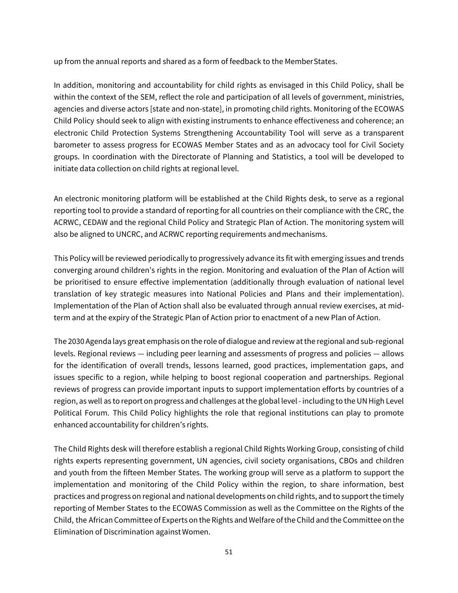up from the annual reports and shared as a form of feedback to the MemberStates.

In addition, monitoring and accountability for child rights as envisaged in this Child Policy, shall be within the context of the SEM, reflect the role and participation of all levels of government, ministries, agencies and diverse actors [state and non-state], in promoting child rights. Monitoring of the ECOWAS Child Policy should seek to align with existing instruments to enhance effectiveness and coherence; an electronic Child Protection Systems Strengthening Accountability Tool will serve as a transparent barometer to assess progress for ECOWAS Member States and as an advocacy tool for Civil Society groups. In coordination with the Directorate of Planning and Statistics, a tool will be developed to initiate data collection on child rights at regional level.

An electronic monitoring platform will be established at the Child Rights desk, to serve as a regional reporting tool to provide a standard of reporting for all countries on their compliance with the CRC, the ACRWC, CEDAW and the regional Child Policy and Strategic Plan of Action. The monitoring system will also be aligned to UNCRC, and ACRWC reporting requirements andmechanisms.

This Policy will be reviewed periodically to progressively advance its fit with emerging issues and trends converging around children's rights in the region. Monitoring and evaluation of the Plan of Action will be prioritised to ensure effective implementation (additionally through evaluation of national level translation of key strategic measures into National Policies and Plans and their implementation). Implementation of the Plan of Action shall also be evaluated through annual review exercises, at midterm and at the expiry of the Strategic Plan of Action prior to enactment of a new Plan of Action.

The 2030 Agenda lays great emphasis on the role of dialogue and review atthe regional and sub-regional levels. Regional reviews — including peer learning and assessments of progress and policies — allows for the identification of overall trends, lessons learned, good practices, implementation gaps, and issues specific to a region, while helping to boost regional cooperation and partnerships. Regional reviews of progress can provide important inputs to support implementation efforts by countries of a region, as well as to report on progress and challenges atthe global level - including to the UN High Level Political Forum. This Child Policy highlights the role that regional institutions can play to promote enhanced accountability for children's rights.

The Child Rights desk will therefore establish a regional Child Rights Working Group, consisting of child rights experts representing government, UN agencies, civil society organisations, CBOs and children and youth from the fifteen Member States. The working group will serve as a platform to support the implementation and monitoring of the Child Policy within the region, to share information, best practices and progress on regional and national developments on child rights, and to support the timely reporting of Member States to the ECOWAS Commission as well as the Committee on the Rights of the Child, the African Committee of Experts on the Rights and Welfare of the Child and the Committee on the Elimination of Discrimination againstWomen.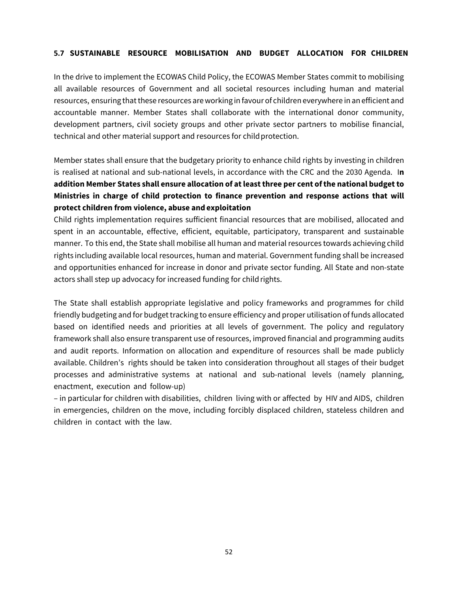#### **5.7 SUSTAINABLE RESOURCE MOBILISATION AND BUDGET ALLOCATION FOR CHILDREN**

In the drive to implement the ECOWAS Child Policy, the ECOWAS Member States commit to mobilising all available resources of Government and all societal resources including human and material resources, ensuring that these resources are working in favour of children everywhere in an efficient and accountable manner. Member States shall collaborate with the international donor community, development partners, civil society groups and other private sector partners to mobilise financial, technical and other material support and resources for child protection.

Member states shall ensure that the budgetary priority to enhance child rights by investing in children is realised at national and sub-national levels, in accordance with the CRC and the 2030 Agenda. I**n addition Member States shall ensure allocation of at least three per cent of the national budget to Ministries in charge of child protection to finance prevention and response actions that will protect children from violence, abuse and exploitation** 

Child rights implementation requires sufficient financial resources that are mobilised, allocated and spent in an accountable, effective, efficient, equitable, participatory, transparent and sustainable manner. To this end, the State shall mobilise all human and material resources towards achieving child rights including available local resources, human and material. Government funding shall be increased and opportunities enhanced for increase in donor and private sector funding. All State and non-state actors shall step up advocacy for increased funding for child rights.

The State shall establish appropriate legislative and policy frameworks and programmes for child friendly budgeting and for budget tracking to ensure efficiency and proper utilisation of funds allocated based on identified needs and priorities at all levels of government. The policy and regulatory framework shall also ensure transparent use of resources, improved financial and programming audits and audit reports. Information on allocation and expenditure of resources shall be made publicly available. Children's rights should be taken into consideration throughout all stages of their budget processes and administrative systems at national and sub-national levels (namely planning, enactment, execution and follow-up)

– in particular for children with disabilities, children living with or affected by HIV and AIDS, children in emergencies, children on the move, including forcibly displaced children, stateless children and children in contact with the law.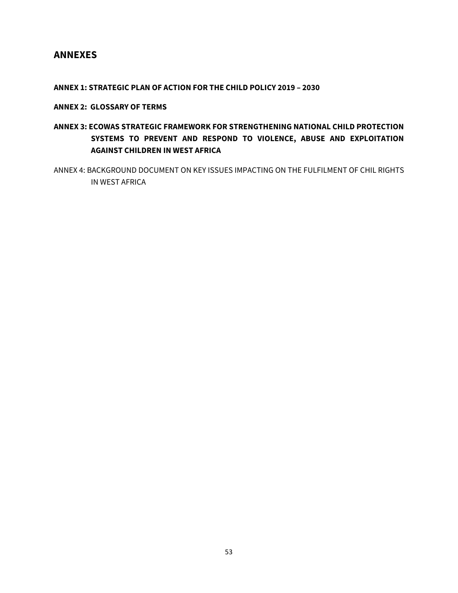### **ANNEXES**

#### **ANNEX 1: STRATEGIC PLAN OF ACTION FOR THE CHILD POLICY 2019 – 2030**

#### **ANNEX 2: GLOSSARY OF TERMS**

### **ANNEX 3: ECOWAS STRATEGIC FRAMEWORK FOR STRENGTHENING NATIONAL CHILD PROTECTION SYSTEMS TO PREVENT AND RESPOND TO VIOLENCE, ABUSE AND EXPLOITATION AGAINST CHILDREN IN WEST AFRICA**

ANNEX 4: BACKGROUND DOCUMENT ON KEY ISSUES IMPACTING ON THE FULFILMENT OF CHIL RIGHTS IN WEST AFRICA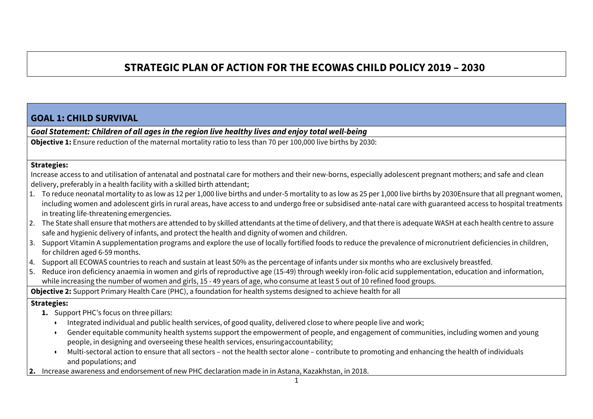# **STRATEGIC PLAN OF ACTION FOR THE ECOWAS CHILD POLICY 2019 – 2030**

### **GOAL 1: CHILD SURVIVAL**

*Goal Statement: Children of all ages in the region live healthy lives and enjoy total well-being*

**Objective 1:** Ensure reduction of the maternal mortality ratio to less than 70 per 100,000 live births by 2030:

#### **Strategies:**

Increase access to and utilisation of antenatal and postnatal care for mothers and their new-borns, especially adolescent pregnant mothers; and safe and clean delivery, preferably in a health facility with a skilled birth attendant;

- 1. To reduce neonatal mortality to as low as 12 per 1,000 live births and under-5 mortality to as low as 25 per 1,000 live births by 2030Ensure that all pregnant women, including women and adolescent girls in rural areas, have access to and undergo free or subsidised ante-natal care with guaranteed access to hospital treatments in treating life-threatening emergencies.
- 2. The State shall ensure that mothers are attended to by skilled attendants at the time of delivery, and that there is adequate WASH at each health centre to assure safe and hygienic delivery of infants, and protect the health and dignity of women and children.
- 3. Support Vitamin A supplementation programs and explore the use of locally fortified foods to reduce the prevalence of micronutrient deficiencies in children, for children aged 6-59 months.
- 4. Support all ECOWAS countries to reach and sustain at least 50% as the percentage of infants under six months who are exclusively breastfed.
- 5. Reduce iron deficiency anaemia in women and girls of reproductive age (15-49) through weekly iron-folic acid supplementation, education and information, while increasing the number of women and girls, 15 - 49 years of age, who consume at least 5 out of 10 refined food groups.

**Objective 2:** Support Primary Health Care (PHC), a foundation for health systems designed to achieve health for all

#### **Strategies:**

- **1.** Support PHC's focus on three pillars:
	- Integrated individual and public health services, of good quality, delivered close to where people live and work;
	- Gender equitable community health systems support the empowerment of people, and engagement of communities, including women and young people, in designing and overseeing these health services, ensuringaccountability;
	- Multi-sectoral action to ensure that all sectors not the health sector alone contribute to promoting and enhancing the health of individuals and populations; and
- **2.** Increase awareness and endorsement of new PHC declaration made in in Astana, Kazakhstan, in 2018.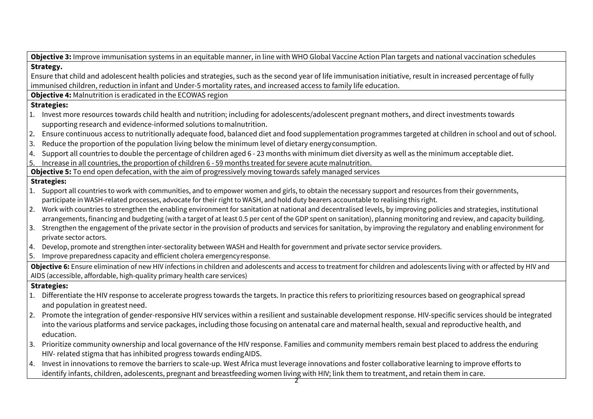| Objective 3: Improve immunisation systems in an equitable manner, in line with WHO Global Vaccine Action Plan targets and national vaccination schedules                  |  |
|---------------------------------------------------------------------------------------------------------------------------------------------------------------------------|--|
| Strategy.                                                                                                                                                                 |  |
| Ensure that child and adolescent health policies and strategies, such as the second year of life immunisation initiative, result in increased percentage of fully         |  |
| immunised children, reduction in infant and Under-5 mortality rates, and increased access to family life education.                                                       |  |
| Objective 4: Malnutrition is eradicated in the ECOWAS region                                                                                                              |  |
| <b>Strategies:</b>                                                                                                                                                        |  |
| 1. Invest more resources towards child health and nutrition; including for adolescents/adolescent pregnant mothers, and direct investments towards                        |  |
| supporting research and evidence-informed solutions to malnutrition.                                                                                                      |  |
| Ensure continuous access to nutritionally adequate food, balanced diet and food supplementation programmes targeted at children in school and out of school.<br>2.        |  |
| Reduce the proportion of the population living below the minimum level of dietary energy consumption.<br>3.                                                               |  |
| Support all countries to double the percentage of children aged 6 - 23 months with minimum diet diversity as well as the minimum acceptable diet.<br>4.                   |  |
| Increase in all countries, the proportion of children 6 - 59 months treated for severe acute malnutrition.<br>5.                                                          |  |
| Objective 5: To end open defecation, with the aim of progressively moving towards safely managed services                                                                 |  |
| <b>Strategies:</b>                                                                                                                                                        |  |
| 1. Support all countries to work with communities, and to empower women and girls, to obtain the necessary support and resources from their governments,                  |  |
| participate in WASH-related processes, advocate for their right to WASH, and hold duty bearers accountable to realising this right.                                       |  |
| 2. Work with countries to strengthen the enabling environment for sanitation at national and decentralised levels, by improving policies and strategies, institutional    |  |
| arrangements, financing and budgeting (with a target of at least 0.5 per cent of the GDP spent on sanitation), planning monitoring and review, and capacity building.     |  |
| Strengthen the engagement of the private sector in the provision of products and services for sanitation, by improving the regulatory and enabling environment for<br>3.  |  |
| private sector actors.                                                                                                                                                    |  |
| 4. Develop, promote and strengthen inter-sectorality between WASH and Health for government and private sector service providers.                                         |  |
| Improve preparedness capacity and efficient cholera emergency response.<br>5.                                                                                             |  |
| Objective 6: Ensure elimination of new HIV infections in children and adolescents and access to treatment for children and adolescents living with or affected by HIV and |  |
| AIDS (accessible, affordable, high-quality primary health care services)                                                                                                  |  |
| <b>Strategies:</b>                                                                                                                                                        |  |
| 1. Differentiate the HIV response to accelerate progress towards the targets. In practice this refers to prioritizing resources based on geographical spread              |  |
| and population in greatest need.                                                                                                                                          |  |
| Promote the integration of gender-responsive HIV services within a resilient and sustainable development response. HIV-specific services should be integrated<br>2.       |  |
| into the various platforms and service packages, including those focusing on antenatal care and maternal health, sexual and reproductive health, and                      |  |
| education.                                                                                                                                                                |  |
| 3. Prioritize community ownership and local governance of the HIV response. Families and community members remain best placed to address the enduring                     |  |
| HIV- related stigma that has inhibited progress towards ending AIDS.                                                                                                      |  |
| $ $ 4. $\,$ Invest in innovations to remove the barriers to scale-up. West Africa must leverage innovations and foster collaborative learning to improve efforts to       |  |
| identify infants, children, adolescents, pregnant and breastfeeding women living with HIV; link them to treatment, and retain them in care.                               |  |
|                                                                                                                                                                           |  |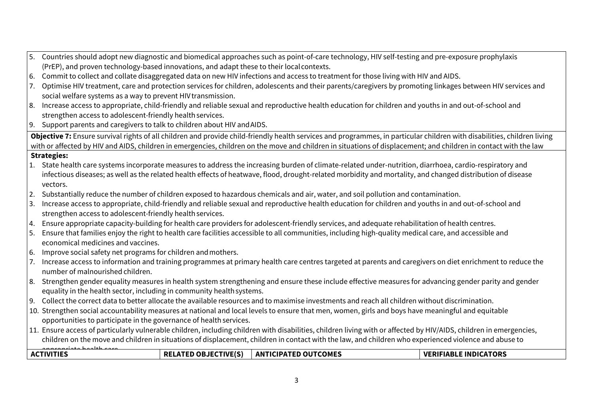| (PrEP), and proven technology-based innovations, and adapt these to their local contexts.<br>Commit to collect and collate disaggregated data on new HIV infections and access to treatment for those living with HIV and AIDS.<br>6.<br>Optimise HIV treatment, care and protection services for children, adolescents and their parents/caregivers by promoting linkages between HIV services and<br>7.<br>social welfare systems as a way to prevent HIV transmission.<br>Increase access to appropriate, child-friendly and reliable sexual and reproductive health education for children and youths in and out-of-school and<br>8.<br>strengthen access to adolescent-friendly health services.<br>9. Support parents and caregivers to talk to children about HIV and AIDS.<br>Objective 7: Ensure survival rights of all children and provide child-friendly health services and programmes, in particular children with disabilities, children living<br>with or affected by HIV and AIDS, children in emergencies, children on the move and children in situations of displacement; and children in contact with the law<br><b>Strategies:</b><br>1. State health care systems incorporate measures to address the increasing burden of climate-related under-nutrition, diarrhoea, cardio-respiratory and<br>infectious diseases; as well as the related health effects of heatwave, flood, drought-related morbidity and mortality, and changed distribution of disease<br>vectors.<br>2. Substantially reduce the number of children exposed to hazardous chemicals and air, water, and soil pollution and contamination.<br>Increase access to appropriate, child-friendly and reliable sexual and reproductive health education for children and youths in and out-of-school and<br>3.<br>strengthen access to adolescent-friendly health services.<br>Ensure appropriate capacity-building for health care providers for adolescent-friendly services, and adequate rehabilitation of health centres.<br>4.<br>Ensure that families enjoy the right to health care facilities accessible to all communities, including high-quality medical care, and accessible and<br>5.<br>economical medicines and vaccines.<br>Improve social safety net programs for children and mothers.<br>6.<br>Increase access to information and training programmes at primary health care centres targeted at parents and caregivers on diet enrichment to reduce the<br>7.<br>number of malnourished children.<br>Strengthen gender equality measures in health system strengthening and ensure these include effective measures for advancing gender parity and gender<br>8.<br>equality in the health sector, including in community health systems.<br>9. Collect the correct data to better allocate the available resources and to maximise investments and reach all children without discrimination.<br>10. Strengthen social accountability measures at national and local levels to ensure that men, women, girls and boys have meaningful and equitable<br>opportunities to participate in the governance of health services.<br>11. Ensure access of particularly vulnerable children, including children with disabilities, children living with or affected by HIV/AIDS, children in emergencies,<br>children on the move and children in situations of displacement, children in contact with the law, and children who experienced violence and abuse to<br><b>ACTIVITIES</b><br><b>ANTICIPATED OUTCOMES</b><br><b>VERIFIABLE INDICATORS</b><br><b>RELATED OBJECTIVE(S)</b> | 5. | Countries should adopt new diagnostic and biomedical approaches such as point-of-care technology, HIV self-testing and pre-exposure prophylaxis |  |  |  |  |  |  |  |  |  |
|-------------------------------------------------------------------------------------------------------------------------------------------------------------------------------------------------------------------------------------------------------------------------------------------------------------------------------------------------------------------------------------------------------------------------------------------------------------------------------------------------------------------------------------------------------------------------------------------------------------------------------------------------------------------------------------------------------------------------------------------------------------------------------------------------------------------------------------------------------------------------------------------------------------------------------------------------------------------------------------------------------------------------------------------------------------------------------------------------------------------------------------------------------------------------------------------------------------------------------------------------------------------------------------------------------------------------------------------------------------------------------------------------------------------------------------------------------------------------------------------------------------------------------------------------------------------------------------------------------------------------------------------------------------------------------------------------------------------------------------------------------------------------------------------------------------------------------------------------------------------------------------------------------------------------------------------------------------------------------------------------------------------------------------------------------------------------------------------------------------------------------------------------------------------------------------------------------------------------------------------------------------------------------------------------------------------------------------------------------------------------------------------------------------------------------------------------------------------------------------------------------------------------------------------------------------------------------------------------------------------------------------------------------------------------------------------------------------------------------------------------------------------------------------------------------------------------------------------------------------------------------------------------------------------------------------------------------------------------------------------------------------------------------------------------------------------------------------------------------------------------------------------------------------------------------------------------------------------------------------------------------------------------------------------------------------------------------------------------------------------------------------------------------------------------------------------------------------------------------------------------------------------------------------------------------------------------------------------|----|-------------------------------------------------------------------------------------------------------------------------------------------------|--|--|--|--|--|--|--|--|--|
|                                                                                                                                                                                                                                                                                                                                                                                                                                                                                                                                                                                                                                                                                                                                                                                                                                                                                                                                                                                                                                                                                                                                                                                                                                                                                                                                                                                                                                                                                                                                                                                                                                                                                                                                                                                                                                                                                                                                                                                                                                                                                                                                                                                                                                                                                                                                                                                                                                                                                                                                                                                                                                                                                                                                                                                                                                                                                                                                                                                                                                                                                                                                                                                                                                                                                                                                                                                                                                                                                                                                                                                           |    |                                                                                                                                                 |  |  |  |  |  |  |  |  |  |
|                                                                                                                                                                                                                                                                                                                                                                                                                                                                                                                                                                                                                                                                                                                                                                                                                                                                                                                                                                                                                                                                                                                                                                                                                                                                                                                                                                                                                                                                                                                                                                                                                                                                                                                                                                                                                                                                                                                                                                                                                                                                                                                                                                                                                                                                                                                                                                                                                                                                                                                                                                                                                                                                                                                                                                                                                                                                                                                                                                                                                                                                                                                                                                                                                                                                                                                                                                                                                                                                                                                                                                                           |    |                                                                                                                                                 |  |  |  |  |  |  |  |  |  |
|                                                                                                                                                                                                                                                                                                                                                                                                                                                                                                                                                                                                                                                                                                                                                                                                                                                                                                                                                                                                                                                                                                                                                                                                                                                                                                                                                                                                                                                                                                                                                                                                                                                                                                                                                                                                                                                                                                                                                                                                                                                                                                                                                                                                                                                                                                                                                                                                                                                                                                                                                                                                                                                                                                                                                                                                                                                                                                                                                                                                                                                                                                                                                                                                                                                                                                                                                                                                                                                                                                                                                                                           |    |                                                                                                                                                 |  |  |  |  |  |  |  |  |  |
|                                                                                                                                                                                                                                                                                                                                                                                                                                                                                                                                                                                                                                                                                                                                                                                                                                                                                                                                                                                                                                                                                                                                                                                                                                                                                                                                                                                                                                                                                                                                                                                                                                                                                                                                                                                                                                                                                                                                                                                                                                                                                                                                                                                                                                                                                                                                                                                                                                                                                                                                                                                                                                                                                                                                                                                                                                                                                                                                                                                                                                                                                                                                                                                                                                                                                                                                                                                                                                                                                                                                                                                           |    |                                                                                                                                                 |  |  |  |  |  |  |  |  |  |
|                                                                                                                                                                                                                                                                                                                                                                                                                                                                                                                                                                                                                                                                                                                                                                                                                                                                                                                                                                                                                                                                                                                                                                                                                                                                                                                                                                                                                                                                                                                                                                                                                                                                                                                                                                                                                                                                                                                                                                                                                                                                                                                                                                                                                                                                                                                                                                                                                                                                                                                                                                                                                                                                                                                                                                                                                                                                                                                                                                                                                                                                                                                                                                                                                                                                                                                                                                                                                                                                                                                                                                                           |    |                                                                                                                                                 |  |  |  |  |  |  |  |  |  |
|                                                                                                                                                                                                                                                                                                                                                                                                                                                                                                                                                                                                                                                                                                                                                                                                                                                                                                                                                                                                                                                                                                                                                                                                                                                                                                                                                                                                                                                                                                                                                                                                                                                                                                                                                                                                                                                                                                                                                                                                                                                                                                                                                                                                                                                                                                                                                                                                                                                                                                                                                                                                                                                                                                                                                                                                                                                                                                                                                                                                                                                                                                                                                                                                                                                                                                                                                                                                                                                                                                                                                                                           |    |                                                                                                                                                 |  |  |  |  |  |  |  |  |  |
|                                                                                                                                                                                                                                                                                                                                                                                                                                                                                                                                                                                                                                                                                                                                                                                                                                                                                                                                                                                                                                                                                                                                                                                                                                                                                                                                                                                                                                                                                                                                                                                                                                                                                                                                                                                                                                                                                                                                                                                                                                                                                                                                                                                                                                                                                                                                                                                                                                                                                                                                                                                                                                                                                                                                                                                                                                                                                                                                                                                                                                                                                                                                                                                                                                                                                                                                                                                                                                                                                                                                                                                           |    |                                                                                                                                                 |  |  |  |  |  |  |  |  |  |
|                                                                                                                                                                                                                                                                                                                                                                                                                                                                                                                                                                                                                                                                                                                                                                                                                                                                                                                                                                                                                                                                                                                                                                                                                                                                                                                                                                                                                                                                                                                                                                                                                                                                                                                                                                                                                                                                                                                                                                                                                                                                                                                                                                                                                                                                                                                                                                                                                                                                                                                                                                                                                                                                                                                                                                                                                                                                                                                                                                                                                                                                                                                                                                                                                                                                                                                                                                                                                                                                                                                                                                                           |    |                                                                                                                                                 |  |  |  |  |  |  |  |  |  |
|                                                                                                                                                                                                                                                                                                                                                                                                                                                                                                                                                                                                                                                                                                                                                                                                                                                                                                                                                                                                                                                                                                                                                                                                                                                                                                                                                                                                                                                                                                                                                                                                                                                                                                                                                                                                                                                                                                                                                                                                                                                                                                                                                                                                                                                                                                                                                                                                                                                                                                                                                                                                                                                                                                                                                                                                                                                                                                                                                                                                                                                                                                                                                                                                                                                                                                                                                                                                                                                                                                                                                                                           |    |                                                                                                                                                 |  |  |  |  |  |  |  |  |  |
|                                                                                                                                                                                                                                                                                                                                                                                                                                                                                                                                                                                                                                                                                                                                                                                                                                                                                                                                                                                                                                                                                                                                                                                                                                                                                                                                                                                                                                                                                                                                                                                                                                                                                                                                                                                                                                                                                                                                                                                                                                                                                                                                                                                                                                                                                                                                                                                                                                                                                                                                                                                                                                                                                                                                                                                                                                                                                                                                                                                                                                                                                                                                                                                                                                                                                                                                                                                                                                                                                                                                                                                           |    |                                                                                                                                                 |  |  |  |  |  |  |  |  |  |
|                                                                                                                                                                                                                                                                                                                                                                                                                                                                                                                                                                                                                                                                                                                                                                                                                                                                                                                                                                                                                                                                                                                                                                                                                                                                                                                                                                                                                                                                                                                                                                                                                                                                                                                                                                                                                                                                                                                                                                                                                                                                                                                                                                                                                                                                                                                                                                                                                                                                                                                                                                                                                                                                                                                                                                                                                                                                                                                                                                                                                                                                                                                                                                                                                                                                                                                                                                                                                                                                                                                                                                                           |    |                                                                                                                                                 |  |  |  |  |  |  |  |  |  |
|                                                                                                                                                                                                                                                                                                                                                                                                                                                                                                                                                                                                                                                                                                                                                                                                                                                                                                                                                                                                                                                                                                                                                                                                                                                                                                                                                                                                                                                                                                                                                                                                                                                                                                                                                                                                                                                                                                                                                                                                                                                                                                                                                                                                                                                                                                                                                                                                                                                                                                                                                                                                                                                                                                                                                                                                                                                                                                                                                                                                                                                                                                                                                                                                                                                                                                                                                                                                                                                                                                                                                                                           |    |                                                                                                                                                 |  |  |  |  |  |  |  |  |  |
|                                                                                                                                                                                                                                                                                                                                                                                                                                                                                                                                                                                                                                                                                                                                                                                                                                                                                                                                                                                                                                                                                                                                                                                                                                                                                                                                                                                                                                                                                                                                                                                                                                                                                                                                                                                                                                                                                                                                                                                                                                                                                                                                                                                                                                                                                                                                                                                                                                                                                                                                                                                                                                                                                                                                                                                                                                                                                                                                                                                                                                                                                                                                                                                                                                                                                                                                                                                                                                                                                                                                                                                           |    |                                                                                                                                                 |  |  |  |  |  |  |  |  |  |
|                                                                                                                                                                                                                                                                                                                                                                                                                                                                                                                                                                                                                                                                                                                                                                                                                                                                                                                                                                                                                                                                                                                                                                                                                                                                                                                                                                                                                                                                                                                                                                                                                                                                                                                                                                                                                                                                                                                                                                                                                                                                                                                                                                                                                                                                                                                                                                                                                                                                                                                                                                                                                                                                                                                                                                                                                                                                                                                                                                                                                                                                                                                                                                                                                                                                                                                                                                                                                                                                                                                                                                                           |    |                                                                                                                                                 |  |  |  |  |  |  |  |  |  |
|                                                                                                                                                                                                                                                                                                                                                                                                                                                                                                                                                                                                                                                                                                                                                                                                                                                                                                                                                                                                                                                                                                                                                                                                                                                                                                                                                                                                                                                                                                                                                                                                                                                                                                                                                                                                                                                                                                                                                                                                                                                                                                                                                                                                                                                                                                                                                                                                                                                                                                                                                                                                                                                                                                                                                                                                                                                                                                                                                                                                                                                                                                                                                                                                                                                                                                                                                                                                                                                                                                                                                                                           |    |                                                                                                                                                 |  |  |  |  |  |  |  |  |  |
|                                                                                                                                                                                                                                                                                                                                                                                                                                                                                                                                                                                                                                                                                                                                                                                                                                                                                                                                                                                                                                                                                                                                                                                                                                                                                                                                                                                                                                                                                                                                                                                                                                                                                                                                                                                                                                                                                                                                                                                                                                                                                                                                                                                                                                                                                                                                                                                                                                                                                                                                                                                                                                                                                                                                                                                                                                                                                                                                                                                                                                                                                                                                                                                                                                                                                                                                                                                                                                                                                                                                                                                           |    |                                                                                                                                                 |  |  |  |  |  |  |  |  |  |
|                                                                                                                                                                                                                                                                                                                                                                                                                                                                                                                                                                                                                                                                                                                                                                                                                                                                                                                                                                                                                                                                                                                                                                                                                                                                                                                                                                                                                                                                                                                                                                                                                                                                                                                                                                                                                                                                                                                                                                                                                                                                                                                                                                                                                                                                                                                                                                                                                                                                                                                                                                                                                                                                                                                                                                                                                                                                                                                                                                                                                                                                                                                                                                                                                                                                                                                                                                                                                                                                                                                                                                                           |    |                                                                                                                                                 |  |  |  |  |  |  |  |  |  |
|                                                                                                                                                                                                                                                                                                                                                                                                                                                                                                                                                                                                                                                                                                                                                                                                                                                                                                                                                                                                                                                                                                                                                                                                                                                                                                                                                                                                                                                                                                                                                                                                                                                                                                                                                                                                                                                                                                                                                                                                                                                                                                                                                                                                                                                                                                                                                                                                                                                                                                                                                                                                                                                                                                                                                                                                                                                                                                                                                                                                                                                                                                                                                                                                                                                                                                                                                                                                                                                                                                                                                                                           |    |                                                                                                                                                 |  |  |  |  |  |  |  |  |  |
|                                                                                                                                                                                                                                                                                                                                                                                                                                                                                                                                                                                                                                                                                                                                                                                                                                                                                                                                                                                                                                                                                                                                                                                                                                                                                                                                                                                                                                                                                                                                                                                                                                                                                                                                                                                                                                                                                                                                                                                                                                                                                                                                                                                                                                                                                                                                                                                                                                                                                                                                                                                                                                                                                                                                                                                                                                                                                                                                                                                                                                                                                                                                                                                                                                                                                                                                                                                                                                                                                                                                                                                           |    |                                                                                                                                                 |  |  |  |  |  |  |  |  |  |
|                                                                                                                                                                                                                                                                                                                                                                                                                                                                                                                                                                                                                                                                                                                                                                                                                                                                                                                                                                                                                                                                                                                                                                                                                                                                                                                                                                                                                                                                                                                                                                                                                                                                                                                                                                                                                                                                                                                                                                                                                                                                                                                                                                                                                                                                                                                                                                                                                                                                                                                                                                                                                                                                                                                                                                                                                                                                                                                                                                                                                                                                                                                                                                                                                                                                                                                                                                                                                                                                                                                                                                                           |    |                                                                                                                                                 |  |  |  |  |  |  |  |  |  |
|                                                                                                                                                                                                                                                                                                                                                                                                                                                                                                                                                                                                                                                                                                                                                                                                                                                                                                                                                                                                                                                                                                                                                                                                                                                                                                                                                                                                                                                                                                                                                                                                                                                                                                                                                                                                                                                                                                                                                                                                                                                                                                                                                                                                                                                                                                                                                                                                                                                                                                                                                                                                                                                                                                                                                                                                                                                                                                                                                                                                                                                                                                                                                                                                                                                                                                                                                                                                                                                                                                                                                                                           |    |                                                                                                                                                 |  |  |  |  |  |  |  |  |  |
|                                                                                                                                                                                                                                                                                                                                                                                                                                                                                                                                                                                                                                                                                                                                                                                                                                                                                                                                                                                                                                                                                                                                                                                                                                                                                                                                                                                                                                                                                                                                                                                                                                                                                                                                                                                                                                                                                                                                                                                                                                                                                                                                                                                                                                                                                                                                                                                                                                                                                                                                                                                                                                                                                                                                                                                                                                                                                                                                                                                                                                                                                                                                                                                                                                                                                                                                                                                                                                                                                                                                                                                           |    |                                                                                                                                                 |  |  |  |  |  |  |  |  |  |
|                                                                                                                                                                                                                                                                                                                                                                                                                                                                                                                                                                                                                                                                                                                                                                                                                                                                                                                                                                                                                                                                                                                                                                                                                                                                                                                                                                                                                                                                                                                                                                                                                                                                                                                                                                                                                                                                                                                                                                                                                                                                                                                                                                                                                                                                                                                                                                                                                                                                                                                                                                                                                                                                                                                                                                                                                                                                                                                                                                                                                                                                                                                                                                                                                                                                                                                                                                                                                                                                                                                                                                                           |    |                                                                                                                                                 |  |  |  |  |  |  |  |  |  |
|                                                                                                                                                                                                                                                                                                                                                                                                                                                                                                                                                                                                                                                                                                                                                                                                                                                                                                                                                                                                                                                                                                                                                                                                                                                                                                                                                                                                                                                                                                                                                                                                                                                                                                                                                                                                                                                                                                                                                                                                                                                                                                                                                                                                                                                                                                                                                                                                                                                                                                                                                                                                                                                                                                                                                                                                                                                                                                                                                                                                                                                                                                                                                                                                                                                                                                                                                                                                                                                                                                                                                                                           |    |                                                                                                                                                 |  |  |  |  |  |  |  |  |  |
|                                                                                                                                                                                                                                                                                                                                                                                                                                                                                                                                                                                                                                                                                                                                                                                                                                                                                                                                                                                                                                                                                                                                                                                                                                                                                                                                                                                                                                                                                                                                                                                                                                                                                                                                                                                                                                                                                                                                                                                                                                                                                                                                                                                                                                                                                                                                                                                                                                                                                                                                                                                                                                                                                                                                                                                                                                                                                                                                                                                                                                                                                                                                                                                                                                                                                                                                                                                                                                                                                                                                                                                           |    |                                                                                                                                                 |  |  |  |  |  |  |  |  |  |
|                                                                                                                                                                                                                                                                                                                                                                                                                                                                                                                                                                                                                                                                                                                                                                                                                                                                                                                                                                                                                                                                                                                                                                                                                                                                                                                                                                                                                                                                                                                                                                                                                                                                                                                                                                                                                                                                                                                                                                                                                                                                                                                                                                                                                                                                                                                                                                                                                                                                                                                                                                                                                                                                                                                                                                                                                                                                                                                                                                                                                                                                                                                                                                                                                                                                                                                                                                                                                                                                                                                                                                                           |    |                                                                                                                                                 |  |  |  |  |  |  |  |  |  |
|                                                                                                                                                                                                                                                                                                                                                                                                                                                                                                                                                                                                                                                                                                                                                                                                                                                                                                                                                                                                                                                                                                                                                                                                                                                                                                                                                                                                                                                                                                                                                                                                                                                                                                                                                                                                                                                                                                                                                                                                                                                                                                                                                                                                                                                                                                                                                                                                                                                                                                                                                                                                                                                                                                                                                                                                                                                                                                                                                                                                                                                                                                                                                                                                                                                                                                                                                                                                                                                                                                                                                                                           |    |                                                                                                                                                 |  |  |  |  |  |  |  |  |  |
|                                                                                                                                                                                                                                                                                                                                                                                                                                                                                                                                                                                                                                                                                                                                                                                                                                                                                                                                                                                                                                                                                                                                                                                                                                                                                                                                                                                                                                                                                                                                                                                                                                                                                                                                                                                                                                                                                                                                                                                                                                                                                                                                                                                                                                                                                                                                                                                                                                                                                                                                                                                                                                                                                                                                                                                                                                                                                                                                                                                                                                                                                                                                                                                                                                                                                                                                                                                                                                                                                                                                                                                           |    |                                                                                                                                                 |  |  |  |  |  |  |  |  |  |
|                                                                                                                                                                                                                                                                                                                                                                                                                                                                                                                                                                                                                                                                                                                                                                                                                                                                                                                                                                                                                                                                                                                                                                                                                                                                                                                                                                                                                                                                                                                                                                                                                                                                                                                                                                                                                                                                                                                                                                                                                                                                                                                                                                                                                                                                                                                                                                                                                                                                                                                                                                                                                                                                                                                                                                                                                                                                                                                                                                                                                                                                                                                                                                                                                                                                                                                                                                                                                                                                                                                                                                                           |    |                                                                                                                                                 |  |  |  |  |  |  |  |  |  |
|                                                                                                                                                                                                                                                                                                                                                                                                                                                                                                                                                                                                                                                                                                                                                                                                                                                                                                                                                                                                                                                                                                                                                                                                                                                                                                                                                                                                                                                                                                                                                                                                                                                                                                                                                                                                                                                                                                                                                                                                                                                                                                                                                                                                                                                                                                                                                                                                                                                                                                                                                                                                                                                                                                                                                                                                                                                                                                                                                                                                                                                                                                                                                                                                                                                                                                                                                                                                                                                                                                                                                                                           |    |                                                                                                                                                 |  |  |  |  |  |  |  |  |  |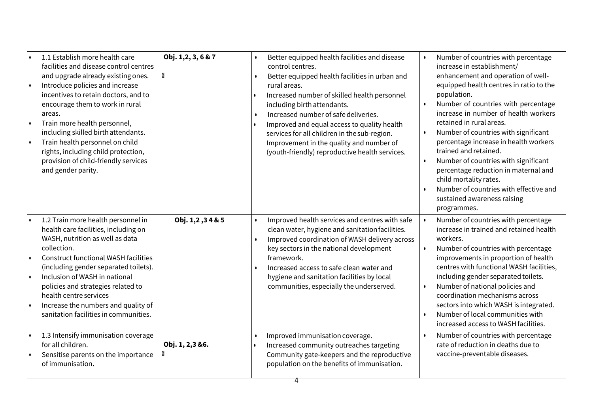| I۰<br>۱.<br>I۰ | 1.1 Establish more health care<br>facilities and disease control centres<br>and upgrade already existing ones.<br>Introduce policies and increase<br>incentives to retain doctors, and to<br>encourage them to work in rural<br>areas.<br>Train more health personnel,<br>including skilled birth attendants.<br>Train health personnel on child<br>rights, including child protection,<br>provision of child-friendly services<br>and gender parity. | Obj. 1,2, 3, 6 & 7<br>M | $\bullet$              | Better equipped health facilities and disease<br>control centres.<br>Better equipped health facilities in urban and<br>rural areas.<br>Increased number of skilled health personnel<br>including birth attendants.<br>Increased number of safe deliveries.<br>Improved and equal access to quality health<br>services for all children in the sub-region.<br>Improvement in the quality and number of<br>(youth-friendly) reproductive health services. | $\bullet$              | Number of countries with percentage<br>increase in establishment/<br>enhancement and operation of well-<br>equipped health centres in ratio to the<br>population.<br>Number of countries with percentage<br>increase in number of health workers<br>retained in rural areas.<br>Number of countries with significant<br>percentage increase in health workers<br>trained and retained.<br>Number of countries with significant<br>percentage reduction in maternal and<br>child mortality rates.<br>Number of countries with effective and<br>sustained awareness raising<br>programmes. |
|----------------|-------------------------------------------------------------------------------------------------------------------------------------------------------------------------------------------------------------------------------------------------------------------------------------------------------------------------------------------------------------------------------------------------------------------------------------------------------|-------------------------|------------------------|---------------------------------------------------------------------------------------------------------------------------------------------------------------------------------------------------------------------------------------------------------------------------------------------------------------------------------------------------------------------------------------------------------------------------------------------------------|------------------------|------------------------------------------------------------------------------------------------------------------------------------------------------------------------------------------------------------------------------------------------------------------------------------------------------------------------------------------------------------------------------------------------------------------------------------------------------------------------------------------------------------------------------------------------------------------------------------------|
| I۰<br>I۰<br>۱. | 1.2 Train more health personnel in<br>health care facilities, including on<br>WASH, nutrition as well as data<br>collection.<br><b>Construct functional WASH facilities</b><br>(including gender separated toilets).<br>Inclusion of WASH in national<br>policies and strategies related to<br>health centre services<br>Increase the numbers and quality of<br>sanitation facilities in communities.                                                 | 0bj. 1,2,34 & 5         | $\bullet$<br>$\bullet$ | Improved health services and centres with safe<br>clean water, hygiene and sanitation facilities.<br>Improved coordination of WASH delivery across<br>key sectors in the national development<br>framework.<br>Increased access to safe clean water and<br>hygiene and sanitation facilities by local<br>communities, especially the underserved.                                                                                                       | $\bullet$<br>$\bullet$ | Number of countries with percentage<br>increase in trained and retained health<br>workers.<br>Number of countries with percentage<br>improvements in proportion of health<br>centres with functional WASH facilities,<br>including gender separated toilets.<br>Number of national policies and<br>coordination mechanisms across<br>sectors into which WASH is integrated.<br>Number of local communities with<br>increased access to WASH facilities.                                                                                                                                  |
|                | 1.3 Intensify immunisation coverage<br>for all children.<br>Sensitise parents on the importance<br>of immunisation.                                                                                                                                                                                                                                                                                                                                   | Obj. 1, 2,3 &6.         |                        | Improved immunisation coverage.<br>Increased community outreaches targeting<br>Community gate-keepers and the reproductive<br>population on the benefits of immunisation.                                                                                                                                                                                                                                                                               |                        | Number of countries with percentage<br>rate of reduction in deaths due to<br>vaccine-preventable diseases.                                                                                                                                                                                                                                                                                                                                                                                                                                                                               |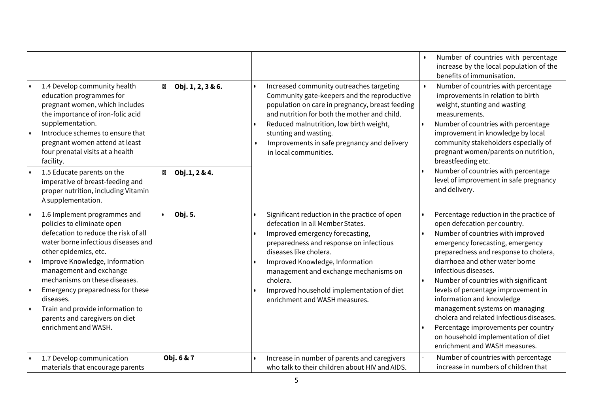|                                                                                                                                                                                                                                                                                                                                                                                                                       |                        |                                                                                                                                                                                                                                                                                                                                                                 | Number of countries with percentage<br>increase by the local population of the<br>benefits of immunisation.                                                                                                                                                                                                                                                                                                                                                                                                                                                   |
|-----------------------------------------------------------------------------------------------------------------------------------------------------------------------------------------------------------------------------------------------------------------------------------------------------------------------------------------------------------------------------------------------------------------------|------------------------|-----------------------------------------------------------------------------------------------------------------------------------------------------------------------------------------------------------------------------------------------------------------------------------------------------------------------------------------------------------------|---------------------------------------------------------------------------------------------------------------------------------------------------------------------------------------------------------------------------------------------------------------------------------------------------------------------------------------------------------------------------------------------------------------------------------------------------------------------------------------------------------------------------------------------------------------|
| 1.4 Develop community health<br>education programmes for<br>pregnant women, which includes<br>the importance of iron-folic acid<br>supplementation.<br>Introduce schemes to ensure that<br>I۰<br>pregnant women attend at least<br>four prenatal visits at a health<br>facility.                                                                                                                                      | Ø<br>Obj. 1, 2, 3 & 6. | Increased community outreaches targeting<br>Community gate-keepers and the reproductive<br>population on care in pregnancy, breast feeding<br>and nutrition for both the mother and child.<br>Reduced malnutrition, low birth weight,<br>stunting and wasting.<br>Improvements in safe pregnancy and delivery<br>in local communities.                          | Number of countries with percentage<br>improvements in relation to birth<br>weight, stunting and wasting<br>measurements.<br>Number of countries with percentage<br>improvement in knowledge by local<br>community stakeholders especially of<br>pregnant women/parents on nutrition,<br>breastfeeding etc.<br>Number of countries with percentage                                                                                                                                                                                                            |
| 1.5 Educate parents on the<br>imperative of breast-feeding and<br>proper nutrition, including Vitamin<br>A supplementation.                                                                                                                                                                                                                                                                                           | Obj.1, 2 & 4.<br>X     |                                                                                                                                                                                                                                                                                                                                                                 | level of improvement in safe pregnancy<br>and delivery.                                                                                                                                                                                                                                                                                                                                                                                                                                                                                                       |
| 1.6 Implement programmes and<br>I۰<br>policies to eliminate open<br>defecation to reduce the risk of all<br>water borne infectious diseases and<br>other epidemics, etc.<br>Improve Knowledge, Information<br>management and exchange<br>mechanisms on these diseases.<br>Emergency preparedness for these<br>diseases.<br>Train and provide information to<br>parents and caregivers on diet<br>enrichment and WASH. | Obj. 5.                | Significant reduction in the practice of open<br>defecation in all Member States.<br>Improved emergency forecasting,<br>preparedness and response on infectious<br>diseases like cholera.<br>Improved Knowledge, Information<br>management and exchange mechanisms on<br>cholera.<br>Improved household implementation of diet<br>enrichment and WASH measures. | Percentage reduction in the practice of<br>open defecation per country.<br>Number of countries with improved<br>emergency forecasting, emergency<br>preparedness and response to cholera,<br>diarrhoea and other water borne<br>infectious diseases.<br>Number of countries with significant<br>levels of percentage improvement in<br>information and knowledge<br>management systems on managing<br>cholera and related infectious diseases.<br>Percentage improvements per country<br>on household implementation of diet<br>enrichment and WASH measures. |
| 1.7 Develop communication<br>materials that encourage parents                                                                                                                                                                                                                                                                                                                                                         | Obj. 6 & 7             | Increase in number of parents and caregivers<br>who talk to their children about HIV and AIDS.                                                                                                                                                                                                                                                                  | Number of countries with percentage<br>increase in numbers of children that                                                                                                                                                                                                                                                                                                                                                                                                                                                                                   |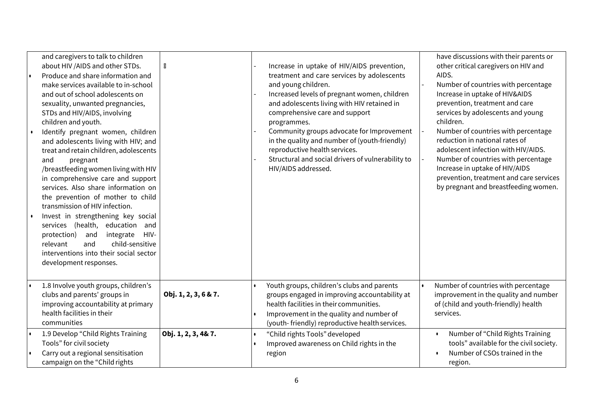| and caregivers to talk to children<br>about HIV /AIDS and other STDs.<br>Produce and share information and<br>make services available to in-school<br>and out of school adolescents on<br>sexuality, unwanted pregnancies,<br>STDs and HIV/AIDS, involving<br>children and youth.<br>Identify pregnant women, children<br>and adolescents living with HIV; and<br>treat and retain children, adolescents<br>pregnant<br>and<br>/breastfeeding women living with HIV<br>in comprehensive care and support<br>services. Also share information on<br>the prevention of mother to child<br>transmission of HIV infection.<br>Invest in strengthening key social<br>services (health, education and<br>protection)<br>and<br>integrate<br>HIV-<br>child-sensitive<br>relevant<br>and<br>interventions into their social sector<br>development responses. | X                    | Increase in uptake of HIV/AIDS prevention,<br>treatment and care services by adolescents<br>and young children.<br>Increased levels of pregnant women, children<br>and adolescents living with HIV retained in<br>comprehensive care and support<br>programmes.<br>Community groups advocate for Improvement<br>in the quality and number of (youth-friendly)<br>reproductive health services.<br>Structural and social drivers of vulnerability to<br>HIV/AIDS addressed. | have discussions with their parents or<br>other critical caregivers on HIV and<br>AIDS.<br>Number of countries with percentage<br>Increase in uptake of HIV&AIDS<br>prevention, treatment and care<br>services by adolescents and young<br>children.<br>Number of countries with percentage<br>reduction in national rates of<br>adolescent infection with HIV/AIDS.<br>Number of countries with percentage<br>Increase in uptake of HIV/AIDS<br>prevention, treatment and care services<br>by pregnant and breastfeeding women. |
|------------------------------------------------------------------------------------------------------------------------------------------------------------------------------------------------------------------------------------------------------------------------------------------------------------------------------------------------------------------------------------------------------------------------------------------------------------------------------------------------------------------------------------------------------------------------------------------------------------------------------------------------------------------------------------------------------------------------------------------------------------------------------------------------------------------------------------------------------|----------------------|----------------------------------------------------------------------------------------------------------------------------------------------------------------------------------------------------------------------------------------------------------------------------------------------------------------------------------------------------------------------------------------------------------------------------------------------------------------------------|----------------------------------------------------------------------------------------------------------------------------------------------------------------------------------------------------------------------------------------------------------------------------------------------------------------------------------------------------------------------------------------------------------------------------------------------------------------------------------------------------------------------------------|
| 1.8 Involve youth groups, children's<br>clubs and parents' groups in<br>improving accountability at primary<br>health facilities in their<br>communities                                                                                                                                                                                                                                                                                                                                                                                                                                                                                                                                                                                                                                                                                             | Obj. 1, 2, 3, 6 & 7. | Youth groups, children's clubs and parents<br>groups engaged in improving accountability at<br>health facilities in their communities.<br>Improvement in the quality and number of<br>(youth-friendly) reproductive health services.                                                                                                                                                                                                                                       | Number of countries with percentage<br>improvement in the quality and number<br>of (child and youth-friendly) health<br>services.                                                                                                                                                                                                                                                                                                                                                                                                |
| 1.9 Develop "Child Rights Training<br>Tools" for civil society<br>Carry out a regional sensitisation<br>campaign on the "Child rights                                                                                                                                                                                                                                                                                                                                                                                                                                                                                                                                                                                                                                                                                                                | Obj. 1, 2, 3, 4& 7.  | "Child rights Tools" developed<br>Improved awareness on Child rights in the<br>region                                                                                                                                                                                                                                                                                                                                                                                      | Number of "Child Rights Training<br>$\bullet$<br>tools" available for the civil society.<br>Number of CSOs trained in the<br>region.                                                                                                                                                                                                                                                                                                                                                                                             |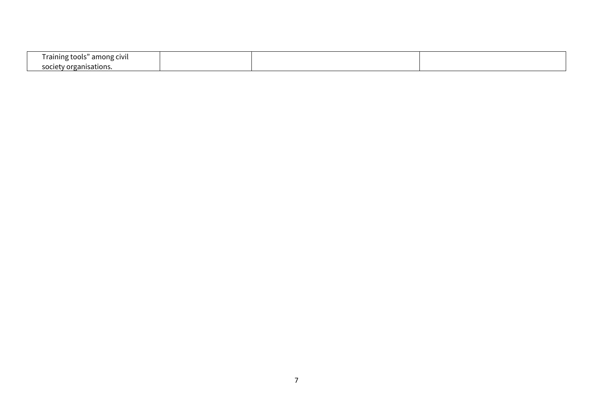| $\sim$<br>.<br>among<br>ramme<br>1 ( ) ( )<br>້<br>the contract of the contract of the<br>. . |  |  |
|-----------------------------------------------------------------------------------------------|--|--|
| anisations.                                                                                   |  |  |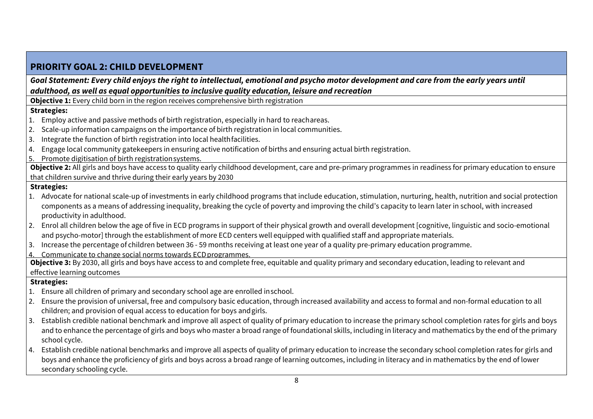| Goal Statement: Every child enjoys the right to intellectual, emotional and psycho motor development and care from the early years until<br>adulthood, as well as equal opportunities to inclusive quality education, leisure and recreation<br><b>Objective 1:</b> Every child born in the region receives comprehensive birth registration<br><b>Strategies:</b><br>Employ active and passive methods of birth registration, especially in hard to reachareas.<br>Scale-up information campaigns on the importance of birth registration in local communities.<br>2.<br>Integrate the function of birth registration into local health facilities.<br>3. |  |
|------------------------------------------------------------------------------------------------------------------------------------------------------------------------------------------------------------------------------------------------------------------------------------------------------------------------------------------------------------------------------------------------------------------------------------------------------------------------------------------------------------------------------------------------------------------------------------------------------------------------------------------------------------|--|
|                                                                                                                                                                                                                                                                                                                                                                                                                                                                                                                                                                                                                                                            |  |
|                                                                                                                                                                                                                                                                                                                                                                                                                                                                                                                                                                                                                                                            |  |
|                                                                                                                                                                                                                                                                                                                                                                                                                                                                                                                                                                                                                                                            |  |
|                                                                                                                                                                                                                                                                                                                                                                                                                                                                                                                                                                                                                                                            |  |
|                                                                                                                                                                                                                                                                                                                                                                                                                                                                                                                                                                                                                                                            |  |
|                                                                                                                                                                                                                                                                                                                                                                                                                                                                                                                                                                                                                                                            |  |
|                                                                                                                                                                                                                                                                                                                                                                                                                                                                                                                                                                                                                                                            |  |
| Engage local community gatekeepers in ensuring active notification of births and ensuring actual birth registration.<br>4.                                                                                                                                                                                                                                                                                                                                                                                                                                                                                                                                 |  |
| Promote digitisation of birth registration systems.<br>5.                                                                                                                                                                                                                                                                                                                                                                                                                                                                                                                                                                                                  |  |
| Objective 2: All girls and boys have access to quality early childhood development, care and pre-primary programmes in readiness for primary education to ensure                                                                                                                                                                                                                                                                                                                                                                                                                                                                                           |  |
| that children survive and thrive during their early years by 2030                                                                                                                                                                                                                                                                                                                                                                                                                                                                                                                                                                                          |  |
| <b>Strategies:</b>                                                                                                                                                                                                                                                                                                                                                                                                                                                                                                                                                                                                                                         |  |
| 1. Advocate for national scale-up of investments in early childhood programs that include education, stimulation, nurturing, health, nutrition and social protection                                                                                                                                                                                                                                                                                                                                                                                                                                                                                       |  |
| components as a means of addressing inequality, breaking the cycle of poverty and improving the child's capacity to learn later in school, with increased                                                                                                                                                                                                                                                                                                                                                                                                                                                                                                  |  |
| productivity in adulthood.                                                                                                                                                                                                                                                                                                                                                                                                                                                                                                                                                                                                                                 |  |
| 2. Enrol all children below the age of five in ECD programs in support of their physical growth and overall development [cognitive, linguistic and socio-emotional                                                                                                                                                                                                                                                                                                                                                                                                                                                                                         |  |
| and psycho-motor] through the establishment of more ECD centers well equipped with qualified staff and appropriate materials.                                                                                                                                                                                                                                                                                                                                                                                                                                                                                                                              |  |
| 3. Increase the percentage of children between 36 - 59 months receiving at least one year of a quality pre-primary education programme.                                                                                                                                                                                                                                                                                                                                                                                                                                                                                                                    |  |
| Communicate to change social norms towards ECD programmes.<br>4<br>Objective 3: By 2030, all girls and boys have access to and complete free, equitable and quality primary and secondary education, leading to relevant and                                                                                                                                                                                                                                                                                                                                                                                                                               |  |
| effective learning outcomes                                                                                                                                                                                                                                                                                                                                                                                                                                                                                                                                                                                                                                |  |
| <b>Strategies:</b>                                                                                                                                                                                                                                                                                                                                                                                                                                                                                                                                                                                                                                         |  |
| 1. Ensure all children of primary and secondary school age are enrolled inschool.                                                                                                                                                                                                                                                                                                                                                                                                                                                                                                                                                                          |  |
| 2. Ensure the provision of universal, free and compulsory basic education, through increased availability and access to formal and non-formal education to all                                                                                                                                                                                                                                                                                                                                                                                                                                                                                             |  |
| children; and provision of equal access to education for boys and girls.                                                                                                                                                                                                                                                                                                                                                                                                                                                                                                                                                                                   |  |
| Establish credible national benchmark and improve all aspect of quality of primary education to increase the primary school completion rates for girls and boys<br>3.                                                                                                                                                                                                                                                                                                                                                                                                                                                                                      |  |
| and to enhance the percentage of girls and boys who master a broad range of foundational skills, including in literacy and mathematics by the end of the primary                                                                                                                                                                                                                                                                                                                                                                                                                                                                                           |  |
| school cycle.                                                                                                                                                                                                                                                                                                                                                                                                                                                                                                                                                                                                                                              |  |
| Establish credible national benchmarks and improve all aspects of quality of primary education to increase the secondary school completion rates for girls and<br>4.                                                                                                                                                                                                                                                                                                                                                                                                                                                                                       |  |
| boys and enhance the proficiency of girls and boys across a broad range of learning outcomes, including in literacy and in mathematics by the end of lower                                                                                                                                                                                                                                                                                                                                                                                                                                                                                                 |  |
| secondary schooling cycle.                                                                                                                                                                                                                                                                                                                                                                                                                                                                                                                                                                                                                                 |  |

 $\blacksquare$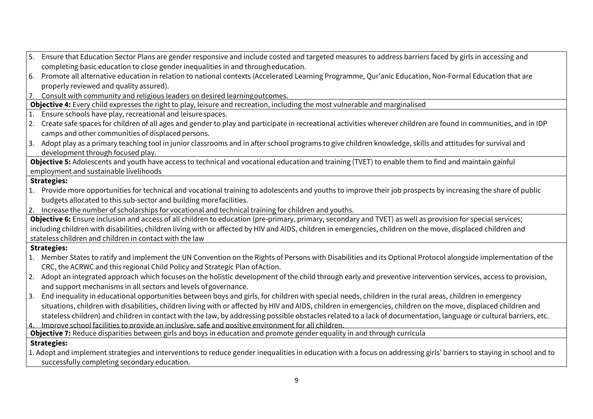| Ensure that Education Sector Plans are gender responsive and include costed and targeted measures to address barriers faced by girls in accessing and<br>5.           |  |
|-----------------------------------------------------------------------------------------------------------------------------------------------------------------------|--|
| completing basic education to close gender inequalities in and througheducation.                                                                                      |  |
| 6. Promote all alternative education in relation to national contexts (Accelerated Learning Programme, Qur'anic Education, Non-Formal Education that are              |  |
| properly reviewed and quality assured).                                                                                                                               |  |
| 7. Consult with community and religious leaders on desired learning outcomes.                                                                                         |  |
| Objective 4: Every child expresses the right to play, leisure and recreation, including the most vulnerable and marginalised                                          |  |
| Ensure schools have play, recreational and leisure spaces.<br>1.                                                                                                      |  |
| 2. Create safe spaces for children of all ages and gender to play and participate in recreational activities wherever children are found in communities, and in IDP   |  |
| camps and other communities of displaced persons.                                                                                                                     |  |
| 3. Adopt play as a primary teaching tool in junior classrooms and in after school programs to give children knowledge, skills and attitudes for survival and          |  |
| development through focused play.                                                                                                                                     |  |
| Objective 5: Adolescents and youth have access to technical and vocational education and training (TVET) to enable them to find and maintain gainful                  |  |
| employment and sustainable livelihoods                                                                                                                                |  |
| <b>Strategies:</b>                                                                                                                                                    |  |
| 1. Provide more opportunities for technical and vocational training to adolescents and youths to improve their job prospects by increasing the share of public        |  |
| budgets allocated to this sub-sector and building more facilities.                                                                                                    |  |
| 2. Increase the number of scholarships for vocational and technical training for children and youths.                                                                 |  |
| Objective 6: Ensure inclusion and access of all children to education (pre-primary, primary, secondary and TVET) as well as provision for special services;           |  |
| including children with disabilities, children living with or affected by HIV and AIDS, children in emergencies, children on the move, displaced children and         |  |
| stateless children and children in contact with the law                                                                                                               |  |
| <b>Strategies:</b>                                                                                                                                                    |  |
| 1. Member States to ratify and implement the UN Convention on the Rights of Persons with Disabilities and its Optional Protocol alongside implementation of the       |  |
| CRC, the ACRWC and this regional Child Policy and Strategic Plan of Action.                                                                                           |  |
| 2. Adopt an integrated approach which focuses on the holistic development of the child through early and preventive intervention services, access to provision,       |  |
| and support mechanisms in all sectors and levels of governance.                                                                                                       |  |
| 3. End inequality in educational opportunities between boys and girls, for children with special needs, children in the rural areas, children in emergency            |  |
| situations, children with disabilities, children living with or affected by HIV and AIDS, children in emergencies, children on the move, displaced children and       |  |
| stateless children) and children in contact with the law, by addressing possible obstacles related to a lack of documentation, language or cultural barriers, etc.    |  |
| Improve school facilities to provide an inclusive, safe and positive environment for all children.<br>4.                                                              |  |
| Objective 7: Reduce disparities between girls and boys in education and promote gender equality in and through curricula                                              |  |
| <b>Strategies:</b>                                                                                                                                                    |  |
| 1. Adopt and implement strategies and interventions to reduce gender inequalities in education with a focus on addressing girls' barriers to staying in school and to |  |
| successfully completing secondary education.                                                                                                                          |  |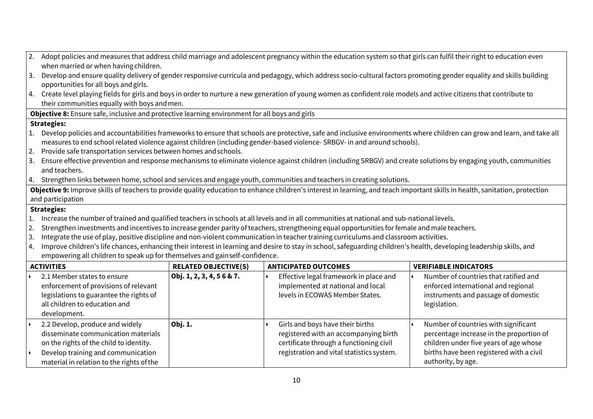| 2.        | Adopt policies and measures that address child marriage and adolescent pregnancy within the education system so that girls can fulfil their right to education even |                             |                                                                                                                                                                               |                                                                                                                                                                            |  |  |  |  |
|-----------|---------------------------------------------------------------------------------------------------------------------------------------------------------------------|-----------------------------|-------------------------------------------------------------------------------------------------------------------------------------------------------------------------------|----------------------------------------------------------------------------------------------------------------------------------------------------------------------------|--|--|--|--|
|           | when married or when having children.                                                                                                                               |                             |                                                                                                                                                                               |                                                                                                                                                                            |  |  |  |  |
| 3.        | Develop and ensure quality delivery of gender responsive curricula and pedagogy, which address socio-cultural factors promoting gender equality and skills building |                             |                                                                                                                                                                               |                                                                                                                                                                            |  |  |  |  |
|           | opportunities for all boys and girls.                                                                                                                               |                             |                                                                                                                                                                               |                                                                                                                                                                            |  |  |  |  |
|           |                                                                                                                                                                     |                             | 4. Create level playing fields for girls and boys in order to nurture a new generation of young women as confident role models and active citizens that contribute to         |                                                                                                                                                                            |  |  |  |  |
|           | their communities equally with boys and men.                                                                                                                        |                             |                                                                                                                                                                               |                                                                                                                                                                            |  |  |  |  |
|           | Objective 8: Ensure safe, inclusive and protective learning environment for all boys and girls                                                                      |                             |                                                                                                                                                                               |                                                                                                                                                                            |  |  |  |  |
|           | <b>Strategies:</b>                                                                                                                                                  |                             |                                                                                                                                                                               |                                                                                                                                                                            |  |  |  |  |
|           |                                                                                                                                                                     |                             |                                                                                                                                                                               | 1. Develop policies and accountabilities frameworks to ensure that schools are protective, safe and inclusive environments where children can grow and learn, and take all |  |  |  |  |
|           |                                                                                                                                                                     |                             | measures to end school related violence against children (including gender-based violence- SRBGV- in and around schools).                                                     |                                                                                                                                                                            |  |  |  |  |
| 2.        | Provide safe transportation services between homes and schools.                                                                                                     |                             |                                                                                                                                                                               |                                                                                                                                                                            |  |  |  |  |
| 3.        |                                                                                                                                                                     |                             | Ensure effective prevention and response mechanisms to eliminate violence against children (including SRBGV) and create solutions by engaging youth, communities              |                                                                                                                                                                            |  |  |  |  |
|           | and teachers.                                                                                                                                                       |                             |                                                                                                                                                                               |                                                                                                                                                                            |  |  |  |  |
|           |                                                                                                                                                                     |                             | 4. Strengthen links between home, school and services and engage youth, communities and teachers in creating solutions.                                                       |                                                                                                                                                                            |  |  |  |  |
|           |                                                                                                                                                                     |                             | Objective 9: Improve skills of teachers to provide quality education to enhance children's interest in learning, and teach important skills in health, sanitation, protection |                                                                                                                                                                            |  |  |  |  |
|           | and participation                                                                                                                                                   |                             |                                                                                                                                                                               |                                                                                                                                                                            |  |  |  |  |
|           | <b>Strategies:</b>                                                                                                                                                  |                             |                                                                                                                                                                               |                                                                                                                                                                            |  |  |  |  |
| 1.        |                                                                                                                                                                     |                             | Increase the number of trained and qualified teachers in schools at all levels and in all communities at national and sub-national levels.                                    |                                                                                                                                                                            |  |  |  |  |
| 2.        |                                                                                                                                                                     |                             | Strengthen investments and incentives to increase gender parity of teachers, strengthening equal opportunities for female and male teachers.                                  |                                                                                                                                                                            |  |  |  |  |
| 3.        |                                                                                                                                                                     |                             | Integrate the use of play, positive discipline and non-violent communication in teacher training curriculums and classroom activities.                                        |                                                                                                                                                                            |  |  |  |  |
| 4.        |                                                                                                                                                                     |                             | Improve children's life chances, enhancing their interest in learning and desire to stay in school, safeguarding children's health, developing leadership skills, and         |                                                                                                                                                                            |  |  |  |  |
|           | empowering all children to speak up for themselves and gainself-confidence.                                                                                         |                             |                                                                                                                                                                               |                                                                                                                                                                            |  |  |  |  |
|           | <b>ACTIVITIES</b>                                                                                                                                                   | <b>RELATED OBJECTIVE(S)</b> | <b>ANTICIPATED OUTCOMES</b>                                                                                                                                                   | <b>VERIFIABLE INDICATORS</b>                                                                                                                                               |  |  |  |  |
|           | 2.1 Member states to ensure                                                                                                                                         | Obj. 1, 2, 3, 4, 56 & 7.    | Effective legal framework in place and                                                                                                                                        | Number of countries that ratified and                                                                                                                                      |  |  |  |  |
|           | enforcement of provisions of relevant                                                                                                                               |                             | implemented at national and local                                                                                                                                             | enforced international and regional                                                                                                                                        |  |  |  |  |
|           | legislations to guarantee the rights of                                                                                                                             |                             | levels in ECOWAS Member States.                                                                                                                                               | instruments and passage of domestic                                                                                                                                        |  |  |  |  |
|           | all children to education and                                                                                                                                       |                             |                                                                                                                                                                               | legislation.                                                                                                                                                               |  |  |  |  |
|           | development.                                                                                                                                                        |                             |                                                                                                                                                                               |                                                                                                                                                                            |  |  |  |  |
| $\bullet$ | 2.2 Develop, produce and widely                                                                                                                                     | Obj. 1.                     | Girls and boys have their births                                                                                                                                              | Number of countries with significant                                                                                                                                       |  |  |  |  |
|           | disseminate communication materials                                                                                                                                 |                             | registered with an accompanying birth                                                                                                                                         | percentage increase in the proportion of                                                                                                                                   |  |  |  |  |
|           | on the rights of the child to identity.                                                                                                                             |                             | certificate through a functioning civil                                                                                                                                       | children under five years of age whose                                                                                                                                     |  |  |  |  |
| $\bullet$ | Develop training and communication                                                                                                                                  |                             | registration and vital statistics system.                                                                                                                                     | births have been registered with a civil                                                                                                                                   |  |  |  |  |
|           | material in relation to the rights of the                                                                                                                           |                             |                                                                                                                                                                               | authority, by age.                                                                                                                                                         |  |  |  |  |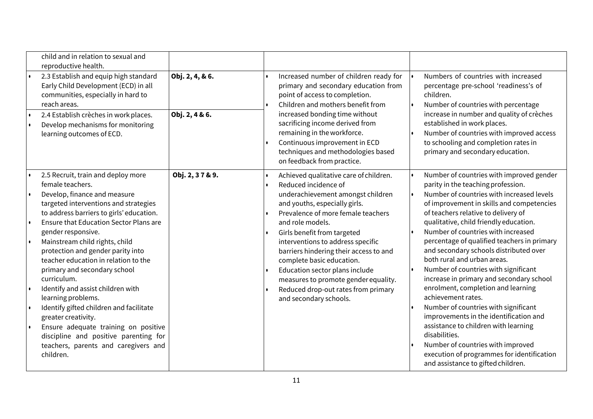|                                     | child and in relation to sexual and<br>reproductive health.                                                                                                                                                                                                                                                                                                         |                 |                                                                                                                                                                                                                                                                                                                                                                           |                                                                                                                                                                                                                                                                                                                                                                                                                                                                 |
|-------------------------------------|---------------------------------------------------------------------------------------------------------------------------------------------------------------------------------------------------------------------------------------------------------------------------------------------------------------------------------------------------------------------|-----------------|---------------------------------------------------------------------------------------------------------------------------------------------------------------------------------------------------------------------------------------------------------------------------------------------------------------------------------------------------------------------------|-----------------------------------------------------------------------------------------------------------------------------------------------------------------------------------------------------------------------------------------------------------------------------------------------------------------------------------------------------------------------------------------------------------------------------------------------------------------|
|                                     | 2.3 Establish and equip high standard<br>Early Child Development (ECD) in all<br>communities, especially in hard to<br>reach areas.                                                                                                                                                                                                                                 | Obj. 2, 4, & 6. | Increased number of children ready for<br>primary and secondary education from<br>point of access to completion.<br>Children and mothers benefit from                                                                                                                                                                                                                     | Numbers of countries with increased<br>percentage pre-school 'readiness's of<br>children.<br>Number of countries with percentage                                                                                                                                                                                                                                                                                                                                |
| $\bullet$                           | 2.4 Establish crèches in work places.<br>Develop mechanisms for monitoring<br>learning outcomes of ECD.                                                                                                                                                                                                                                                             | Obj. 2, 4 & 6.  | increased bonding time without<br>sacrificing income derived from<br>remaining in the workforce.<br>Continuous improvement in ECD<br>techniques and methodologies based<br>on feedback from practice.                                                                                                                                                                     | increase in number and quality of crèches<br>established in work places.<br>Number of countries with improved access<br>to schooling and completion rates in<br>primary and secondary education.                                                                                                                                                                                                                                                                |
|                                     | 2.5 Recruit, train and deploy more                                                                                                                                                                                                                                                                                                                                  | Obj. 2, 37 & 9. | Achieved qualitative care of children.                                                                                                                                                                                                                                                                                                                                    | Number of countries with improved gender                                                                                                                                                                                                                                                                                                                                                                                                                        |
| $\bullet$<br>$\bullet$<br>$\bullet$ | female teachers.<br>Develop, finance and measure<br>targeted interventions and strategies<br>to address barriers to girls' education.<br>Ensure that Education Sector Plans are<br>gender responsive.<br>Mainstream child rights, child<br>protection and gender parity into<br>teacher education in relation to the<br>primary and secondary school<br>curriculum. |                 | Reduced incidence of<br>underachievement amongst children<br>and youths, especially girls.<br>Prevalence of more female teachers<br>and role models.<br>Girls benefit from targeted<br>interventions to address specific<br>barriers hindering their access to and<br>complete basic education.<br>Education sector plans include<br>measures to promote gender equality. | parity in the teaching profession.<br>Number of countries with increased levels<br>of improvement in skills and competencies<br>of teachers relative to delivery of<br>qualitative, child friendly education.<br>Number of countries with increased<br>percentage of qualified teachers in primary<br>and secondary schools distributed over<br>both rural and urban areas.<br>Number of countries with significant<br>increase in primary and secondary school |
| $\bullet$                           | Identify and assist children with<br>learning problems.<br>Identify gifted children and facilitate<br>greater creativity.<br>Ensure adequate training on positive                                                                                                                                                                                                   |                 | Reduced drop-out rates from primary<br>and secondary schools.                                                                                                                                                                                                                                                                                                             | enrolment, completion and learning<br>achievement rates.<br>Number of countries with significant<br>improvements in the identification and<br>assistance to children with learning                                                                                                                                                                                                                                                                              |
|                                     | discipline and positive parenting for<br>teachers, parents and caregivers and<br>children.                                                                                                                                                                                                                                                                          |                 |                                                                                                                                                                                                                                                                                                                                                                           | disabilities.<br>Number of countries with improved<br>execution of programmes for identification<br>and assistance to gifted children.                                                                                                                                                                                                                                                                                                                          |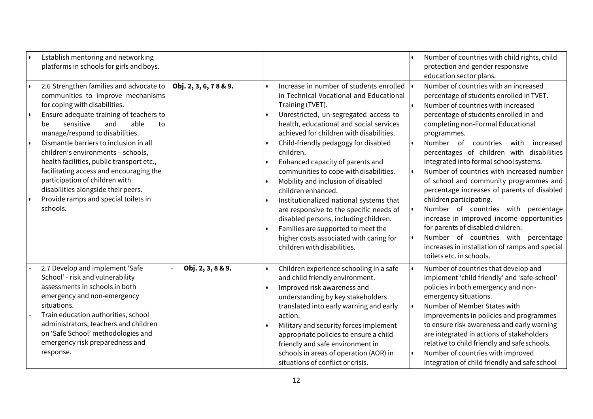| Establish mentoring and networking<br>platforms in schools for girls and boys.                                                                                                                                                                                                                                                                                                                                                                                                                                                           |                       |                                                                                                                                                                                                                                                                                                                                                                                                                                                                                                                                                                                                                                                                                      | Number of countries with child rights, child<br>protection and gender responsive<br>education sector plans.                                                                                                                                                                                                                                                                                                                                                                                                                                                                                                                                                                                                                                                                |
|------------------------------------------------------------------------------------------------------------------------------------------------------------------------------------------------------------------------------------------------------------------------------------------------------------------------------------------------------------------------------------------------------------------------------------------------------------------------------------------------------------------------------------------|-----------------------|--------------------------------------------------------------------------------------------------------------------------------------------------------------------------------------------------------------------------------------------------------------------------------------------------------------------------------------------------------------------------------------------------------------------------------------------------------------------------------------------------------------------------------------------------------------------------------------------------------------------------------------------------------------------------------------|----------------------------------------------------------------------------------------------------------------------------------------------------------------------------------------------------------------------------------------------------------------------------------------------------------------------------------------------------------------------------------------------------------------------------------------------------------------------------------------------------------------------------------------------------------------------------------------------------------------------------------------------------------------------------------------------------------------------------------------------------------------------------|
| 2.6 Strengthen families and advocate to<br>communities to improve mechanisms<br>for coping with disabilities.<br>Ensure adequate training of teachers to<br>sensitive<br>and<br>able<br>to<br>be<br>manage/respond to disabilities.<br>Dismantle barriers to inclusion in all<br>children's environments - schools,<br>health facilities, public transport etc.,<br>facilitating access and encouraging the<br>participation of children with<br>disabilities alongside their peers.<br>Provide ramps and special toilets in<br>schools. | Obj. 2, 3, 6, 78 & 9. | Increase in number of students enrolled<br>in Technical Vocational and Educational<br>Training (TVET).<br>Unrestricted, un-segregated access to<br>health, educational and social services<br>achieved for children with disabilities.<br>Child-friendly pedagogy for disabled<br>children.<br>Enhanced capacity of parents and<br>communities to cope with disabilities.<br>Mobility and inclusion of disabled<br>children enhanced.<br>Institutionalized national systems that<br>are responsive to the specific needs of<br>disabled persons, including children.<br>Families are supported to meet the<br>higher costs associated with caring for<br>children with disabilities. | Number of countries with an increased<br>percentage of students enrolled in TVET.<br>Number of countries with increased<br>percentage of students enrolled in and<br>completing non-Formal Educational<br>programmes.<br>Number of<br>countries with<br>increased<br>percentages of children with disabilities<br>integrated into formal school systems.<br>Number of countries with increased number<br>of school and community programmes and<br>percentage increases of parents of disabled<br>children participating.<br>Number of countries with percentage<br>increase in improved income opportunities<br>for parents of disabled children.<br>Number of countries with<br>percentage<br>increases in installation of ramps and special<br>toilets etc. in schools. |
| 2.7 Develop and implement 'Safe<br>School' - risk and vulnerability<br>assessments in schools in both<br>emergency and non-emergency<br>situations.<br>Train education authorities, school<br>administrators, teachers and children<br>on 'Safe School' methodologies and<br>emergency risk preparedness and<br>response.                                                                                                                                                                                                                | Obj. 2, 3, 8 & 9.     | Children experience schooling in a safe<br>and child friendly environment.<br>Improved risk awareness and<br>understanding by key stakeholders<br>translated into early warning and early<br>action.<br>Military and security forces implement<br>appropriate policies to ensure a child<br>friendly and safe environment in<br>schools in areas of operation (AOR) in<br>situations of conflict or crisis.                                                                                                                                                                                                                                                                          | Number of countries that develop and<br>implement 'child friendly' and 'safe-school'<br>policies in both emergency and non-<br>emergency situations.<br>Number of Member States with<br>improvements in policies and programmes<br>to ensure risk awareness and early warning<br>are integrated in actions of stakeholders<br>relative to child friendly and safe schools.<br>Number of countries with improved<br>integration of child friendly and safe school                                                                                                                                                                                                                                                                                                           |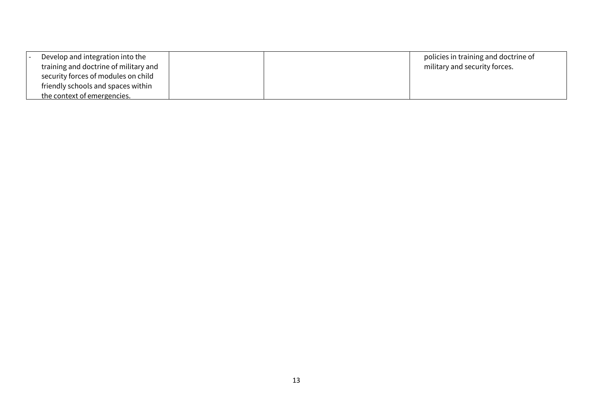| Develop and integration into the      |  | policies in training and doctrine of |
|---------------------------------------|--|--------------------------------------|
| training and doctrine of military and |  | military and security forces.        |
| security forces of modules on child   |  |                                      |
| friendly schools and spaces within    |  |                                      |
| the context of emergencies.           |  |                                      |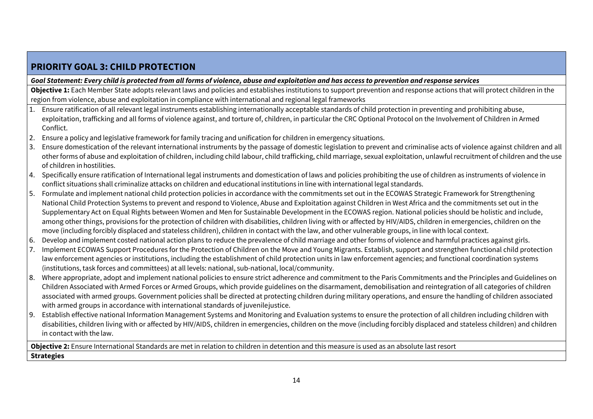# **PRIORITY GOAL 3: CHILD PROTECTION**

*Goal Statement: Every child is protected from all forms of violence, abuse and exploitation and has access to prevention and response services*

**Objective 1:** Each Member State adopts relevant laws and policies and establishes institutions to support prevention and response actions that will protect children in the region from violence, abuse and exploitation in compliance with international and regional legal frameworks

- 1. Ensure ratification of all relevant legal instruments establishing internationally acceptable standards of child protection in preventing and prohibiting abuse, exploitation, trafficking and all forms of violence against, and torture of, children, in particular the CRC Optional Protocol on the Involvement of Children in Armed Conflict.
- 2. Ensure a policy and legislative framework for family tracing and unification for children in emergency situations.
- 3. Ensure domestication of the relevant international instruments by the passage of domestic legislation to prevent and criminalise acts of violence against children and all other forms of abuse and exploitation of children, including child labour, child trafficking, child marriage, sexual exploitation, unlawful recruitment of children and the use of children in hostilities.
- 4. Specifically ensure ratification of International legal instruments and domestication of laws and policies prohibiting the use of children as instruments of violence in conflict situations shall criminalize attacks on children and educational institutions in line with international legal standards.
- 5. Formulate and implement national child protection policies in accordance with the commitments set out in the ECOWAS Strategic Framework for Strengthening National Child Protection Systems to prevent and respond to Violence, Abuse and Exploitation against Children in West Africa and the commitments set out in the Supplementary Act on Equal Rights between Women and Men for Sustainable Development in the ECOWAS region. National policies should be holistic and include, among other things, provisions for the protection of children with disabilities, children living with or affected by HIV/AIDS, children in emergencies, children on the move (including forcibly displaced and stateless children), children in contact with the law, and other vulnerable groups, in line with local context.
- 6. Develop and implement costed national action plans to reduce the prevalence of child marriage and other forms of violence and harmful practices against girls.
- 7. Implement ECOWAS Support Procedures for the Protection of Children on the Move and Young Migrants. Establish, support and strengthen functional child protection law enforcement agencies or institutions, including the establishment of child protection units in law enforcement agencies; and functional coordination systems (institutions, task forces and committees) at all levels: national, sub-national, local/community.
- 8. Where appropriate, adopt and implement national policies to ensure strict adherence and commitment to the Paris Commitments and the Principles and Guidelines on Children Associated with Armed Forces or Armed Groups, which provide guidelines on the disarmament, demobilisation and reintegration of all categories of children associated with armed groups. Government policies shall be directed at protecting children during military operations, and ensure the handling of children associated with armed groups in accordance with international standards of juvenilejustice.
- 9. Establish effective national Information Management Systems and Monitoring and Evaluation systems to ensure the protection of all children including children with disabilities, children living with or affected by HIV/AIDS, children in emergencies, children on the move (including forcibly displaced and stateless children) and children in contact with the law.

**Objective 2:** Ensure International Standards are met in relation to children in detention and this measure is used as an absolute last resort **Strategies**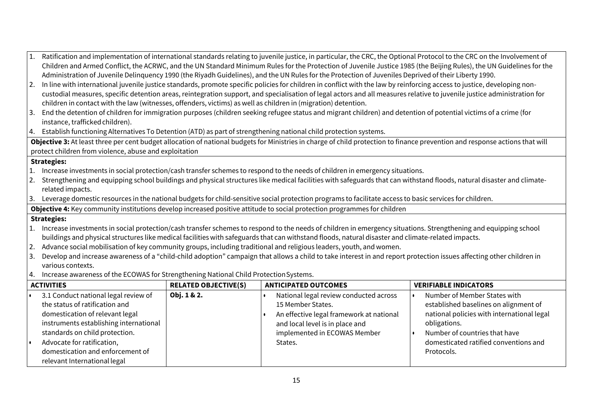|                                                                                                                                                                              | Ratification and implementation of international standards relating to juvenile justice, in particular, the CRC, the Optional Protocol to the CRC on the Involvement of                                                                                                                    |                             |                                          |                                            |
|------------------------------------------------------------------------------------------------------------------------------------------------------------------------------|--------------------------------------------------------------------------------------------------------------------------------------------------------------------------------------------------------------------------------------------------------------------------------------------|-----------------------------|------------------------------------------|--------------------------------------------|
|                                                                                                                                                                              | Children and Armed Conflict, the ACRWC, and the UN Standard Minimum Rules for the Protection of Juvenile Justice 1985 (the Beijing Rules), the UN Guidelines for the                                                                                                                       |                             |                                          |                                            |
|                                                                                                                                                                              | Administration of Juvenile Delinguency 1990 (the Riyadh Guidelines), and the UN Rules for the Protection of Juveniles Deprived of their Liberty 1990.                                                                                                                                      |                             |                                          |                                            |
| 2.                                                                                                                                                                           | In line with international juvenile justice standards, promote specific policies for children in conflict with the law by reinforcing access to justice, developing non-                                                                                                                   |                             |                                          |                                            |
|                                                                                                                                                                              | custodial measures, specific detention areas, reintegration support, and specialisation of legal actors and all measures relative to juvenile justice administration for<br>children in contact with the law (witnesses, offenders, victims) as well as children in (migration) detention. |                             |                                          |                                            |
|                                                                                                                                                                              | 3. End the detention of children for immigration purposes (children seeking refugee status and migrant children) and detention of potential victims of a crime (for                                                                                                                        |                             |                                          |                                            |
|                                                                                                                                                                              | instance, trafficked children).                                                                                                                                                                                                                                                            |                             |                                          |                                            |
|                                                                                                                                                                              | 4. Establish functioning Alternatives To Detention (ATD) as part of strengthening national child protection systems.                                                                                                                                                                       |                             |                                          |                                            |
| Objective 3: At least three per cent budget allocation of national budgets for Ministries in charge of child protection to finance prevention and response actions that will |                                                                                                                                                                                                                                                                                            |                             |                                          |                                            |
| protect children from violence, abuse and exploitation                                                                                                                       |                                                                                                                                                                                                                                                                                            |                             |                                          |                                            |
| <b>Strategies:</b>                                                                                                                                                           |                                                                                                                                                                                                                                                                                            |                             |                                          |                                            |
| 1.                                                                                                                                                                           | Increase investments in social protection/cash transfer schemes to respond to the needs of children in emergency situations.                                                                                                                                                               |                             |                                          |                                            |
| 2.                                                                                                                                                                           | Strengthening and equipping school buildings and physical structures like medical facilities with safeguards that can withstand floods, natural disaster and climate-                                                                                                                      |                             |                                          |                                            |
|                                                                                                                                                                              | related impacts.                                                                                                                                                                                                                                                                           |                             |                                          |                                            |
| 3.                                                                                                                                                                           | Leverage domestic resources in the national budgets for child-sensitive social protection programs to facilitate access to basic services for children.                                                                                                                                    |                             |                                          |                                            |
| Objective 4: Key community institutions develop increased positive attitude to social protection programmes for children                                                     |                                                                                                                                                                                                                                                                                            |                             |                                          |                                            |
| <b>Strategies:</b>                                                                                                                                                           |                                                                                                                                                                                                                                                                                            |                             |                                          |                                            |
|                                                                                                                                                                              | 1. Increase investments in social protection/cash transfer schemes to respond to the needs of children in emergency situations. Strengthening and equipping school                                                                                                                         |                             |                                          |                                            |
|                                                                                                                                                                              | buildings and physical structures like medical facilities with safeguards that can withstand floods, natural disaster and climate-related impacts.                                                                                                                                         |                             |                                          |                                            |
| 2.                                                                                                                                                                           | Advance social mobilisation of key community groups, including traditional and religious leaders, youth, and women.                                                                                                                                                                        |                             |                                          |                                            |
| 3.                                                                                                                                                                           | Develop and increase awareness of a "child-child adoption" campaign that allows a child to take interest in and report protection issues affecting other children in                                                                                                                       |                             |                                          |                                            |
|                                                                                                                                                                              | various contexts.                                                                                                                                                                                                                                                                          |                             |                                          |                                            |
| 4. Increase awareness of the ECOWAS for Strengthening National Child Protection Systems.                                                                                     |                                                                                                                                                                                                                                                                                            |                             |                                          |                                            |
|                                                                                                                                                                              | <b>ACTIVITIES</b>                                                                                                                                                                                                                                                                          | <b>RELATED OBJECTIVE(S)</b> | <b>ANTICIPATED OUTCOMES</b>              | <b>VERIFIABLE INDICATORS</b>               |
|                                                                                                                                                                              | 3.1 Conduct national legal review of                                                                                                                                                                                                                                                       | Obj. 1 & 2.                 | National legal review conducted across   | Number of Member States with               |
|                                                                                                                                                                              | the status of ratification and                                                                                                                                                                                                                                                             |                             | 15 Member States.                        | established baselines on alignment of      |
|                                                                                                                                                                              | domestication of relevant legal                                                                                                                                                                                                                                                            |                             | An effective legal framework at national | national policies with international legal |
|                                                                                                                                                                              | instruments establishing international                                                                                                                                                                                                                                                     |                             | and local level is in place and          | obligations.                               |
|                                                                                                                                                                              | standards on child protection.                                                                                                                                                                                                                                                             |                             | implemented in ECOWAS Member             | Number of countries that have              |
| l e                                                                                                                                                                          | Advocate for ratification,                                                                                                                                                                                                                                                                 |                             | States.                                  | domesticated ratified conventions and      |
|                                                                                                                                                                              | domestication and enforcement of                                                                                                                                                                                                                                                           |                             |                                          | Protocols.                                 |
|                                                                                                                                                                              | relevant International legal                                                                                                                                                                                                                                                               |                             |                                          |                                            |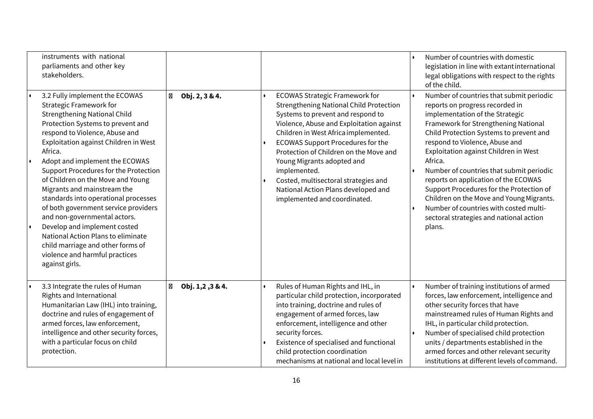| instruments with national<br>parliaments and other key<br>stakeholders.                                                                                                                                                                                                                                                                                                                                                                                                                                                                                                                                                                                          |                                |                                                                                                                                                                                                                                                                                                                                                                                                                                                                     | Number of countries with domestic<br>legislation in line with extant international<br>legal obligations with respect to the rights<br>of the child.                                                                                                                                                                                                                                                                                                                                                                                                                |
|------------------------------------------------------------------------------------------------------------------------------------------------------------------------------------------------------------------------------------------------------------------------------------------------------------------------------------------------------------------------------------------------------------------------------------------------------------------------------------------------------------------------------------------------------------------------------------------------------------------------------------------------------------------|--------------------------------|---------------------------------------------------------------------------------------------------------------------------------------------------------------------------------------------------------------------------------------------------------------------------------------------------------------------------------------------------------------------------------------------------------------------------------------------------------------------|--------------------------------------------------------------------------------------------------------------------------------------------------------------------------------------------------------------------------------------------------------------------------------------------------------------------------------------------------------------------------------------------------------------------------------------------------------------------------------------------------------------------------------------------------------------------|
| 3.2 Fully implement the ECOWAS<br><b>Strategic Framework for</b><br><b>Strengthening National Child</b><br>Protection Systems to prevent and<br>respond to Violence, Abuse and<br>Exploitation against Children in West<br>Africa.<br>Adopt and implement the ECOWAS<br>Support Procedures for the Protection<br>of Children on the Move and Young<br>Migrants and mainstream the<br>standards into operational processes<br>of both government service providers<br>and non-governmental actors.<br>Develop and implement costed<br>National Action Plans to eliminate<br>child marriage and other forms of<br>violence and harmful practices<br>against girls. | $\boxtimes$ Obj. 2, 3 & 4.     | <b>ECOWAS Strategic Framework for</b><br><b>Strengthening National Child Protection</b><br>Systems to prevent and respond to<br>Violence, Abuse and Exploitation against<br>Children in West Africa implemented.<br><b>ECOWAS Support Procedures for the</b><br>Protection of Children on the Move and<br>Young Migrants adopted and<br>implemented.<br>Costed, multisectoral strategies and<br>National Action Plans developed and<br>implemented and coordinated. | Number of countries that submit periodic<br>reports on progress recorded in<br>implementation of the Strategic<br>Framework for Strengthening National<br>Child Protection Systems to prevent and<br>respond to Violence, Abuse and<br>Exploitation against Children in West<br>Africa.<br>Number of countries that submit periodic<br>reports on application of the ECOWAS<br>Support Procedures for the Protection of<br>Children on the Move and Young Migrants.<br>Number of countries with costed multi-<br>sectoral strategies and national action<br>plans. |
| 3.3 Integrate the rules of Human<br>Rights and International<br>Humanitarian Law (IHL) into training,<br>doctrine and rules of engagement of<br>armed forces, law enforcement,<br>intelligence and other security forces,<br>with a particular focus on child<br>protection.                                                                                                                                                                                                                                                                                                                                                                                     | $\boxtimes$<br>Obj. 1,2,3 & 4. | Rules of Human Rights and IHL, in<br>particular child protection, incorporated<br>into training, doctrine and rules of<br>engagement of armed forces, law<br>enforcement, intelligence and other<br>security forces.<br>Existence of specialised and functional<br>child protection coordination<br>mechanisms at national and local level in                                                                                                                       | Number of training institutions of armed<br>forces, law enforcement, intelligence and<br>other security forces that have<br>mainstreamed rules of Human Rights and<br>IHL, in particular child protection.<br>Number of specialised child protection<br>units / departments established in the<br>armed forces and other relevant security<br>institutions at different levels of command.                                                                                                                                                                         |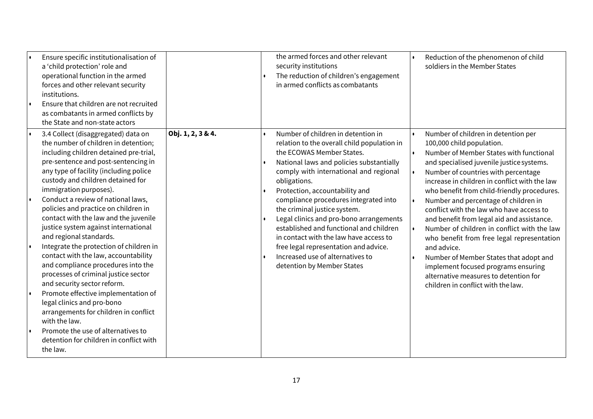|    | Ensure specific institutionalisation of<br>a 'child protection' role and<br>operational function in the armed<br>forces and other relevant security<br>institutions.<br>Ensure that children are not recruited<br>as combatants in armed conflicts by<br>the State and non-state actors                                                                                                                                                                                                                                                                                                                                                                                                                                                                                                                                                                                                     |                   | the armed forces and other relevant<br>security institutions<br>The reduction of children's engagement<br>in armed conflicts as combatants                                                                                                                                                                                                                                                                                                                                                                                                                                 | Reduction of the phenomenon of child<br>soldiers in the Member States                                                                                                                                                                                                                                                                                                                                                                                                                                                                                                                                                                                                                                         |
|----|---------------------------------------------------------------------------------------------------------------------------------------------------------------------------------------------------------------------------------------------------------------------------------------------------------------------------------------------------------------------------------------------------------------------------------------------------------------------------------------------------------------------------------------------------------------------------------------------------------------------------------------------------------------------------------------------------------------------------------------------------------------------------------------------------------------------------------------------------------------------------------------------|-------------------|----------------------------------------------------------------------------------------------------------------------------------------------------------------------------------------------------------------------------------------------------------------------------------------------------------------------------------------------------------------------------------------------------------------------------------------------------------------------------------------------------------------------------------------------------------------------------|---------------------------------------------------------------------------------------------------------------------------------------------------------------------------------------------------------------------------------------------------------------------------------------------------------------------------------------------------------------------------------------------------------------------------------------------------------------------------------------------------------------------------------------------------------------------------------------------------------------------------------------------------------------------------------------------------------------|
| I۰ | 3.4 Collect (disaggregated) data on<br>the number of children in detention;<br>including children detained pre-trial,<br>pre-sentence and post-sentencing in<br>any type of facility (including police<br>custody and children detained for<br>immigration purposes).<br>Conduct a review of national laws,<br>policies and practice on children in<br>contact with the law and the juvenile<br>justice system against international<br>and regional standards.<br>Integrate the protection of children in<br>contact with the law, accountability<br>and compliance procedures into the<br>processes of criminal justice sector<br>and security sector reform.<br>Promote effective implementation of<br>legal clinics and pro-bono<br>arrangements for children in conflict<br>with the law.<br>Promote the use of alternatives to<br>detention for children in conflict with<br>the law. | Obj. 1, 2, 3 & 4. | Number of children in detention in<br>relation to the overall child population in<br>the ECOWAS Member States.<br>National laws and policies substantially<br>comply with international and regional<br>obligations.<br>Protection, accountability and<br>compliance procedures integrated into<br>the criminal justice system.<br>Legal clinics and pro-bono arrangements<br>established and functional and children<br>in contact with the law have access to<br>free legal representation and advice.<br>Increased use of alternatives to<br>detention by Member States | Number of children in detention per<br>100,000 child population.<br>Number of Member States with functional<br>and specialised juvenile justice systems.<br>Number of countries with percentage<br>increase in children in conflict with the law<br>who benefit from child-friendly procedures.<br>Number and percentage of children in<br>conflict with the law who have access to<br>and benefit from legal aid and assistance.<br>Number of children in conflict with the law<br>who benefit from free legal representation<br>and advice.<br>Number of Member States that adopt and<br>implement focused programs ensuring<br>alternative measures to detention for<br>children in conflict with the law. |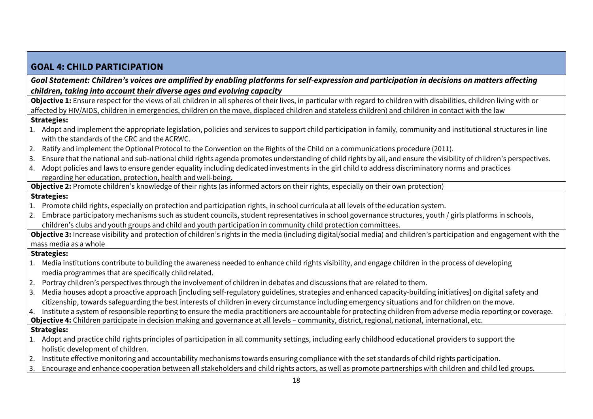## **GOAL 4: CHILD PARTICIPATION** *Goal Statement: Children's voices are amplified by enabling platforms for self-expression and participation in decisions on matters affecting children, taking into account their diverse ages and evolving capacity* **Objective 1:** Ensure respect for the views of all children in all spheres of their lives, in particular with regard to children with disabilities, children living with or affected by HIV/AIDS, children in emergencies, children on the move, displaced children and stateless children) and children in contact with the law **Strategies:** 1. Adopt and implement the appropriate legislation, policies and services to support child participation in family, community and institutional structures in line with the standards of the CRC and the ACRWC. 2. Ratify and implement the Optional Protocol to the Convention on the Rights of the Child on a communications procedure (2011). 3. Ensure that the national and sub-national child rights agenda promotes understanding of child rights by all, and ensure the visibility of children's perspectives.  $\vert$  4. Adopt policies and laws to ensure gender equality including dedicated investments in the girl child to address discriminatory norms and practices regarding her education, protection, health andwell-being. **Objective 2:** Promote children's knowledge of their rights (as informed actors on their rights, especially on their own protection) **Strategies:** 1. Promote child rights, especially on protection and participation rights, in school curricula at all levels of the education system. 2. Embrace participatory mechanisms such as student councils, student representatives in school governance structures, youth / girls platforms in schools, children's clubs and youth groups and child and youth participation in community child protection committees. **Objective 3:** Increase visibility and protection of children's rights in the media (including digital/social media) and children's participation and engagement with the mass media as a whole **Strategies:** 1. Media institutions contribute to building the awareness needed to enhance child rights visibility, and engage children in the process of developing media programmes that are specifically childrelated. 2. Portray children's perspectives through the involvement of children in debates and discussions that are related to them. 3. Media houses adopt a proactive approach [including self-regulatory guidelines, strategies and enhanced capacity-building initiatives] on digital safety and citizenship, towards safeguarding the best interests of children in every circumstance including emergency situations and for children on the move. 4. Institute a system of responsible reporting to ensure the media practitioners are accountable for protecting children from adverse media reporting or coverage. **Objective 4:** Children participate in decision making and governance at all levels – community, district, regional, national, international, etc. **Strategies:** 1. Adopt and practice child rights principles of participation in all community settings, including early childhood educational providers to support the holistic development of children. 2. Institute effective monitoring and accountability mechanisms towards ensuring compliance with the set standards of child rights participation. 3. Encourage and enhance cooperation between all stakeholders and child rights actors, as well as promote partnerships with children and child led groups.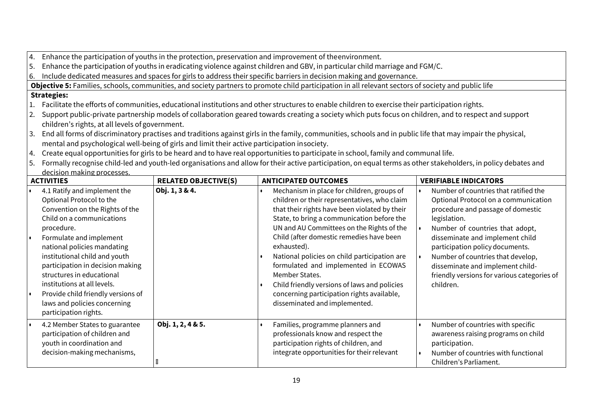4. Enhance the participation of youths in the protection, preservation and improvement of theenvironment.

5. Enhance the participation of youths in eradicating violence against children and GBV, in particular child marriage and FGM/C.

6. Include dedicated measures and spaces for girls to address their specific barriers in decision making and governance.

**Objective 5:** Families, schools, communities, and society partners to promote child participation in all relevant sectors of society and public life

## **Strategies:**

- 1. Facilitate the efforts of communities, educational institutions and other structures to enable children to exercise their participation rights.
- 2. Support public-private partnership models of collaboration geared towards creating a society which puts focus on children, and to respect and support children's rights, at all levels of government.
- 3. End all forms of discriminatory practises and traditions against girls in the family, communities, schools and in public life that may impair the physical, mental and psychological well-being of girls and limit their active participation insociety.
- 4. Create equal opportunities for girls to be heard and to have real opportunities to participate in school, family and communal life.

5. Formally recognise child-led and youth-led organisations and allow for their active participation, on equal terms as other stakeholders, in policy debates and decision making processes.

| <b>ACTIVITIES</b> |                                                                                                                                                                                                                                                                                                                                                                                                                                  | <b>RELATED OBJECTIVE(S)</b> | <b>ANTICIPATED OUTCOMES</b>                                                                                                                                                                                                                                                                                                                                                                                                                                                                                                                | <b>VERIFIABLE INDICATORS</b>                                                                                                                                                                                                                                                                                                                                                     |
|-------------------|----------------------------------------------------------------------------------------------------------------------------------------------------------------------------------------------------------------------------------------------------------------------------------------------------------------------------------------------------------------------------------------------------------------------------------|-----------------------------|--------------------------------------------------------------------------------------------------------------------------------------------------------------------------------------------------------------------------------------------------------------------------------------------------------------------------------------------------------------------------------------------------------------------------------------------------------------------------------------------------------------------------------------------|----------------------------------------------------------------------------------------------------------------------------------------------------------------------------------------------------------------------------------------------------------------------------------------------------------------------------------------------------------------------------------|
|                   | 4.1 Ratify and implement the<br>Optional Protocol to the<br>Convention on the Rights of the<br>Child on a communications<br>procedure.<br>Formulate and implement<br>national policies mandating<br>institutional child and youth<br>participation in decision making<br>structures in educational<br>institutions at all levels.<br>Provide child friendly versions of<br>laws and policies concerning<br>participation rights. | Obj. 1, 3 & 4.              | Mechanism in place for children, groups of<br>children or their representatives, who claim<br>that their rights have been violated by their<br>State, to bring a communication before the<br>UN and AU Committees on the Rights of the<br>Child (after domestic remedies have been<br>exhausted).<br>National policies on child participation are<br>formulated and implemented in ECOWAS<br>Member States.<br>Child friendly versions of laws and policies<br>concerning participation rights available,<br>disseminated and implemented. | Number of countries that ratified the<br>Optional Protocol on a communication<br>procedure and passage of domestic<br>legislation.<br>Number of countries that adopt,<br>disseminate and implement child<br>participation policy documents.<br>Number of countries that develop,<br>disseminate and implement child-<br>friendly versions for various categories of<br>children. |
|                   | 4.2 Member States to guarantee<br>participation of children and<br>youth in coordination and<br>decision-making mechanisms,                                                                                                                                                                                                                                                                                                      | Obj. 1, 2, 4 & 5.           | Families, programme planners and<br>professionals know and respect the<br>participation rights of children, and<br>integrate opportunities for their relevant                                                                                                                                                                                                                                                                                                                                                                              | Number of countries with specific<br>awareness raising programs on child<br>participation.<br>Number of countries with functional<br>Children's Parliament.                                                                                                                                                                                                                      |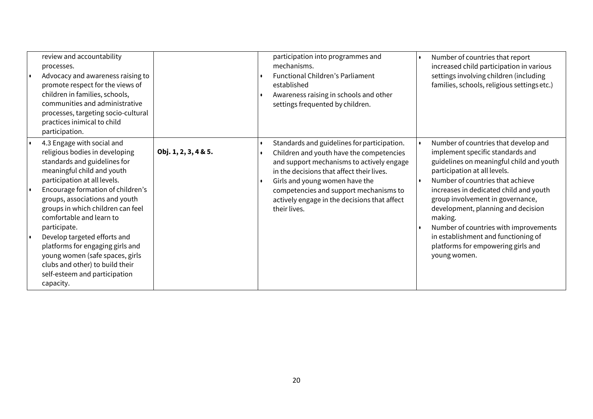| review and accountability<br>processes.<br>Advocacy and awareness raising to<br>promote respect for the views of<br>children in families, schools,<br>communities and administrative<br>processes, targeting socio-cultural<br>practices inimical to child<br>participation.                                                                                                                                                                                                                               |                      | participation into programmes and<br>mechanisms.<br><b>Functional Children's Parliament</b><br>established<br>Awareness raising in schools and other<br>settings frequented by children.                                                                                                                                      | Number of countries that report<br>increased child participation in various<br>settings involving children (including<br>families, schools, religious settings etc.)                                                                                                                                                                                                                                                                                          |
|------------------------------------------------------------------------------------------------------------------------------------------------------------------------------------------------------------------------------------------------------------------------------------------------------------------------------------------------------------------------------------------------------------------------------------------------------------------------------------------------------------|----------------------|-------------------------------------------------------------------------------------------------------------------------------------------------------------------------------------------------------------------------------------------------------------------------------------------------------------------------------|---------------------------------------------------------------------------------------------------------------------------------------------------------------------------------------------------------------------------------------------------------------------------------------------------------------------------------------------------------------------------------------------------------------------------------------------------------------|
| 4.3 Engage with social and<br>religious bodies in developing<br>standards and guidelines for<br>meaningful child and youth<br>participation at all levels.<br>Encourage formation of children's<br>groups, associations and youth<br>groups in which children can feel<br>comfortable and learn to<br>participate.<br>Develop targeted efforts and<br>platforms for engaging girls and<br>young women (safe spaces, girls<br>clubs and other) to build their<br>self-esteem and participation<br>capacity. | Obj. 1, 2, 3, 4 & 5. | Standards and guidelines for participation.<br>Children and youth have the competencies<br>and support mechanisms to actively engage<br>in the decisions that affect their lives.<br>Girls and young women have the<br>competencies and support mechanisms to<br>actively engage in the decisions that affect<br>their lives. | Number of countries that develop and<br>implement specific standards and<br>guidelines on meaningful child and youth<br>participation at all levels.<br>Number of countries that achieve<br>increases in dedicated child and youth<br>group involvement in governance,<br>development, planning and decision<br>making.<br>Number of countries with improvements<br>in establishment and functioning of<br>platforms for empowering girls and<br>young women. |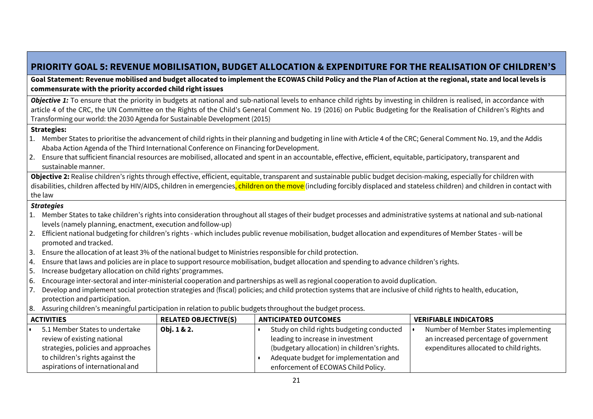# **PRIORITY GOAL 5: REVENUE MOBILISATION, BUDGET ALLOCATION & EXPENDITURE FOR THE REALISATION OF CHILDREN'S**

**Goal Statement: Revenue mobilised and budget allocated to implement the ECOWAS Child Policy and the Plan of Action at the regional, state and local levels is commensurate with the priority accorded child right issues**

**Objective 1:** To ensure that the priority in budgets at national and sub-national levels to enhance child rights by investing in children is realised, in accordance with article 4 of the CRC, the UN Committee on the Rights of the Child's General Comment No. 19 (2016) on Public Budgeting for the Realisation of Children's Rights and Transforming our world: the 2030 Agenda for Sustainable Development (2015)

#### **Strategies:**

- 1. Member States to prioritise the advancement of child rights in their planning and budgeting in line with Article 4 of the CRC; General Comment No. 19, and the Addis Ababa Action Agenda of the Third International Conference on Financing forDevelopment.
- 2. Ensure that sufficient financial resources are mobilised, allocated and spent in an accountable, effective, efficient, equitable, participatory, transparent and sustainable manner.

**Objective 2:** Realise children's rights through effective, efficient, equitable, transparent and sustainable public budget decision-making, especially for children with disabilities, children affected by HIV/AIDS, children in emergencies, children on the move (including forcibly displaced and stateless children) and children in contact with the law

### *Strategies*

- 1. Member States to take children's rights into consideration throughout all stages of their budget processes and administrative systems at national and sub-national levels (namely planning, enactment, execution andfollow-up)
- 2. Efficient national budgeting for children's rights which includes public revenue mobilisation, budget allocation and expenditures of Member States will be promoted and tracked.
- 3. Ensure the allocation of at least 3% of the national budget to Ministries responsible for child protection.
- 4. Ensure that laws and policies are in place to support resource mobilisation, budget allocation and spending to advance children's rights.
- 5. Increase budgetary allocation on child rights'programmes.
- 6. Encourage inter-sectoral and inter-ministerial cooperation and partnerships as well as regional cooperation to avoid duplication.
- 7. Develop and implement social protection strategies and (fiscal) policies; and child protection systems that are inclusive of child rights to health, education, protection and participation.
- 8. Assuring children's meaningful participation in relation to public budgets throughout the budget process.

| ACTIVITIES |                                     | <b>RELATED OBJECTIVE(S)</b> | <b>ANTICIPATED OUTCOMES</b> |                                              | <b>VERIFIABLE INDICATORS</b>            |  |
|------------|-------------------------------------|-----------------------------|-----------------------------|----------------------------------------------|-----------------------------------------|--|
|            | 5.1 Member States to undertake      | Obj. 1 & 2.                 |                             | Study on child rights budgeting conducted    | Number of Member States implementing    |  |
|            | review of existing national         |                             |                             | leading to increase in investment            | an increased percentage of government   |  |
|            | strategies, policies and approaches |                             |                             | (budgetary allocation) in children's rights. | expenditures allocated to child rights. |  |
|            | to children's rights against the    |                             |                             | Adequate budget for implementation and       |                                         |  |
|            | aspirations of international and    |                             |                             | enforcement of ECOWAS Child Policy.          |                                         |  |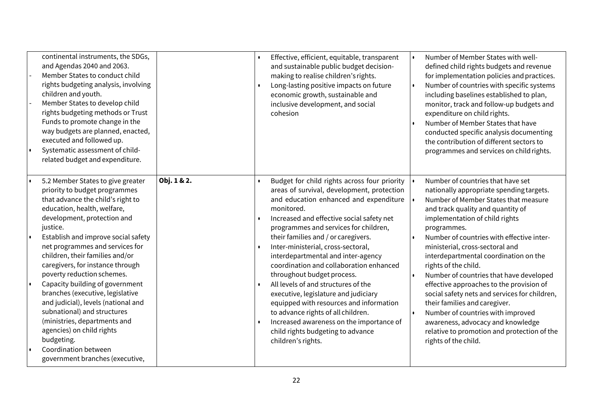| continental instruments, the SDGs,<br>and Agendas 2040 and 2063.<br>Member States to conduct child<br>rights budgeting analysis, involving<br>children and youth.<br>Member States to develop child<br>rights budgeting methods or Trust<br>Funds to promote change in the<br>way budgets are planned, enacted,<br>executed and followed up.<br>Systematic assessment of child-<br>related budget and expenditure.                                                                                                                                                                                                                                        |             | Effective, efficient, equitable, transparent<br>and sustainable public budget decision-<br>making to realise children's rights.<br>Long-lasting positive impacts on future<br>$\bullet$<br>economic growth, sustainable and<br>inclusive development, and social<br>cohesion                                                                                                                                                                                                                                                                                                                                                                                                                                                                                    | Number of Member States with well-<br>$\bullet$<br>defined child rights budgets and revenue<br>for implementation policies and practices.<br>Number of countries with specific systems<br>$\bullet$<br>including baselines established to plan,<br>monitor, track and follow-up budgets and<br>expenditure on child rights.<br>Number of Member States that have<br>conducted specific analysis documenting<br>the contribution of different sectors to<br>programmes and services on child rights.                                                                                                                                                                                                 |
|-----------------------------------------------------------------------------------------------------------------------------------------------------------------------------------------------------------------------------------------------------------------------------------------------------------------------------------------------------------------------------------------------------------------------------------------------------------------------------------------------------------------------------------------------------------------------------------------------------------------------------------------------------------|-------------|-----------------------------------------------------------------------------------------------------------------------------------------------------------------------------------------------------------------------------------------------------------------------------------------------------------------------------------------------------------------------------------------------------------------------------------------------------------------------------------------------------------------------------------------------------------------------------------------------------------------------------------------------------------------------------------------------------------------------------------------------------------------|-----------------------------------------------------------------------------------------------------------------------------------------------------------------------------------------------------------------------------------------------------------------------------------------------------------------------------------------------------------------------------------------------------------------------------------------------------------------------------------------------------------------------------------------------------------------------------------------------------------------------------------------------------------------------------------------------------|
| 5.2 Member States to give greater<br>priority to budget programmes<br>that advance the child's right to<br>education, health, welfare,<br>development, protection and<br>justice.<br>Establish and improve social safety<br>net programmes and services for<br>children, their families and/or<br>caregivers, for instance through<br>poverty reduction schemes.<br>Capacity building of government<br>I۰<br>branches (executive, legislative<br>and judicial), levels (national and<br>subnational) and structures<br>(ministries, departments and<br>agencies) on child rights<br>budgeting.<br>Coordination between<br>government branches (executive, | Obj. 1 & 2. | Budget for child rights across four priority<br>$\bullet$<br>areas of survival, development, protection<br>and education enhanced and expenditure<br>monitored.<br>Increased and effective social safety net<br>$\bullet$<br>programmes and services for children,<br>their families and / or caregivers.<br>Inter-ministerial, cross-sectoral,<br>$\bullet$<br>interdepartmental and inter-agency<br>coordination and collaboration enhanced<br>throughout budget process.<br>All levels of and structures of the<br>$\bullet$<br>executive, legislature and judiciary<br>equipped with resources and information<br>to advance rights of all children.<br>Increased awareness on the importance of<br>child rights budgeting to advance<br>children's rights. | Number of countries that have set<br>nationally appropriate spending targets.<br>Number of Member States that measure<br>and track quality and quantity of<br>implementation of child rights<br>programmes.<br>Number of countries with effective inter-<br>ministerial, cross-sectoral and<br>interdepartmental coordination on the<br>rights of the child.<br>Number of countries that have developed<br>effective approaches to the provision of<br>social safety nets and services for children,<br>their families and caregiver.<br>Number of countries with improved<br>$\bullet$<br>awareness, advocacy and knowledge<br>relative to promotion and protection of the<br>rights of the child. |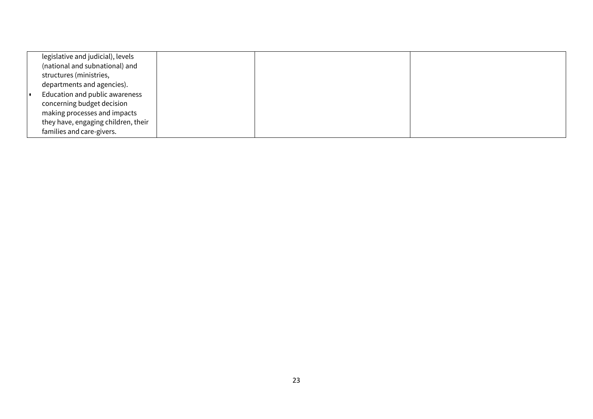| legislative and judicial), levels   |  |  |
|-------------------------------------|--|--|
| (national and subnational) and      |  |  |
| structures (ministries,             |  |  |
| departments and agencies).          |  |  |
| Education and public awareness      |  |  |
| concerning budget decision          |  |  |
| making processes and impacts        |  |  |
| they have, engaging children, their |  |  |
| families and care-givers.           |  |  |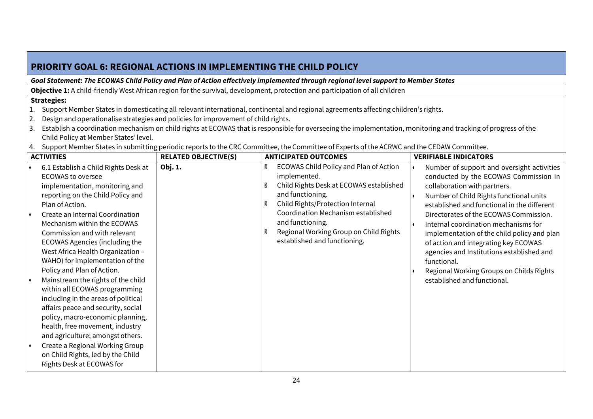| <b>PRIORITY GOAL 6: REGIONAL ACTIONS IN IMPLEMENTING THE CHILD POLICY</b>                                                                                                                                                                                                                                                                                                                                                                                                                                                                                                                                                                                                                                                                                                             |                                                                                                                                                                                                                                                                                                                                                                                                                                                                                                                                             |                                                                                                                                                                                                                                                                                                    |                                                                                                                                                                                                                                                                                                                                                                                                                                                                                                                               |  |  |  |  |
|---------------------------------------------------------------------------------------------------------------------------------------------------------------------------------------------------------------------------------------------------------------------------------------------------------------------------------------------------------------------------------------------------------------------------------------------------------------------------------------------------------------------------------------------------------------------------------------------------------------------------------------------------------------------------------------------------------------------------------------------------------------------------------------|---------------------------------------------------------------------------------------------------------------------------------------------------------------------------------------------------------------------------------------------------------------------------------------------------------------------------------------------------------------------------------------------------------------------------------------------------------------------------------------------------------------------------------------------|----------------------------------------------------------------------------------------------------------------------------------------------------------------------------------------------------------------------------------------------------------------------------------------------------|-------------------------------------------------------------------------------------------------------------------------------------------------------------------------------------------------------------------------------------------------------------------------------------------------------------------------------------------------------------------------------------------------------------------------------------------------------------------------------------------------------------------------------|--|--|--|--|
|                                                                                                                                                                                                                                                                                                                                                                                                                                                                                                                                                                                                                                                                                                                                                                                       |                                                                                                                                                                                                                                                                                                                                                                                                                                                                                                                                             | Goal Statement: The ECOWAS Child Policy and Plan of Action effectively implemented through regional level support to Member States                                                                                                                                                                 |                                                                                                                                                                                                                                                                                                                                                                                                                                                                                                                               |  |  |  |  |
|                                                                                                                                                                                                                                                                                                                                                                                                                                                                                                                                                                                                                                                                                                                                                                                       |                                                                                                                                                                                                                                                                                                                                                                                                                                                                                                                                             | Objective 1: A child-friendly West African region for the survival, development, protection and participation of all children                                                                                                                                                                      |                                                                                                                                                                                                                                                                                                                                                                                                                                                                                                                               |  |  |  |  |
| <b>Strategies:</b><br>1.<br>2.<br>3.<br>Child Policy at Member States' level.                                                                                                                                                                                                                                                                                                                                                                                                                                                                                                                                                                                                                                                                                                         | Support Member States in domesticating all relevant international, continental and regional agreements affecting children's rights.<br>Design and operationalise strategies and policies for improvement of child rights.<br>Establish a coordination mechanism on child rights at ECOWAS that is responsible for overseeing the implementation, monitoring and tracking of progress of the<br>4. Support Member States in submitting periodic reports to the CRC Committee, the Committee of Experts of the ACRWC and the CEDAW Committee. |                                                                                                                                                                                                                                                                                                    |                                                                                                                                                                                                                                                                                                                                                                                                                                                                                                                               |  |  |  |  |
| <b>ACTIVITIES</b>                                                                                                                                                                                                                                                                                                                                                                                                                                                                                                                                                                                                                                                                                                                                                                     | <b>RELATED OBJECTIVE(S)</b>                                                                                                                                                                                                                                                                                                                                                                                                                                                                                                                 | <b>ANTICIPATED OUTCOMES</b>                                                                                                                                                                                                                                                                        | <b>VERIFIABLE INDICATORS</b>                                                                                                                                                                                                                                                                                                                                                                                                                                                                                                  |  |  |  |  |
| 6.1 Establish a Child Rights Desk at<br><b>ECOWAS to oversee</b><br>implementation, monitoring and<br>reporting on the Child Policy and<br>Plan of Action.<br>Create an Internal Coordination<br>Mechanism within the ECOWAS<br>Commission and with relevant<br><b>ECOWAS Agencies (including the</b><br>West Africa Health Organization -<br>WAHO) for implementation of the<br>Policy and Plan of Action.<br>Mainstream the rights of the child<br>I۰<br>within all ECOWAS programming<br>including in the areas of political<br>affairs peace and security, social<br>policy, macro-economic planning,<br>health, free movement, industry<br>and agriculture; amongst others.<br>Create a Regional Working Group<br>on Child Rights, led by the Child<br>Rights Desk at ECOWAS for | Obj. 1.                                                                                                                                                                                                                                                                                                                                                                                                                                                                                                                                     | ECOWAS Child Policy and Plan of Action<br>implemented.<br>Child Rights Desk at ECOWAS established<br>and functioning.<br>Child Rights/Protection Internal<br>X<br>Coordination Mechanism established<br>and functioning.<br>Regional Working Group on Child Rights<br>established and functioning. | Number of support and oversight activities<br>conducted by the ECOWAS Commission in<br>collaboration with partners.<br>Number of Child Rights functional units<br>established and functional in the different<br>Directorates of the ECOWAS Commission.<br>Internal coordination mechanisms for<br>implementation of the child policy and plan<br>of action and integrating key ECOWAS<br>agencies and Institutions established and<br>functional.<br>Regional Working Groups on Childs Rights<br>established and functional. |  |  |  |  |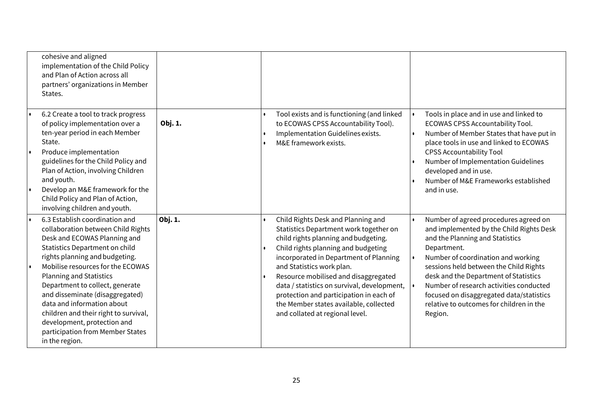| cohesive and aligned<br>implementation of the Child Policy<br>and Plan of Action across all<br>partners' organizations in Member<br>States.                                                                                                                                                                                                                                                                                                                                                                              |         |                                                                                                                                                                                                                                                                                                                                                                                                                                                   |                                                                                                                                                                                                                                                                                                                                                                                                            |
|--------------------------------------------------------------------------------------------------------------------------------------------------------------------------------------------------------------------------------------------------------------------------------------------------------------------------------------------------------------------------------------------------------------------------------------------------------------------------------------------------------------------------|---------|---------------------------------------------------------------------------------------------------------------------------------------------------------------------------------------------------------------------------------------------------------------------------------------------------------------------------------------------------------------------------------------------------------------------------------------------------|------------------------------------------------------------------------------------------------------------------------------------------------------------------------------------------------------------------------------------------------------------------------------------------------------------------------------------------------------------------------------------------------------------|
| 6.2 Create a tool to track progress<br>of policy implementation over a<br>ten-year period in each Member<br>State.<br>Produce implementation<br>guidelines for the Child Policy and<br>Plan of Action, involving Children<br>and youth.<br>Develop an M&E framework for the<br>Child Policy and Plan of Action,                                                                                                                                                                                                          | Obj. 1. | Tool exists and is functioning (and linked<br>to ECOWAS CPSS Accountability Tool).<br>Implementation Guidelines exists.<br>M&E framework exists.                                                                                                                                                                                                                                                                                                  | Tools in place and in use and linked to<br>ECOWAS CPSS Accountability Tool.<br>Number of Member States that have put in<br>place tools in use and linked to ECOWAS<br><b>CPSS Accountability Tool</b><br>Number of Implementation Guidelines<br>developed and in use.<br>Number of M&E Frameworks established<br>and in use.                                                                               |
| involving children and youth.<br>6.3 Establish coordination and<br>collaboration between Child Rights<br>Desk and ECOWAS Planning and<br>Statistics Department on child<br>rights planning and budgeting.<br>Mobilise resources for the ECOWAS<br>I۰<br><b>Planning and Statistics</b><br>Department to collect, generate<br>and disseminate (disaggregated)<br>data and information about<br>children and their right to survival,<br>development, protection and<br>participation from Member States<br>in the region. | Obj. 1. | Child Rights Desk and Planning and<br>Statistics Department work together on<br>child rights planning and budgeting.<br>Child rights planning and budgeting<br>incorporated in Department of Planning<br>and Statistics work plan.<br>Resource mobilised and disaggregated<br>data / statistics on survival, development,<br>protection and participation in each of<br>the Member states available, collected<br>and collated at regional level. | Number of agreed procedures agreed on<br>and implemented by the Child Rights Desk<br>and the Planning and Statistics<br>Department.<br>Number of coordination and working<br>sessions held between the Child Rights<br>desk and the Department of Statistics<br>Number of research activities conducted<br>focused on disaggregated data/statistics<br>relative to outcomes for children in the<br>Region. |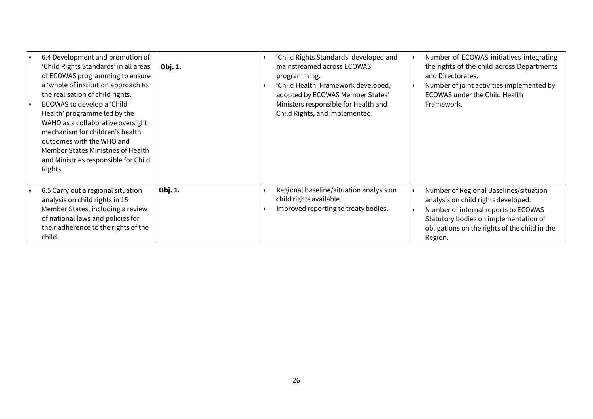| 6.4 Development and promotion of<br>'Child Rights Standards' in all areas<br>of ECOWAS programming to ensure<br>a 'whole of institution approach to<br>the realisation of child rights.<br>ECOWAS to develop a 'Child<br>Health' programme led by the<br>WAHO as a collaborative oversight<br>mechanism for children's health<br>outcomes with the WHO and<br>Member States Ministries of Health<br>and Ministries responsible for Child<br>Rights. | Obj. 1. | 'Child Rights Standards' developed and<br>mainstreamed across ECOWAS<br>programming.<br>'Child Health' Framework developed,<br>adopted by ECOWAS Member States'<br>Ministers responsible for Health and<br>Child Rights, and implemented. | Number of ECOWAS initiatives integrating<br>the rights of the child across Departments<br>and Directorates.<br>Number of joint activities implemented by<br><b>ECOWAS under the Child Health</b><br>Framework.             |
|-----------------------------------------------------------------------------------------------------------------------------------------------------------------------------------------------------------------------------------------------------------------------------------------------------------------------------------------------------------------------------------------------------------------------------------------------------|---------|-------------------------------------------------------------------------------------------------------------------------------------------------------------------------------------------------------------------------------------------|----------------------------------------------------------------------------------------------------------------------------------------------------------------------------------------------------------------------------|
| 6.5 Carry out a regional situation<br>analysis on child rights in 15<br>Member States, including a review<br>of national laws and policies for<br>their adherence to the rights of the<br>child.                                                                                                                                                                                                                                                    | Obj. 1. | Regional baseline/situation analysis on<br>child rights available.<br>Improved reporting to treaty bodies.                                                                                                                                | Number of Regional Baselines/situation<br>analysis on child rights developed.<br>Number of internal reports to ECOWAS<br>Statutory bodies on implementation of<br>obligations on the rights of the child in the<br>Region. |